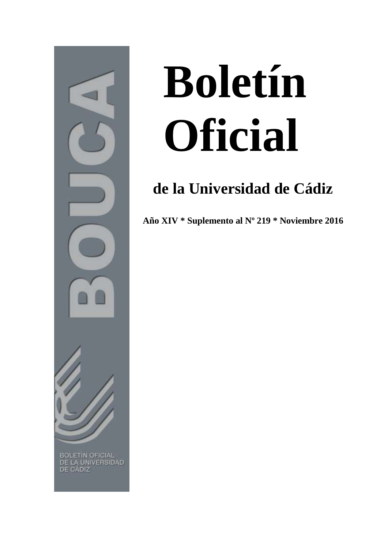

## **Boletín Oficial**

## **de la Universidad de Cádiz**

**Año XIV \* Suplemento al Nº 219 \* Noviembre 2016**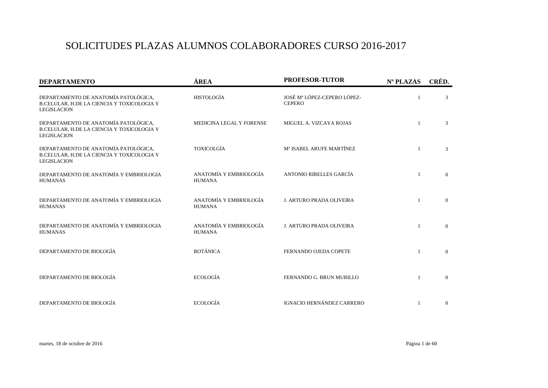## SOLICITUDES PLAZAS ALUMNOS COLABORADORES CURSO 2016-2017

| <b>DEPARTAMENTO</b>                                                                                      | ÁREA                                    | PROFESOR-TUTOR                               | Nº PLAZAS      | CRÉD.          |
|----------------------------------------------------------------------------------------------------------|-----------------------------------------|----------------------------------------------|----------------|----------------|
| DEPARTAMENTO DE ANATOMÍA PATOLÓGICA,<br>B.CELULAR, H.DE LA CIENCIA Y TOXICOLOGIA Y<br><b>LEGISLACION</b> | <b>HISTOLOGÍA</b>                       | JOSÉ Mª LÓPEZ-CEPERO LÓPEZ-<br><b>CEPERO</b> |                | 3              |
| DEPARTAMENTO DE ANATOMÍA PATOLÓGICA,<br>B.CELULAR, H.DE LA CIENCIA Y TOXICOLOGIA Y<br><b>LEGISLACION</b> | MEDICINA LEGAL Y FORENSE                | MIGUEL A. VIZCAYA ROJAS                      | $\overline{1}$ | 3              |
| DEPARTAMENTO DE ANATOMÍA PATOLÓGICA,<br>B.CELULAR, H.DE LA CIENCIA Y TOXICOLOGIA Y<br><b>LEGISLACION</b> | <b>TOXICOLGÍA</b>                       | M <sup>ª</sup> ISABEL ARUFE MARTÍNEZ         | $\mathbf{1}$   | 3              |
| DEPARTAMENTO DE ANATOMÍA Y EMBRIOLOGIA<br><b>HUMANAS</b>                                                 | ANATOMÍA Y EMBRIOLOGÍA<br><b>HUMANA</b> | ANTONIO RIBELLES GARCÍA                      | $\overline{1}$ | $\overline{0}$ |
| DEPARTAMENTO DE ANATOMÍA Y EMBRIOLOGIA<br><b>HUMANAS</b>                                                 | ANATOMÍA Y EMBRIOLOGÍA<br><b>HUMANA</b> | <b>J. ARTURO PRADA OLIVEIRA</b>              | $\overline{1}$ | $\Omega$       |
| DEPARTAMENTO DE ANATOMÍA Y EMBRIOLOGIA<br><b>HUMANAS</b>                                                 | ANATOMÍA Y EMBRIOLOGÍA<br><b>HUMANA</b> | <b>J. ARTURO PRADA OLIVEIRA</b>              | $\overline{1}$ | $\overline{0}$ |
| DEPARTAMENTO DE BIOLOGÍA                                                                                 | <b>BOTÁNICA</b>                         | FERNANDO OJEDA COPETE                        |                | $\overline{0}$ |
| DEPARTAMENTO DE BIOLOGÍA                                                                                 | <b>ECOLOGÍA</b>                         | FERNANDO G. BRUN MURILLO                     | $\overline{1}$ | $\overline{0}$ |
| DEPARTAMENTO DE BIOLOGÍA                                                                                 | <b>ECOLOGÍA</b>                         | <b>IGNACIO HERNÁNDEZ CARRERO</b>             | $\mathbf{1}$   | $\mathbf{0}$   |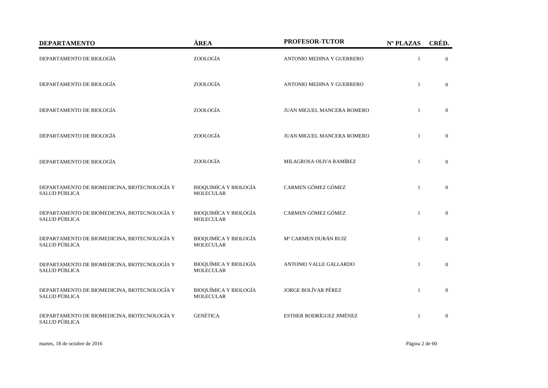| <b>DEPARTAMENTO</b>                                                  | ÁREA                                             | PROFESOR-TUTOR             | Nº PLAZAS      | CRÉD.          |
|----------------------------------------------------------------------|--------------------------------------------------|----------------------------|----------------|----------------|
| DEPARTAMENTO DE BIOLOGÍA                                             | ZOOLOGÍA                                         | ANTONIO MEDINA Y GUERRERO  | $\mathbf{1}$   | $\overline{0}$ |
| DEPARTAMENTO DE BIOLOGÍA                                             | ZOOLOGÍA                                         | ANTONIO MEDINA Y GUERRERO  | $\mathbf{1}$   | $\overline{0}$ |
| DEPARTAMENTO DE BIOLOGÍA                                             | ZOOLOGÍA                                         | JUAN MIGUEL MANCERA ROMERO | $\overline{1}$ | $\overline{0}$ |
| DEPARTAMENTO DE BIOLOGÍA                                             | ZOOLOGÍA                                         | JUAN MIGUEL MANCERA ROMERO |                | $\mathbf{0}$   |
| DEPARTAMENTO DE BIOLOGÍA                                             | ZOOLOGÍA                                         | MILAGROSA OLIVA RAMÍREZ    | $\mathbf{1}$   | $\overline{0}$ |
| DEPARTAMENTO DE BIOMEDICINA, BIOTECNOLOGÍA Y<br>SALUD PÚBLICA        | <b>BIOQUIMÍCA Y BIOLOGÍA</b><br><b>MOLECULAR</b> | CARMEN GÓMEZ GÓMEZ         | $\mathbf{1}$   | $\overline{0}$ |
| DEPARTAMENTO DE BIOMEDICINA, BIOTECNOLOGÍA Y<br>SALUD PÚBLICA        | <b>BIOQUIMÍCA Y BIOLOGÍA</b><br><b>MOLECULAR</b> | CARMEN GÓMEZ GÓMEZ         | $\mathbf{1}$   | $\mathbf{0}$   |
| DEPARTAMENTO DE BIOMEDICINA, BIOTECNOLOGÍA Y<br><b>SALUD PÚBLICA</b> | <b>BIOQUIMÍCA Y BIOLOGÍA</b><br><b>MOLECULAR</b> | Mª CARMEN DURÁN RUIZ       | $\mathbf{1}$   | $\overline{0}$ |
| DEPARTAMENTO DE BIOMEDICINA, BIOTECNOLOGÍA Y<br>SALUD PÚBLICA        | <b>BIOQUÍMICA Y BIOLOGÍA</b><br><b>MOLECULAR</b> | ANTONIO VALLE GALLARDO     | $\overline{1}$ | $\overline{0}$ |
| DEPARTAMENTO DE BIOMEDICINA, BIOTECNOLOGÍA Y<br>SALUD PÚBLICA        | <b>BIOQUÍMICA Y BIOLOGÍA</b><br><b>MOLECULAR</b> | JORGE BOLÍVAR PÉREZ        | $\mathbf{1}$   | $\overline{0}$ |
| DEPARTAMENTO DE BIOMEDICINA, BIOTECNOLOGÍA Y<br>SALUD PÚBLICA        | <b>GENÉTICA</b>                                  | ESTHER RODRÍGUEZ JIMÉNEZ   | $\mathbf{1}$   | $\overline{0}$ |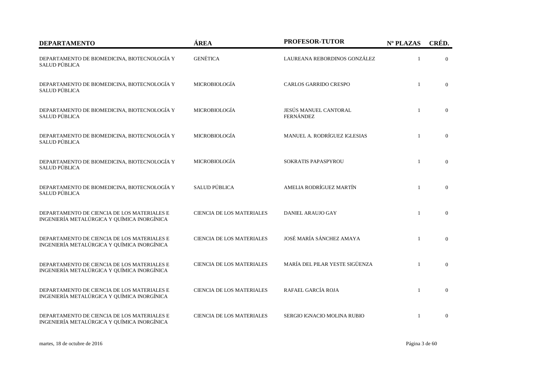| <b>DEPARTAMENTO</b>                                                                        | ÁREA                             | PROFESOR-TUTOR                            | Nº PLAZAS    | CRÉD.          |
|--------------------------------------------------------------------------------------------|----------------------------------|-------------------------------------------|--------------|----------------|
| DEPARTAMENTO DE BIOMEDICINA, BIOTECNOLOGÍA Y<br>SALUD PÚBLICA                              | <b>GENÉTICA</b>                  | LAUREANA REBORDINOS GONZÁLEZ              | 1            | $\overline{0}$ |
| DEPARTAMENTO DE BIOMEDICINA, BIOTECNOLOGÍA Y<br>SALUD PÚBLICA                              | <b>MICROBIOLOGÍA</b>             | <b>CARLOS GARRIDO CRESPO</b>              | $\mathbf{1}$ | $\Omega$       |
| DEPARTAMENTO DE BIOMEDICINA, BIOTECNOLOGÍA Y<br>SALUD PÚBLICA                              | MICROBIOLOGÍA                    | JESÚS MANUEL CANTORAL<br><b>FERNÁNDEZ</b> | $\mathbf{1}$ | $\overline{0}$ |
| DEPARTAMENTO DE BIOMEDICINA, BIOTECNOLOGÍA Y<br>SALUD PÚBLICA                              | <b>MICROBIOLOGÍA</b>             | MANUEL A. RODRÍGUEZ IGLESIAS              | $\mathbf{1}$ | $\overline{0}$ |
| DEPARTAMENTO DE BIOMEDICINA, BIOTECNOLOGÍA Y<br>SALUD PÚBLICA                              | <b>MICROBIOLOGÍA</b>             | SOKRATIS PAPASPYROU                       | $\mathbf{1}$ | $\Omega$       |
| DEPARTAMENTO DE BIOMEDICINA, BIOTECNOLOGÍA Y<br>SALUD PÚBLICA                              | <b>SALUD PÚBLICA</b>             | AMELIA RODRÍGUEZ MARTÍN                   | $\mathbf{1}$ | $\overline{0}$ |
| DEPARTAMENTO DE CIENCIA DE LOS MATERIALES E<br>INGENIERÍA METALÚRGICA Y QUÍMICA INORGÍNICA | <b>CIENCIA DE LOS MATERIALES</b> | DANIEL ARAUJO GAY                         | $\mathbf{1}$ | $\mathbf{0}$   |
| DEPARTAMENTO DE CIENCIA DE LOS MATERIALES E<br>INGENIERÍA METALÚRGICA Y QUÍMICA INORGÍNICA | <b>CIENCIA DE LOS MATERIALES</b> | JOSÉ MARÍA SÁNCHEZ AMAYA                  | $\mathbf{1}$ | $\overline{0}$ |
| DEPARTAMENTO DE CIENCIA DE LOS MATERIALES E<br>INGENIERÍA METALÚRGICA Y QUÍMICA INORGÍNICA | <b>CIENCIA DE LOS MATERIALES</b> | MARÍA DEL PILAR YESTE SIGÜENZA            | $\mathbf{1}$ | $\Omega$       |
| DEPARTAMENTO DE CIENCIA DE LOS MATERIALES E<br>INGENIERÍA METALÚRGICA Y QUÍMICA INORGÍNICA | <b>CIENCIA DE LOS MATERIALES</b> | RAFAEL GARCÍA ROJA                        | $\mathbf{1}$ | $\Omega$       |
| DEPARTAMENTO DE CIENCIA DE LOS MATERIALES E<br>INGENIERÍA METALÚRGICA Y QUÍMICA INORGÍNICA | <b>CIENCIA DE LOS MATERIALES</b> | SERGIO IGNACIO MOLINA RUBIO               | $\mathbf{1}$ | $\mathbf{0}$   |

martes, 18 de octubre de 2016 Página 3 de 60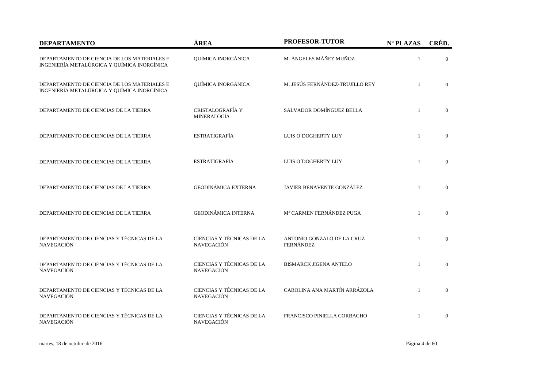| <b>DEPARTAMENTO</b>                                                                        | ÁREA                                           | <b>PROFESOR-TUTOR</b>                          | Nº PLAZAS    | CRÉD.          |
|--------------------------------------------------------------------------------------------|------------------------------------------------|------------------------------------------------|--------------|----------------|
| DEPARTAMENTO DE CIENCIA DE LOS MATERIALES E<br>INGENIERÍA METALÚRGICA Y QUÍMICA INORGÍNICA | QUÍMICA INORGÁNICA                             | M. ÁNGELES MÁÑEZ MUÑOZ                         | $\mathbf{1}$ | $\overline{0}$ |
| DEPARTAMENTO DE CIENCIA DE LOS MATERIALES E<br>INGENIERÍA METALÚRGICA Y QUÍMICA INORGÍNICA | QUÍMICA INORGÁNICA                             | M. JESÚS FERNÁNDEZ-TRUJILLO REY                | $\mathbf{1}$ | $\Omega$       |
| DEPARTAMENTO DE CIENCIAS DE LA TIERRA                                                      | CRISTALOGRAFÍA Y<br>MINERALOGÍA                | SALVADOR DOMÍNGUEZ BELLA                       | $\mathbf{1}$ | $\Omega$       |
| DEPARTAMENTO DE CIENCIAS DE LA TIERRA                                                      | <b>ESTRATIGRAFÍA</b>                           | LUIS O'DOGHERTY LUY                            | $\mathbf{1}$ | $\mathbf{0}$   |
| DEPARTAMENTO DE CIENCIAS DE LA TIERRA                                                      | <b>ESTRATIGRAFÍA</b>                           | LUIS O'DOGHERTY LUY                            | $\mathbf{1}$ | $\overline{0}$ |
| DEPARTAMENTO DE CIENCIAS DE LA TIERRA                                                      | <b>GEODINÁMICA EXTERNA</b>                     | JAVIER BENAVENTE GONZÁLEZ                      | $\mathbf{1}$ | $\Omega$       |
| DEPARTAMENTO DE CIENCIAS DE LA TIERRA                                                      | <b>GEODINÁMICA INTERNA</b>                     | Mª CARMEN FERNÁNDEZ PUGA                       | $\mathbf{1}$ | $\overline{0}$ |
| DEPARTAMENTO DE CIENCIAS Y TÉCNICAS DE LA<br><b>NAVEGACIÓN</b>                             | CIENCIAS Y TÉCNICAS DE LA<br><b>NAVEGACIÓN</b> | ANTONIO GONZALO DE LA CRUZ<br><b>FERNÁNDEZ</b> | $\mathbf{1}$ | $\theta$       |
| DEPARTAMENTO DE CIENCIAS Y TÉCNICAS DE LA<br><b>NAVEGACIÓN</b>                             | CIENCIAS Y TÉCNICAS DE LA<br><b>NAVEGACIÓN</b> | <b>BISMARCK JIGENA ANTELO</b>                  | $\mathbf{1}$ | $\overline{0}$ |
| DEPARTAMENTO DE CIENCIAS Y TÉCNICAS DE LA<br><b>NAVEGACIÓN</b>                             | CIENCIAS Y TÉCNICAS DE LA<br><b>NAVEGACIÓN</b> | CAROLINA ANA MARTÍN ARRÁZOLA                   | $\mathbf{1}$ | $\mathbf{0}$   |
| DEPARTAMENTO DE CIENCIAS Y TÉCNICAS DE LA<br>NAVEGACIÓN                                    | CIENCIAS Y TÉCNICAS DE LA<br><b>NAVEGACIÓN</b> | FRANCISCO PINIELLA CORBACHO                    | $\mathbf{1}$ | $\Omega$       |

martes, 18 de octubre de 2016 Página 4 de 60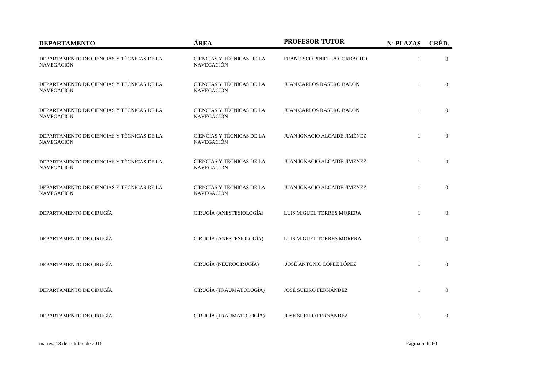| <b>DEPARTAMENTO</b>                                            | ÁREA                                           | <b>PROFESOR-TUTOR</b>        | Nº PLAZAS    | CRÉD.            |
|----------------------------------------------------------------|------------------------------------------------|------------------------------|--------------|------------------|
| DEPARTAMENTO DE CIENCIAS Y TÉCNICAS DE LA<br><b>NAVEGACIÓN</b> | CIENCIAS Y TÉCNICAS DE LA<br><b>NAVEGACIÓN</b> | FRANCISCO PINIELLA CORBACHO  |              | $\Omega$         |
| DEPARTAMENTO DE CIENCIAS Y TÉCNICAS DE LA<br><b>NAVEGACIÓN</b> | CIENCIAS Y TÉCNICAS DE LA<br><b>NAVEGACIÓN</b> | JUAN CARLOS RASERO BALÓN     | $\mathbf{1}$ | $\boldsymbol{0}$ |
| DEPARTAMENTO DE CIENCIAS Y TÉCNICAS DE LA<br><b>NAVEGACIÓN</b> | CIENCIAS Y TÉCNICAS DE LA<br><b>NAVEGACIÓN</b> | JUAN CARLOS RASERO BALÓN     | $\mathbf{1}$ | $\mathbf{0}$     |
| DEPARTAMENTO DE CIENCIAS Y TÉCNICAS DE LA<br><b>NAVEGACIÓN</b> | CIENCIAS Y TÉCNICAS DE LA<br>NAVEGACIÓN        | JUAN IGNACIO ALCAIDE JIMÉNEZ | $\mathbf{1}$ | $\overline{0}$   |
| DEPARTAMENTO DE CIENCIAS Y TÉCNICAS DE LA<br><b>NAVEGACIÓN</b> | CIENCIAS Y TÉCNICAS DE LA<br><b>NAVEGACIÓN</b> | JUAN IGNACIO ALCAIDE JIMÉNEZ | $\mathbf{1}$ | $\overline{0}$   |
| DEPARTAMENTO DE CIENCIAS Y TÉCNICAS DE LA<br><b>NAVEGACIÓN</b> | CIENCIAS Y TÉCNICAS DE LA<br><b>NAVEGACIÓN</b> | JUAN IGNACIO ALCAIDE JIMÉNEZ | $\mathbf{1}$ | $\overline{0}$   |
| DEPARTAMENTO DE CIRUGÍA                                        | CIRUGÍA (ANESTESIOLOGÍA)                       | LUIS MIGUEL TORRES MORERA    | $\mathbf{1}$ | $\boldsymbol{0}$ |
| DEPARTAMENTO DE CIRUGÍA                                        | CIRUGÍA (ANESTESIOLOGÍA)                       | LUIS MIGUEL TORRES MORERA    | $\mathbf{1}$ | $\boldsymbol{0}$ |
| DEPARTAMENTO DE CIRUGÍA                                        | CIRUGÍA (NEUROCIRUGÍA)                         | JOSÉ ANTONIO LÓPEZ LÓPEZ     | $\mathbf{1}$ | $\boldsymbol{0}$ |
| DEPARTAMENTO DE CIRUGÍA                                        | CIRUGÍA (TRAUMATOLOGÍA)                        | JOSÉ SUEIRO FERNÁNDEZ        | $\mathbf{1}$ | $\boldsymbol{0}$ |
| DEPARTAMENTO DE CIRUGÍA                                        | CIRUGÍA (TRAUMATOLOGÍA)                        | JOSÉ SUEIRO FERNÁNDEZ        | $\mathbf{1}$ | $\boldsymbol{0}$ |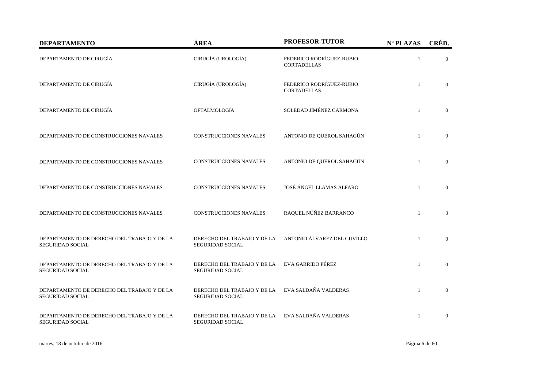| <b>DEPARTAMENTO</b>                                                    | ÁREA                                                   | <b>PROFESOR-TUTOR</b>                          | Nº PLAZAS      | CRÉD.          |
|------------------------------------------------------------------------|--------------------------------------------------------|------------------------------------------------|----------------|----------------|
| DEPARTAMENTO DE CIRUGÍA                                                | CIRUGÍA (UROLOGÍA)                                     | FEDERICO RODRÍGUEZ-RUBIO<br><b>CORTADELLAS</b> | $\mathbf{1}$   | $\theta$       |
| DEPARTAMENTO DE CIRUGÍA                                                | CIRUGÍA (UROLOGÍA)                                     | FEDERICO RODRÍGUEZ-RUBIO<br><b>CORTADELLAS</b> | $\overline{1}$ | $\Omega$       |
| DEPARTAMENTO DE CIRUGÍA                                                | OFTALMOLOGÍA                                           | SOLEDAD JIMÉNEZ CARMONA                        | $\mathbf{1}$   | $\overline{0}$ |
| DEPARTAMENTO DE CONSTRUCCIONES NAVALES                                 | <b>CONSTRUCCIONES NAVALES</b>                          | ANTONIO DE QUEROL SAHAGÚN                      | $\mathbf{1}$   | $\overline{0}$ |
| DEPARTAMENTO DE CONSTRUCCIONES NAVALES                                 | <b>CONSTRUCCIONES NAVALES</b>                          | ANTONIO DE QUEROL SAHAGÚN                      | $\overline{1}$ | $\theta$       |
| DEPARTAMENTO DE CONSTRUCCIONES NAVALES                                 | <b>CONSTRUCCIONES NAVALES</b>                          | JOSÉ ÁNGEL LLAMAS ALFARO                       | $\mathbf{1}$   | $\overline{0}$ |
| DEPARTAMENTO DE CONSTRUCCIONES NAVALES                                 | <b>CONSTRUCCIONES NAVALES</b>                          | RAQUEL NÚÑEZ BARRANCO                          | $\overline{1}$ | 3              |
| DEPARTAMENTO DE DERECHO DEL TRABAJO Y DE LA<br><b>SEGURIDAD SOCIAL</b> | DERECHO DEL TRABAJO Y DE LA<br><b>SEGURIDAD SOCIAL</b> | ANTONIO ÁLVAREZ DEL CUVILLO                    | $\overline{1}$ | $\theta$       |
| DEPARTAMENTO DE DERECHO DEL TRABAJO Y DE LA<br><b>SEGURIDAD SOCIAL</b> | DERECHO DEL TRABAJO Y DE LA<br><b>SEGURIDAD SOCIAL</b> | EVA GARRIDO PÉREZ                              | $\overline{1}$ | $\Omega$       |
| DEPARTAMENTO DE DERECHO DEL TRABAJO Y DE LA<br>SEGURIDAD SOCIAL        | DERECHO DEL TRABAJO Y DE LA<br><b>SEGURIDAD SOCIAL</b> | EVA SALDAÑA VALDERAS                           | $\overline{1}$ | $\overline{0}$ |
| DEPARTAMENTO DE DERECHO DEL TRABAJO Y DE LA<br><b>SEGURIDAD SOCIAL</b> | DERECHO DEL TRABAJO Y DE LA<br><b>SEGURIDAD SOCIAL</b> | EVA SALDAÑA VALDERAS                           | $\overline{1}$ | $\theta$       |

martes, 18 de octubre de 2016 Página 6 de 60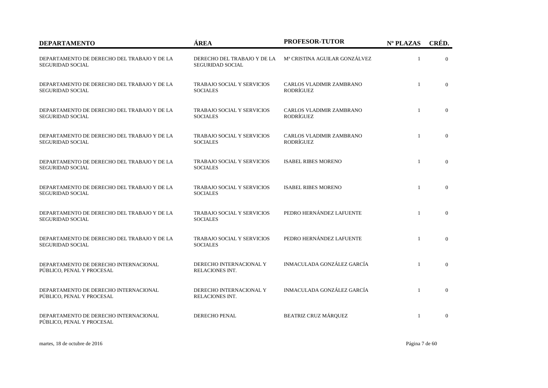| <b>DEPARTAMENTO</b>                                                    | ÁREA                                                   | <b>PROFESOR-TUTOR</b>                 | Nº PLAZAS    | CRÉD.          |
|------------------------------------------------------------------------|--------------------------------------------------------|---------------------------------------|--------------|----------------|
| DEPARTAMENTO DE DERECHO DEL TRABAJO Y DE LA<br><b>SEGURIDAD SOCIAL</b> | DERECHO DEL TRABAJO Y DE LA<br><b>SEGURIDAD SOCIAL</b> | Mª CRISTINA AGUILAR GONZÁLVEZ         | $\mathbf{1}$ | $\Omega$       |
| DEPARTAMENTO DE DERECHO DEL TRABAJO Y DE LA<br><b>SEGURIDAD SOCIAL</b> | TRABAJO SOCIAL Y SERVICIOS<br><b>SOCIALES</b>          | CARLOS VLADIMIR ZAMBRANO<br>RODRÍGUEZ | $\mathbf{1}$ | $\overline{0}$ |
| DEPARTAMENTO DE DERECHO DEL TRABAJO Y DE LA<br><b>SEGURIDAD SOCIAL</b> | TRABAJO SOCIAL Y SERVICIOS<br><b>SOCIALES</b>          | CARLOS VLADIMIR ZAMBRANO<br>RODRÍGUEZ | $\mathbf{1}$ | $\overline{0}$ |
| DEPARTAMENTO DE DERECHO DEL TRABAJO Y DE LA<br><b>SEGURIDAD SOCIAL</b> | <b>TRABAJO SOCIAL Y SERVICIOS</b><br><b>SOCIALES</b>   | CARLOS VLADIMIR ZAMBRANO<br>RODRÍGUEZ | $\mathbf{1}$ | $\overline{0}$ |
| DEPARTAMENTO DE DERECHO DEL TRABAJO Y DE LA<br><b>SEGURIDAD SOCIAL</b> | TRABAJO SOCIAL Y SERVICIOS<br><b>SOCIALES</b>          | <b>ISABEL RIBES MORENO</b>            | $\mathbf{1}$ | $\overline{0}$ |
| DEPARTAMENTO DE DERECHO DEL TRABAJO Y DE LA<br><b>SEGURIDAD SOCIAL</b> | <b>TRABAJO SOCIAL Y SERVICIOS</b><br><b>SOCIALES</b>   | <b>ISABEL RIBES MORENO</b>            | $\mathbf{1}$ | $\Omega$       |
| DEPARTAMENTO DE DERECHO DEL TRABAJO Y DE LA<br><b>SEGURIDAD SOCIAL</b> | <b>TRABAJO SOCIAL Y SERVICIOS</b><br><b>SOCIALES</b>   | PEDRO HERNÁNDEZ LAFUENTE              | $\mathbf{1}$ | $\Omega$       |
| DEPARTAMENTO DE DERECHO DEL TRABAJO Y DE LA<br><b>SEGURIDAD SOCIAL</b> | <b>TRABAJO SOCIAL Y SERVICIOS</b><br><b>SOCIALES</b>   | PEDRO HERNÁNDEZ LAFUENTE              | $\mathbf{1}$ | $\theta$       |
| DEPARTAMENTO DE DERECHO INTERNACIONAL<br>PÚBLICO, PENAL Y PROCESAL     | DERECHO INTERNACIONAL Y<br>RELACIONES INT.             | INMACULADA GONZÁLEZ GARCÍA            | $\mathbf{1}$ | $\Omega$       |
| DEPARTAMENTO DE DERECHO INTERNACIONAL<br>PÚBLICO, PENAL Y PROCESAL     | DERECHO INTERNACIONAL Y<br>RELACIONES INT.             | INMACULADA GONZÁLEZ GARCÍA            | $\mathbf{1}$ | $\overline{0}$ |
| DEPARTAMENTO DE DERECHO INTERNACIONAL<br>PÚBLICO, PENAL Y PROCESAL     | DERECHO PENAL                                          | <b>BEATRIZ CRUZ MÁRQUEZ</b>           | $\mathbf{1}$ | $\Omega$       |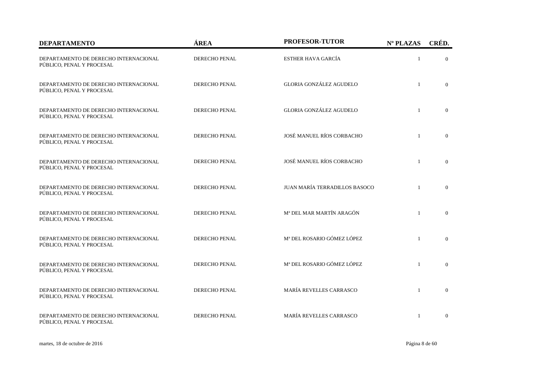| <b>DEPARTAMENTO</b>                                                | ÁREA                 | PROFESOR-TUTOR                 | Nº PLAZAS    | CRÉD.          |
|--------------------------------------------------------------------|----------------------|--------------------------------|--------------|----------------|
| DEPARTAMENTO DE DERECHO INTERNACIONAL<br>PÚBLICO, PENAL Y PROCESAL | DERECHO PENAL        | <b>ESTHER HAVA GARCÍA</b>      | $\mathbf{1}$ | $\theta$       |
| DEPARTAMENTO DE DERECHO INTERNACIONAL<br>PÚBLICO, PENAL Y PROCESAL | <b>DERECHO PENAL</b> | <b>GLORIA GONZÁLEZ AGUDELO</b> | $\mathbf{1}$ | $\Omega$       |
| DEPARTAMENTO DE DERECHO INTERNACIONAL<br>PÚBLICO, PENAL Y PROCESAL | DERECHO PENAL        | <b>GLORIA GONZÁLEZ AGUDELO</b> | $\mathbf{1}$ | $\overline{0}$ |
| DEPARTAMENTO DE DERECHO INTERNACIONAL<br>PÚBLICO, PENAL Y PROCESAL | DERECHO PENAL        | JOSÉ MANUEL RÍOS CORBACHO      | $\mathbf{1}$ | $\overline{0}$ |
| DEPARTAMENTO DE DERECHO INTERNACIONAL<br>PÚBLICO, PENAL Y PROCESAL | <b>DERECHO PENAL</b> | JOSÉ MANUEL RÍOS CORBACHO      | $\mathbf{1}$ | $\Omega$       |
| DEPARTAMENTO DE DERECHO INTERNACIONAL<br>PÚBLICO, PENAL Y PROCESAL | DERECHO PENAL        | JUAN MARÍA TERRADILLOS BASOCO  | $\mathbf{1}$ | $\overline{0}$ |
| DEPARTAMENTO DE DERECHO INTERNACIONAL<br>PÚBLICO, PENAL Y PROCESAL | DERECHO PENAL        | Mª DEL MAR MARTÍN ARAGÓN       | $\mathbf{1}$ | $\overline{0}$ |
| DEPARTAMENTO DE DERECHO INTERNACIONAL<br>PÚBLICO, PENAL Y PROCESAL | DERECHO PENAL        | Mª DEL ROSARIO GÓMEZ LÓPEZ     | $\mathbf{1}$ | $\Omega$       |
| DEPARTAMENTO DE DERECHO INTERNACIONAL<br>PÚBLICO, PENAL Y PROCESAL | <b>DERECHO PENAL</b> | Mª DEL ROSARIO GÓMEZ LÓPEZ     | $\mathbf{1}$ | $\Omega$       |
| DEPARTAMENTO DE DERECHO INTERNACIONAL<br>PÚBLICO, PENAL Y PROCESAL | DERECHO PENAL        | MARÍA REVELLES CARRASCO        | $\mathbf{1}$ | $\overline{0}$ |
| DEPARTAMENTO DE DERECHO INTERNACIONAL<br>PÚBLICO, PENAL Y PROCESAL | DERECHO PENAL        | MARÍA REVELLES CARRASCO        | $\mathbf{1}$ | $\overline{0}$ |

martes, 18 de octubre de 2016 Página 8 de 60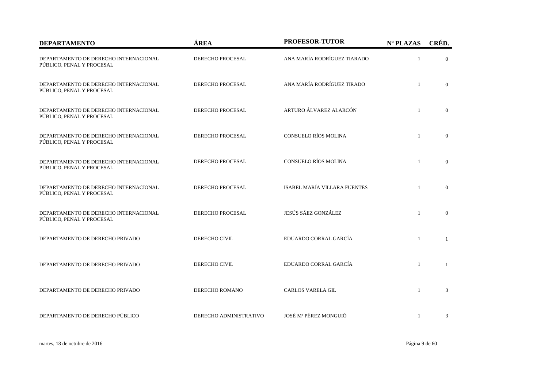| <b>DEPARTAMENTO</b>                                                | ÁREA                    | PROFESOR-TUTOR               | Nº PLAZAS    | CRÉD.          |
|--------------------------------------------------------------------|-------------------------|------------------------------|--------------|----------------|
| DEPARTAMENTO DE DERECHO INTERNACIONAL<br>PÚBLICO, PENAL Y PROCESAL | DERECHO PROCESAL        | ANA MARÍA RODRÍGUEZ TIARADO  | $\mathbf{1}$ | $\theta$       |
| DEPARTAMENTO DE DERECHO INTERNACIONAL<br>PÚBLICO, PENAL Y PROCESAL | <b>DERECHO PROCESAL</b> | ANA MARÍA RODRÍGUEZ TIRADO   | $\mathbf{1}$ | $\Omega$       |
| DEPARTAMENTO DE DERECHO INTERNACIONAL<br>PÚBLICO, PENAL Y PROCESAL | DERECHO PROCESAL        | ARTURO ÁLVAREZ ALARCÓN       | $\mathbf{1}$ | $\Omega$       |
| DEPARTAMENTO DE DERECHO INTERNACIONAL<br>PÚBLICO, PENAL Y PROCESAL | DERECHO PROCESAL        | CONSUELO RÍOS MOLINA         | $\mathbf{1}$ | $\overline{0}$ |
| DEPARTAMENTO DE DERECHO INTERNACIONAL<br>PÚBLICO, PENAL Y PROCESAL | DERECHO PROCESAL        | CONSUELO RÍOS MOLINA         | $\mathbf{1}$ | $\overline{0}$ |
| DEPARTAMENTO DE DERECHO INTERNACIONAL<br>PÚBLICO, PENAL Y PROCESAL | DERECHO PROCESAL        | ISABEL MARÍA VILLARA FUENTES | $\mathbf{1}$ | $\overline{0}$ |
| DEPARTAMENTO DE DERECHO INTERNACIONAL<br>PÚBLICO, PENAL Y PROCESAL | <b>DERECHO PROCESAL</b> | JESÚS SÁEZ GONZÁLEZ          | $\mathbf{1}$ | $\overline{0}$ |
| DEPARTAMENTO DE DERECHO PRIVADO                                    | DERECHO CIVIL           | EDUARDO CORRAL GARCÍA        | $\mathbf{1}$ | $\mathbf{1}$   |
| DEPARTAMENTO DE DERECHO PRIVADO                                    | DERECHO CIVIL           | EDUARDO CORRAL GARCÍA        | $\mathbf{1}$ | $\mathbf{1}$   |
| DEPARTAMENTO DE DERECHO PRIVADO                                    | DERECHO ROMANO          | <b>CARLOS VARELA GIL</b>     | $\mathbf{1}$ | 3              |
| DEPARTAMENTO DE DERECHO PÚBLICO                                    | DERECHO ADMINISTRATIVO  | JOSÉ Mª PÉREZ MONGUIÓ        | $\mathbf{1}$ | 3              |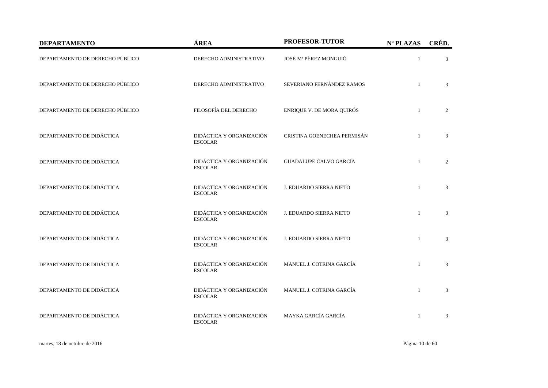| <b>DEPARTAMENTO</b>             | ÁREA                                       | PROFESOR-TUTOR                | Nº PLAZAS    | CRÉD. |
|---------------------------------|--------------------------------------------|-------------------------------|--------------|-------|
| DEPARTAMENTO DE DERECHO PÚBLICO | DERECHO ADMINISTRATIVO                     | JOSÉ Mª PÉREZ MONGUIÓ         | $\mathbf{1}$ | 3     |
| DEPARTAMENTO DE DERECHO PÚBLICO | DERECHO ADMINISTRATIVO                     | SEVERIANO FERNÁNDEZ RAMOS     | $\mathbf{1}$ | 3     |
| DEPARTAMENTO DE DERECHO PÚBLICO | FILOSOFÍA DEL DERECHO                      | ENRIQUE V. DE MORA QUIRÓS     | $\mathbf{1}$ | 2     |
| DEPARTAMENTO DE DIDÁCTICA       | DIDÁCTICA Y ORGANIZACIÓN<br><b>ESCOLAR</b> | CRISTINA GOENECHEA PERMISÁN   | $\mathbf{1}$ | 3     |
| DEPARTAMENTO DE DIDÁCTICA       | DIDÁCTICA Y ORGANIZACIÓN<br><b>ESCOLAR</b> | <b>GUADALUPE CALVO GARCÍA</b> | $\mathbf{1}$ | 2     |
| DEPARTAMENTO DE DIDÁCTICA       | DIDÁCTICA Y ORGANIZACIÓN<br><b>ESCOLAR</b> | J. EDUARDO SIERRA NIETO       | $\mathbf{1}$ | 3     |
| DEPARTAMENTO DE DIDÁCTICA       | DIDÁCTICA Y ORGANIZACIÓN<br><b>ESCOLAR</b> | J. EDUARDO SIERRA NIETO       | $\mathbf{1}$ | 3     |
| DEPARTAMENTO DE DIDÁCTICA       | DIDÁCTICA Y ORGANIZACIÓN<br><b>ESCOLAR</b> | J. EDUARDO SIERRA NIETO       | $\mathbf{1}$ | 3     |
| DEPARTAMENTO DE DIDÁCTICA       | DIDÁCTICA Y ORGANIZACIÓN<br><b>ESCOLAR</b> | MANUEL J. COTRINA GARCÍA      | $\mathbf{1}$ | 3     |
| DEPARTAMENTO DE DIDÁCTICA       | DIDÁCTICA Y ORGANIZACIÓN<br><b>ESCOLAR</b> | MANUEL J. COTRINA GARCÍA      | $\mathbf{1}$ | 3     |
| DEPARTAMENTO DE DIDÁCTICA       | DIDÁCTICA Y ORGANIZACIÓN<br><b>ESCOLAR</b> | MAYKA GARCÍA GARCÍA           |              | 3     |

martes, 18 de octubre de 2016 Página 10 de 60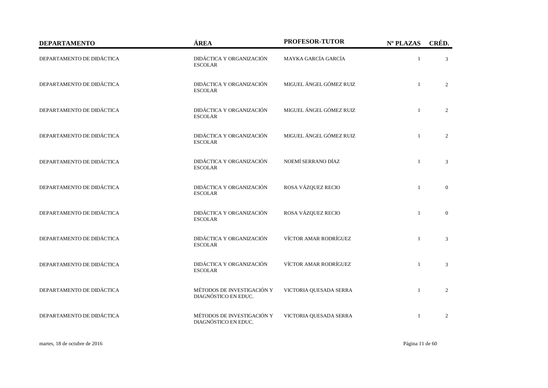| <b>DEPARTAMENTO</b>       | ÁREA                                               | PROFESOR-TUTOR          | Nº PLAZAS    | CRÉD.            |
|---------------------------|----------------------------------------------------|-------------------------|--------------|------------------|
| DEPARTAMENTO DE DIDÁCTICA | DIDÁCTICA Y ORGANIZACIÓN<br><b>ESCOLAR</b>         | MAYKA GARCÍA GARCÍA     | $\mathbf{1}$ | 3                |
| DEPARTAMENTO DE DIDÁCTICA | DIDÁCTICA Y ORGANIZACIÓN<br><b>ESCOLAR</b>         | MIGUEL ÁNGEL GÓMEZ RUIZ | $\mathbf{1}$ | 2                |
| DEPARTAMENTO DE DIDÁCTICA | DIDÁCTICA Y ORGANIZACIÓN<br><b>ESCOLAR</b>         | MIGUEL ÁNGEL GÓMEZ RUIZ | $\mathbf{1}$ | $\overline{2}$   |
| DEPARTAMENTO DE DIDÁCTICA | DIDÁCTICA Y ORGANIZACIÓN<br><b>ESCOLAR</b>         | MIGUEL ÁNGEL GÓMEZ RUIZ | $\mathbf{1}$ | 2                |
| DEPARTAMENTO DE DIDÁCTICA | DIDÁCTICA Y ORGANIZACIÓN<br><b>ESCOLAR</b>         | NOEMÍ SERRANO DÍAZ      | $\mathbf{1}$ | 3                |
| DEPARTAMENTO DE DIDÁCTICA | DIDÁCTICA Y ORGANIZACIÓN<br><b>ESCOLAR</b>         | ROSA VÁZQUEZ RECIO      | $\mathbf{1}$ | $\overline{0}$   |
| DEPARTAMENTO DE DIDÁCTICA | DIDÁCTICA Y ORGANIZACIÓN<br><b>ESCOLAR</b>         | ROSA VÁZQUEZ RECIO      | $\mathbf{1}$ | $\boldsymbol{0}$ |
| DEPARTAMENTO DE DIDÁCTICA | DIDÁCTICA Y ORGANIZACIÓN<br><b>ESCOLAR</b>         | VÍCTOR AMAR RODRÍGUEZ   | $\mathbf{1}$ | 3                |
| DEPARTAMENTO DE DIDÁCTICA | DIDÁCTICA Y ORGANIZACIÓN<br><b>ESCOLAR</b>         | VÍCTOR AMAR RODRÍGUEZ   | $\mathbf{1}$ | 3                |
| DEPARTAMENTO DE DIDÁCTICA | MÉTODOS DE INVESTIGACIÓN Y<br>DIAGNÓSTICO EN EDUC. | VICTORIA QUESADA SERRA  | $\mathbf{1}$ | 2                |
| DEPARTAMENTO DE DIDÁCTICA | MÉTODOS DE INVESTIGACIÓN Y<br>DIAGNÓSTICO EN EDUC. | VICTORIA QUESADA SERRA  | $\mathbf{1}$ | 2                |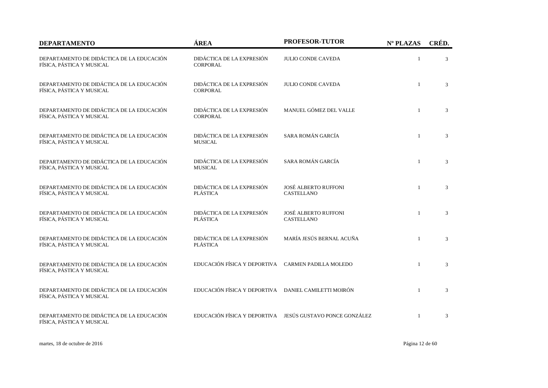| <b>DEPARTAMENTO</b>                                                    | ÁREA                                                 | <b>PROFESOR-TUTOR</b>                                     | Nº PLAZAS    | CRÉD. |
|------------------------------------------------------------------------|------------------------------------------------------|-----------------------------------------------------------|--------------|-------|
| DEPARTAMENTO DE DIDÁCTICA DE LA EDUCACIÓN<br>FÍSICA, PÁSTICA Y MUSICAL | DIDÁCTICA DE LA EXPRESIÓN<br>CORPORAL                | <b>JULIO CONDE CAVEDA</b>                                 | $\mathbf{1}$ | 3     |
| DEPARTAMENTO DE DIDÁCTICA DE LA EDUCACIÓN<br>FÍSICA, PÁSTICA Y MUSICAL | DIDÁCTICA DE LA EXPRESIÓN<br><b>CORPORAL</b>         | <b>JULIO CONDE CAVEDA</b>                                 | $\mathbf{1}$ | 3     |
| DEPARTAMENTO DE DIDÁCTICA DE LA EDUCACIÓN<br>FÍSICA, PÁSTICA Y MUSICAL | DIDÁCTICA DE LA EXPRESIÓN<br><b>CORPORAL</b>         | MANUEL GÓMEZ DEL VALLE                                    | $\mathbf{1}$ | 3     |
| DEPARTAMENTO DE DIDÁCTICA DE LA EDUCACIÓN<br>FÍSICA, PÁSTICA Y MUSICAL | DIDÁCTICA DE LA EXPRESIÓN<br><b>MUSICAL</b>          | SARA ROMÁN GARCÍA                                         | $\mathbf{1}$ | 3     |
| DEPARTAMENTO DE DIDÁCTICA DE LA EDUCACIÓN<br>FÍSICA, PÁSTICA Y MUSICAL | DIDÁCTICA DE LA EXPRESIÓN<br><b>MUSICAL</b>          | SARA ROMÁN GARCÍA                                         | $\mathbf{1}$ | 3     |
| DEPARTAMENTO DE DIDÁCTICA DE LA EDUCACIÓN<br>FÍSICA, PÁSTICA Y MUSICAL | DIDÁCTICA DE LA EXPRESIÓN<br><b>PLÁSTICA</b>         | <b>JOSÉ ALBERTO RUFFONI</b><br>CASTELLANO                 | $\mathbf{1}$ | 3     |
| DEPARTAMENTO DE DIDÁCTICA DE LA EDUCACIÓN<br>FÍSICA, PÁSTICA Y MUSICAL | DIDÁCTICA DE LA EXPRESIÓN<br><b>PLÁSTICA</b>         | <b>JOSÉ ALBERTO RUFFONI</b><br><b>CASTELLANO</b>          | $\mathbf{1}$ | 3     |
| DEPARTAMENTO DE DIDÁCTICA DE LA EDUCACIÓN<br>FÍSICA, PÁSTICA Y MUSICAL | DIDÁCTICA DE LA EXPRESIÓN<br>PLÁSTICA                | MARÍA JESÚS BERNAL ACUÑA                                  | $\mathbf{1}$ | 3     |
| DEPARTAMENTO DE DIDÁCTICA DE LA EDUCACIÓN<br>FÍSICA, PÁSTICA Y MUSICAL | EDUCACIÓN FÍSICA Y DEPORTIVA CARMEN PADILLA MOLEDO   |                                                           | $\mathbf{1}$ | 3     |
| DEPARTAMENTO DE DIDÁCTICA DE LA EDUCACIÓN<br>FÍSICA, PÁSTICA Y MUSICAL | EDUCACIÓN FÍSICA Y DEPORTIVA DANIEL CAMILETTI MOIRÓN |                                                           | $\mathbf{1}$ | 3     |
| DEPARTAMENTO DE DIDÁCTICA DE LA EDUCACIÓN<br>FÍSICA, PÁSTICA Y MUSICAL |                                                      | EDUCACIÓN FÍSICA Y DEPORTIVA JESÚS GUSTAVO PONCE GONZÁLEZ | $\mathbf{1}$ | 3     |

martes, 18 de octubre de 2016 Página 12 de 60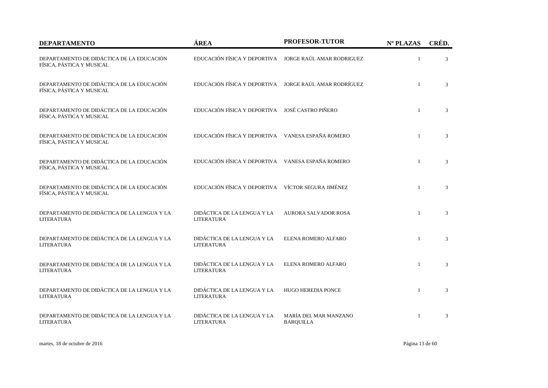| <b>DEPARTAMENTO</b>                                                    | ÁREA                                                   | <b>PROFESOR-TUTOR</b>                     | Nº PLAZAS      | CRÉD.          |
|------------------------------------------------------------------------|--------------------------------------------------------|-------------------------------------------|----------------|----------------|
| DEPARTAMENTO DE DIDÁCTICA DE LA EDUCACIÓN<br>FÍSICA, PÁSTICA Y MUSICAL | EDUCACIÓN FÍSICA Y DEPORTIVA JORGE RAÚL AMAR RODRIGUEZ |                                           | $\mathbf{1}$   | 3              |
| DEPARTAMENTO DE DIDÁCTICA DE LA EDUCACIÓN<br>FÍSICA, PÁSTICA Y MUSICAL | EDUCACIÓN FÍSICA Y DEPORTIVA JORGE RAÚL AMAR RODRÍGUEZ |                                           | $\mathbf{1}$   | 3              |
| DEPARTAMENTO DE DIDÁCTICA DE LA EDUCACIÓN<br>FÍSICA, PÁSTICA Y MUSICAL | EDUCACIÓN FÍSICA Y DEPORTIVA JOSÉ CASTRO PIÑERO        |                                           | $\mathbf{1}$   | $\mathfrak{Z}$ |
| DEPARTAMENTO DE DIDÁCTICA DE LA EDUCACIÓN<br>FÍSICA, PÁSTICA Y MUSICAL | EDUCACIÓN FÍSICA Y DEPORTIVA VANESA ESPAÑA ROMERO      |                                           | $\mathbf{1}$   | 3              |
| DEPARTAMENTO DE DIDÁCTICA DE LA EDUCACIÓN<br>FÍSICA, PÁSTICA Y MUSICAL | EDUCACIÓN FÍSICA Y DEPORTIVA VANESA ESPAÑA ROMERO      |                                           | $\overline{1}$ | 3              |
| DEPARTAMENTO DE DIDÁCTICA DE LA EDUCACIÓN<br>FÍSICA, PÁSTICA Y MUSICAL | EDUCACIÓN FÍSICA Y DEPORTIVA VÍCTOR SEGURA JIMÉNEZ     |                                           | $\overline{1}$ | 3              |
| DEPARTAMENTO DE DIDÁCTICA DE LA LENGUA Y LA<br>LITERATURA              | DIDÁCTICA DE LA LENGUA Y LA<br>LITERATURA              | <b>AURORA SALVADOR ROSA</b>               | $\overline{1}$ | 3              |
| DEPARTAMENTO DE DIDÁCTICA DE LA LENGUA Y LA<br><b>LITERATURA</b>       | DIDÁCTICA DE LA LENGUA Y LA<br><b>LITERATURA</b>       | ELENA ROMERO ALFARO                       | $\overline{1}$ | 3              |
| DEPARTAMENTO DE DIDÁCTICA DE LA LENGUA Y LA<br><b>LITERATURA</b>       | DIDÁCTICA DE LA LENGUA Y LA<br><b>LITERATURA</b>       | ELENA ROMERO ALFARO                       | $\mathbf{1}$   | 3              |
| DEPARTAMENTO DE DIDÁCTICA DE LA LENGUA Y LA<br>LITERATURA              | DIDÁCTICA DE LA LENGUA Y LA<br>LITERATURA              | <b>HUGO HEREDIA PONCE</b>                 | $\mathbf{1}$   | 3              |
| DEPARTAMENTO DE DIDÁCTICA DE LA LENGUA Y LA<br><b>LITERATURA</b>       | DIDÁCTICA DE LA LENGUA Y LA<br>LITERATURA              | MARÍA DEL MAR MANZANO<br><b>BARQUILLA</b> | -1             | 3              |

martes, 18 de octubre de 2016 Página 13 de 60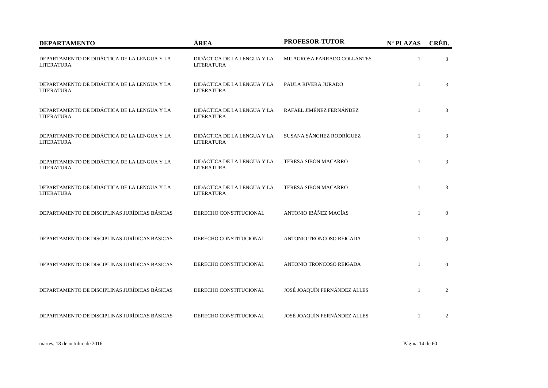| <b>DEPARTAMENTO</b>                                              | ÁREA                                             | <b>PROFESOR-TUTOR</b>        | Nº PLAZAS    | CRÉD.        |
|------------------------------------------------------------------|--------------------------------------------------|------------------------------|--------------|--------------|
| DEPARTAMENTO DE DIDÁCTICA DE LA LENGUA Y LA<br><b>LITERATURA</b> | DIDÁCTICA DE LA LENGUA Y LA<br><b>LITERATURA</b> | MILAGROSA PARRADO COLLANTES  | $\mathbf{1}$ | 3            |
| DEPARTAMENTO DE DIDÁCTICA DE LA LENGUA Y LA<br><b>LITERATURA</b> | DIDÁCTICA DE LA LENGUA Y LA<br><b>LITERATURA</b> | PAULA RIVERA JURADO          | $\mathbf{1}$ | 3            |
| DEPARTAMENTO DE DIDÁCTICA DE LA LENGUA Y LA<br><b>LITERATURA</b> | DIDÁCTICA DE LA LENGUA Y LA<br>LITERATURA        | RAFAEL JIMÉNEZ FERNÁNDEZ     | $\mathbf{1}$ | 3            |
| DEPARTAMENTO DE DIDÁCTICA DE LA LENGUA Y LA<br><b>LITERATURA</b> | DIDÁCTICA DE LA LENGUA Y LA<br><b>LITERATURA</b> | SUSANA SÁNCHEZ RODRÍGUEZ     | $\mathbf{1}$ | 3            |
| DEPARTAMENTO DE DIDÁCTICA DE LA LENGUA Y LA<br><b>LITERATURA</b> | DIDÁCTICA DE LA LENGUA Y LA<br><b>LITERATURA</b> | TERESA SIBÓN MACARRO         | $\mathbf{1}$ | 3            |
| DEPARTAMENTO DE DIDÁCTICA DE LA LENGUA Y LA<br><b>LITERATURA</b> | DIDÁCTICA DE LA LENGUA Y LA<br><b>LITERATURA</b> | TERESA SIBÓN MACARRO         | $\mathbf{1}$ | 3            |
| DEPARTAMENTO DE DISCIPLINAS JURÍDICAS BÁSICAS                    | DERECHO CONSTITUCIONAL                           | ANTONIO IBÁÑEZ MACÍAS        | $\mathbf{1}$ | $\mathbf{0}$ |
| DEPARTAMENTO DE DISCIPLINAS JURÍDICAS BÁSICAS                    | DERECHO CONSTITUCIONAL                           | ANTONIO TRONCOSO REIGADA     | $\mathbf{1}$ | $\mathbf{0}$ |
| DEPARTAMENTO DE DISCIPLINAS JURÍDICAS BÁSICAS                    | DERECHO CONSTITUCIONAL                           | ANTONIO TRONCOSO REIGADA     | $\mathbf{1}$ | $\mathbf{0}$ |
| DEPARTAMENTO DE DISCIPLINAS JURÍDICAS BÁSICAS                    | DERECHO CONSTITUCIONAL                           | JOSÉ JOAQUÍN FERNÁNDEZ ALLES | $\mathbf{1}$ | 2            |
| DEPARTAMENTO DE DISCIPLINAS JURÍDICAS BÁSICAS                    | DERECHO CONSTITUCIONAL                           | JOSÉ JOAQUÍN FERNÁNDEZ ALLES | $\mathbf{1}$ | 2            |

martes, 18 de octubre de 2016 Página 14 de 60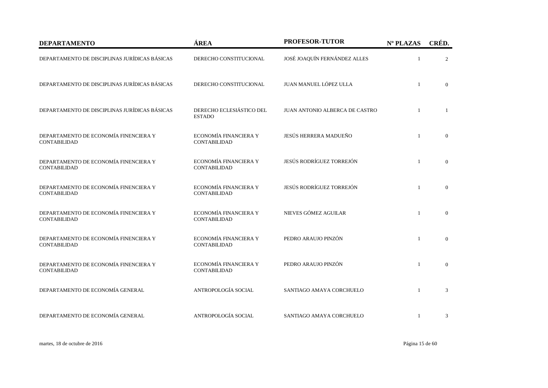| <b>DEPARTAMENTO</b>                                          | ÁREA                                         | PROFESOR-TUTOR                 | Nº PLAZAS    | CRÉD.          |
|--------------------------------------------------------------|----------------------------------------------|--------------------------------|--------------|----------------|
| DEPARTAMENTO DE DISCIPLINAS JURÍDICAS BÁSICAS                | DERECHO CONSTITUCIONAL                       | JOSÉ JOAQUÍN FERNÁNDEZ ALLES   | 1            | 2              |
| DEPARTAMENTO DE DISCIPLINAS JURÍDICAS BÁSICAS                | DERECHO CONSTITUCIONAL                       | JUAN MANUEL LÓPEZ ULLA         | $\mathbf{1}$ | $\mathbf{0}$   |
| DEPARTAMENTO DE DISCIPLINAS JURÍDICAS BÁSICAS                | DERECHO ECLESIÁSTICO DEL<br><b>ESTADO</b>    | JUAN ANTONIO ALBERCA DE CASTRO |              | -1             |
| DEPARTAMENTO DE ECONOMÍA FINENCIERA Y<br><b>CONTABILIDAD</b> | ECONOMÍA FINANCIERA Y<br><b>CONTABILIDAD</b> | JESÚS HERRERA MADUEÑO          | $\mathbf{1}$ | $\mathbf{0}$   |
| DEPARTAMENTO DE ECONOMÍA FINENCIERA Y<br>CONTABILIDAD        | ECONOMÍA FINANCIERA Y<br>CONTABILIDAD        | JESÚS RODRÍGUEZ TORREJÓN       | $\mathbf{1}$ | $\overline{0}$ |
| DEPARTAMENTO DE ECONOMÍA FINENCIERA Y<br><b>CONTABILIDAD</b> | ECONOMÍA FINANCIERA Y<br><b>CONTABILIDAD</b> | JESÚS RODRÍGUEZ TORREJÓN       | $\mathbf{1}$ | $\mathbf{0}$   |
| DEPARTAMENTO DE ECONOMÍA FINENCIERA Y<br><b>CONTABILIDAD</b> | ECONOMÍA FINANCIERA Y<br><b>CONTABILIDAD</b> | NIEVES GÓMEZ AGUILAR           | $\mathbf{1}$ | $\overline{0}$ |
| DEPARTAMENTO DE ECONOMÍA FINENCIERA Y<br><b>CONTABILIDAD</b> | ECONOMÍA FINANCIERA Y<br><b>CONTABILIDAD</b> | PEDRO ARAUJO PINZÓN            | $\mathbf{1}$ | $\overline{0}$ |
| DEPARTAMENTO DE ECONOMÍA FINENCIERA Y<br><b>CONTABILIDAD</b> | ECONOMÍA FINANCIERA Y<br><b>CONTABILIDAD</b> | PEDRO ARAUJO PINZÓN            | $\mathbf{1}$ | $\mathbf{0}$   |
| DEPARTAMENTO DE ECONOMÍA GENERAL                             | ANTROPOLOGÍA SOCIAL                          | SANTIAGO AMAYA CORCHUELO       | $\mathbf{1}$ | 3              |
| DEPARTAMENTO DE ECONOMÍA GENERAL                             | ANTROPOLOGÍA SOCIAL                          | SANTIAGO AMAYA CORCHUELO       | $\mathbf{1}$ | 3              |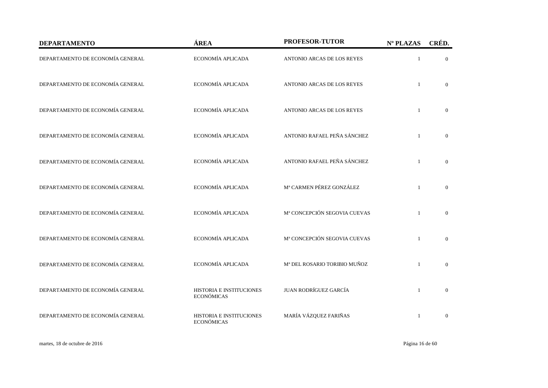| <b>DEPARTAMENTO</b>              | ÁREA                                          | PROFESOR-TUTOR               | Nº PLAZAS      | CRÉD.          |
|----------------------------------|-----------------------------------------------|------------------------------|----------------|----------------|
| DEPARTAMENTO DE ECONOMÍA GENERAL | ECONOMÍA APLICADA                             | ANTONIO ARCAS DE LOS REYES   |                | $\overline{0}$ |
| DEPARTAMENTO DE ECONOMÍA GENERAL | ECONOMÍA APLICADA                             | ANTONIO ARCAS DE LOS REYES   |                | $\Omega$       |
| DEPARTAMENTO DE ECONOMÍA GENERAL | ECONOMÍA APLICADA                             | ANTONIO ARCAS DE LOS REYES   | $\mathbf{1}$   | $\overline{0}$ |
| DEPARTAMENTO DE ECONOMÍA GENERAL | ECONOMÍA APLICADA                             | ANTONIO RAFAEL PEÑA SÁNCHEZ  |                | $\overline{0}$ |
| DEPARTAMENTO DE ECONOMÍA GENERAL | ECONOMÍA APLICADA                             | ANTONIO RAFAEL PEÑA SÁNCHEZ  | $\overline{1}$ | $\overline{0}$ |
| DEPARTAMENTO DE ECONOMÍA GENERAL | ECONOMÍA APLICADA                             | Mª CARMEN PÉREZ GONZÁLEZ     | $\mathbf{1}$   | $\overline{0}$ |
| DEPARTAMENTO DE ECONOMÍA GENERAL | ECONOMÍA APLICADA                             | Mª CONCEPCIÓN SEGOVIA CUEVAS | $\mathbf{1}$   | $\overline{0}$ |
| DEPARTAMENTO DE ECONOMÍA GENERAL | ECONOMÍA APLICADA                             | Mª CONCEPCIÓN SEGOVIA CUEVAS | -1             | $\overline{0}$ |
| DEPARTAMENTO DE ECONOMÍA GENERAL | ECONOMÍA APLICADA                             | Mª DEL ROSARIO TORIBIO MUÑOZ | $\mathbf{1}$   | $\mathbf{0}$   |
| DEPARTAMENTO DE ECONOMÍA GENERAL | HISTORIA E INSTITUCIONES<br><b>ECONÓMICAS</b> | JUAN RODRÍGUEZ GARCÍA        | $\mathbf{1}$   | $\overline{0}$ |
| DEPARTAMENTO DE ECONOMÍA GENERAL | HISTORIA E INSTITUCIONES<br><b>ECONÓMICAS</b> | MARÍA VÁZQUEZ FARIÑAS        |                | $\overline{0}$ |

martes, 18 de octubre de 2016 Página 16 de 60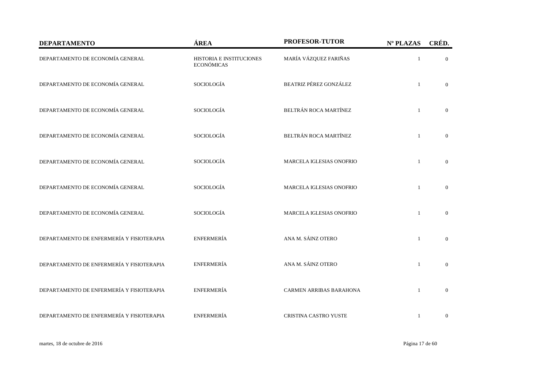| <b>DEPARTAMENTO</b>                       | ÁREA                                          | PROFESOR-TUTOR                 | Nº PLAZAS    | CRÉD.          |
|-------------------------------------------|-----------------------------------------------|--------------------------------|--------------|----------------|
| DEPARTAMENTO DE ECONOMÍA GENERAL          | HISTORIA E INSTITUCIONES<br><b>ECONÓMICAS</b> | MARÍA VÁZQUEZ FARIÑAS          | $\mathbf{1}$ | $\overline{0}$ |
| DEPARTAMENTO DE ECONOMÍA GENERAL          | SOCIOLOGÍA                                    | BEATRIZ PÉREZ GONZÁLEZ         | $\mathbf{1}$ | $\Omega$       |
| DEPARTAMENTO DE ECONOMÍA GENERAL          | SOCIOLOGÍA                                    | BELTRÁN ROCA MARTÍNEZ          | $\mathbf{1}$ | $\overline{0}$ |
| DEPARTAMENTO DE ECONOMÍA GENERAL          | SOCIOLOGÍA                                    | BELTRÁN ROCA MARTÍNEZ          | $\mathbf{1}$ | $\mathbf{0}$   |
| DEPARTAMENTO DE ECONOMÍA GENERAL          | SOCIOLOGÍA                                    | MARCELA IGLESIAS ONOFRIO       | $\mathbf{1}$ | $\mathbf{0}$   |
| DEPARTAMENTO DE ECONOMÍA GENERAL          | SOCIOLOGÍA                                    | MARCELA IGLESIAS ONOFRIO       | $\mathbf{1}$ | $\overline{0}$ |
| DEPARTAMENTO DE ECONOMÍA GENERAL          | SOCIOLOGÍA                                    | MARCELA IGLESIAS ONOFRIO       | $\mathbf{1}$ | $\overline{0}$ |
| DEPARTAMENTO DE ENFERMERÍA Y FISIOTERAPIA | <b>ENFERMERÍA</b>                             | ANA M. SÁINZ OTERO             | $\mathbf{1}$ | $\mathbf{0}$   |
| DEPARTAMENTO DE ENFERMERÍA Y FISIOTERAPIA | ENFERMERÍA                                    | ANA M. SÁINZ OTERO             | $\mathbf{1}$ | $\mathbf{0}$   |
| DEPARTAMENTO DE ENFERMERÍA Y FISIOTERAPIA | <b>ENFERMERÍA</b>                             | <b>CARMEN ARRIBAS BARAHONA</b> | $\mathbf{1}$ | $\overline{0}$ |
| DEPARTAMENTO DE ENFERMERÍA Y FISIOTERAPIA | <b>ENFERMERÍA</b>                             | CRISTINA CASTRO YUSTE          | $\mathbf{1}$ | $\mathbf{0}$   |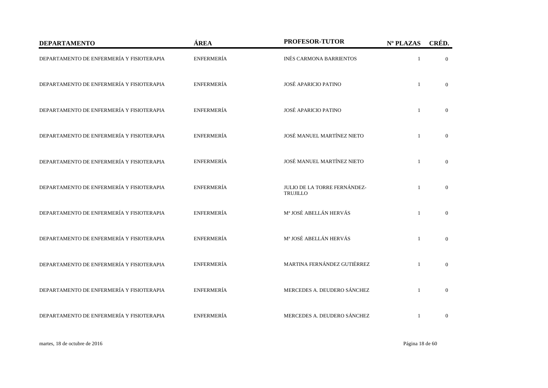| <b>DEPARTAMENTO</b>                       | ÁREA              | PROFESOR-TUTOR                                  | Nº PLAZAS    | CRÉD.          |
|-------------------------------------------|-------------------|-------------------------------------------------|--------------|----------------|
| DEPARTAMENTO DE ENFERMERÍA Y FISIOTERAPIA | <b>ENFERMERÍA</b> | INÉS CARMONA BARRIENTOS                         | $\mathbf{1}$ | $\mathbf{0}$   |
| DEPARTAMENTO DE ENFERMERÍA Y FISIOTERAPIA | <b>ENFERMERÍA</b> | JOSÉ APARICIO PATINO                            | $\mathbf{1}$ | $\overline{0}$ |
| DEPARTAMENTO DE ENFERMERÍA Y FISIOTERAPIA | <b>ENFERMERÍA</b> | JOSÉ APARICIO PATINO                            | $\mathbf{1}$ | $\overline{0}$ |
| DEPARTAMENTO DE ENFERMERÍA Y FISIOTERAPIA | <b>ENFERMERÍA</b> | JOSÉ MANUEL MARTÍNEZ NIETO                      | $\mathbf{1}$ | $\mathbf{0}$   |
| DEPARTAMENTO DE ENFERMERÍA Y FISIOTERAPIA | <b>ENFERMERÍA</b> | JOSÉ MANUEL MARTÍNEZ NIETO                      | $\mathbf{1}$ | $\mathbf{0}$   |
| DEPARTAMENTO DE ENFERMERÍA Y FISIOTERAPIA | ENFERMERÍA        | JULIO DE LA TORRE FERNÁNDEZ-<br><b>TRUJILLO</b> | $\mathbf{1}$ | $\mathbf{0}$   |
| DEPARTAMENTO DE ENFERMERÍA Y FISIOTERAPIA | <b>ENFERMERÍA</b> | Mª JOSÉ ABELLÁN HERVÁS                          | $\mathbf{1}$ | $\mathbf{0}$   |
| DEPARTAMENTO DE ENFERMERÍA Y FISIOTERAPIA | <b>ENFERMERÍA</b> | Mª JOSÉ ABELLÁN HERVÁS                          | $\mathbf{1}$ | $\overline{0}$ |
| DEPARTAMENTO DE ENFERMERÍA Y FISIOTERAPIA | <b>ENFERMERÍA</b> | MARTINA FERNÁNDEZ GUTIÉRREZ                     | $\mathbf{1}$ | $\mathbf{0}$   |
| DEPARTAMENTO DE ENFERMERÍA Y FISIOTERAPIA | <b>ENFERMERÍA</b> | MERCEDES A. DEUDERO SÁNCHEZ                     | $\mathbf{1}$ | $\mathbf{0}$   |
| DEPARTAMENTO DE ENFERMERÍA Y FISIOTERAPIA | ENFERMERÍA        | MERCEDES A. DEUDERO SÁNCHEZ                     | $\mathbf{1}$ | $\mathbf{0}$   |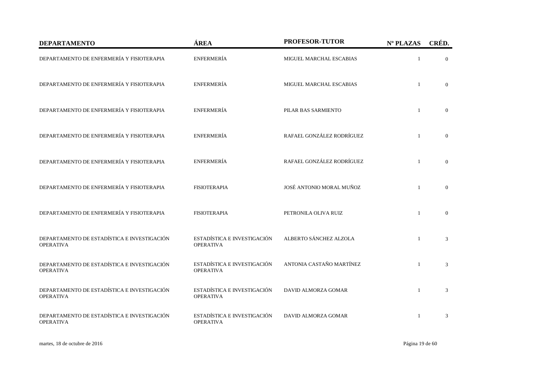| <b>DEPARTAMENTO</b>                                             | ÁREA                                            | <b>PROFESOR-TUTOR</b>      | Nº PLAZAS      | CRÉD.          |
|-----------------------------------------------------------------|-------------------------------------------------|----------------------------|----------------|----------------|
| DEPARTAMENTO DE ENFERMERÍA Y FISIOTERAPIA                       | <b>ENFERMERÍA</b>                               | MIGUEL MARCHAL ESCABIAS    | $\overline{1}$ | $\Omega$       |
| DEPARTAMENTO DE ENFERMERÍA Y FISIOTERAPIA                       | ENFERMERÍA                                      | MIGUEL MARCHAL ESCABIAS    | $\overline{1}$ | $\overline{0}$ |
| DEPARTAMENTO DE ENFERMERÍA Y FISIOTERAPIA                       | <b>ENFERMERÍA</b>                               | PILAR BAS SARMIENTO        | $\mathbf{1}$   | $\overline{0}$ |
| DEPARTAMENTO DE ENFERMERÍA Y FISIOTERAPIA                       | <b>ENFERMERÍA</b>                               | RAFAEL GONZÁLEZ RODRÍGUEZ  | $\overline{1}$ | $\overline{0}$ |
| DEPARTAMENTO DE ENFERMERÍA Y FISIOTERAPIA                       | <b>ENFERMERÍA</b>                               | RAFAEL GONZÁLEZ RODRÍGUEZ  | $\overline{1}$ | $\theta$       |
| DEPARTAMENTO DE ENFERMERÍA Y FISIOTERAPIA                       | <b>FISIOTERAPIA</b>                             | JOSÉ ANTONIO MORAL MUÑOZ   | $\mathbf{1}$   | $\overline{0}$ |
| DEPARTAMENTO DE ENFERMERÍA Y FISIOTERAPIA                       | <b>FISIOTERAPIA</b>                             | PETRONILA OLIVA RUIZ       | $\overline{1}$ | $\overline{0}$ |
| DEPARTAMENTO DE ESTADÍSTICA E INVESTIGACIÓN<br><b>OPERATIVA</b> | ESTADÍSTICA E INVESTIGACIÓN<br><b>OPERATIVA</b> | ALBERTO SÁNCHEZ ALZOLA     | $\overline{1}$ | 3              |
| DEPARTAMENTO DE ESTADÍSTICA E INVESTIGACIÓN<br><b>OPERATIVA</b> | ESTADÍSTICA E INVESTIGACIÓN<br><b>OPERATIVA</b> | ANTONIA CASTAÑO MARTÍNEZ   | $\mathbf{1}$   | 3              |
| DEPARTAMENTO DE ESTADÍSTICA E INVESTIGACIÓN<br><b>OPERATIVA</b> | ESTADÍSTICA E INVESTIGACIÓN<br><b>OPERATIVA</b> | <b>DAVID ALMORZA GOMAR</b> | $\overline{1}$ | 3              |
| DEPARTAMENTO DE ESTADÍSTICA E INVESTIGACIÓN<br><b>OPERATIVA</b> | ESTADÍSTICA E INVESTIGACIÓN<br><b>OPERATIVA</b> | DAVID ALMORZA GOMAR        | $\overline{1}$ | 3              |

martes, 18 de octubre de 2016 Página 19 de 60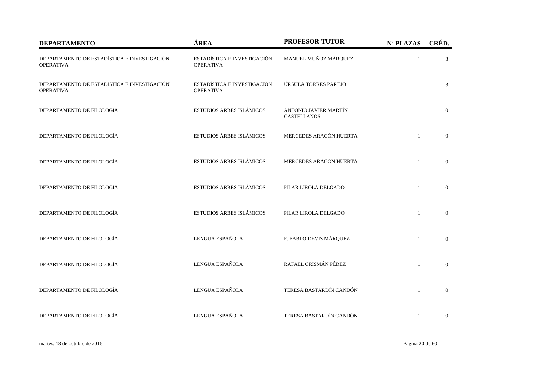| <b>DEPARTAMENTO</b>                                             | ÁREA                                            | <b>PROFESOR-TUTOR</b>                       | Nº PLAZAS    | CRÉD.          |
|-----------------------------------------------------------------|-------------------------------------------------|---------------------------------------------|--------------|----------------|
| DEPARTAMENTO DE ESTADÍSTICA E INVESTIGACIÓN<br><b>OPERATIVA</b> | ESTADÍSTICA E INVESTIGACIÓN<br><b>OPERATIVA</b> | MANUEL MUÑOZ MÁRQUEZ                        | $\mathbf{1}$ | 3              |
| DEPARTAMENTO DE ESTADÍSTICA E INVESTIGACIÓN<br><b>OPERATIVA</b> | ESTADÍSTICA E INVESTIGACIÓN<br><b>OPERATIVA</b> | ÚRSULA TORRES PAREJO                        | $\mathbf{1}$ | 3              |
| DEPARTAMENTO DE FILOLOGÍA                                       | ESTUDIOS ÁRBES ISLÁMICOS                        | ANTONIO JAVIER MARTÍN<br><b>CASTELLANOS</b> | $\mathbf{1}$ | $\mathbf{0}$   |
| DEPARTAMENTO DE FILOLOGÍA                                       | ESTUDIOS ÁRBES ISLÁMICOS                        | MERCEDES ARAGÓN HUERTA                      | $\mathbf{1}$ | $\mathbf{0}$   |
| DEPARTAMENTO DE FILOLOGÍA                                       | ESTUDIOS ÁRBES ISLÁMICOS                        | MERCEDES ARAGÓN HUERTA                      | $\mathbf{1}$ | $\mathbf{0}$   |
| DEPARTAMENTO DE FILOLOGÍA                                       | ESTUDIOS ÁRBES ISLÁMICOS                        | PILAR LIROLA DELGADO                        | $\mathbf{1}$ | $\overline{0}$ |
| DEPARTAMENTO DE FILOLOGÍA                                       | ESTUDIOS ÁRBES ISLÁMICOS                        | PILAR LIROLA DELGADO                        | $\mathbf{1}$ | $\overline{0}$ |
| DEPARTAMENTO DE FILOLOGÍA                                       | LENGUA ESPAÑOLA                                 | P. PABLO DEVIS MÁRQUEZ                      | $\mathbf{1}$ | $\mathbf{0}$   |
| DEPARTAMENTO DE FILOLOGÍA                                       | LENGUA ESPAÑOLA                                 | RAFAEL CRISMÁN PÉREZ                        | $\mathbf{1}$ | $\mathbf{0}$   |
| DEPARTAMENTO DE FILOLOGÍA                                       | LENGUA ESPAÑOLA                                 | TERESA BASTARDÍN CANDÓN                     | $\mathbf{1}$ | $\mathbf{0}$   |
| DEPARTAMENTO DE FILOLOGÍA                                       | LENGUA ESPAÑOLA                                 | TERESA BASTARDÍN CANDÓN                     | $\mathbf{1}$ | $\mathbf{0}$   |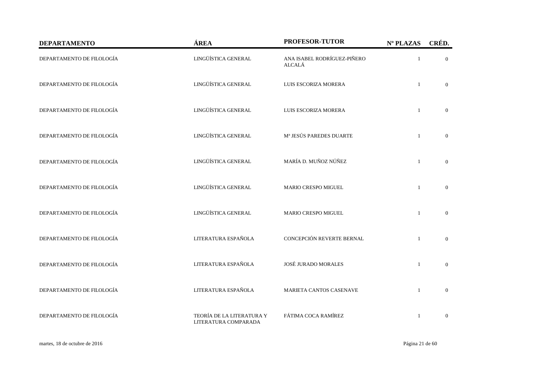| <b>DEPARTAMENTO</b>       | ÁREA                                              | <b>PROFESOR-TUTOR</b>                        | Nº PLAZAS    | CRÉD.          |
|---------------------------|---------------------------------------------------|----------------------------------------------|--------------|----------------|
| DEPARTAMENTO DE FILOLOGÍA | LINGÜÍSTICA GENERAL                               | ANA ISABEL RODRÍGUEZ-PIÑERO<br><b>ALCALÁ</b> | $\mathbf{1}$ | $\overline{0}$ |
| DEPARTAMENTO DE FILOLOGÍA | LINGÜÍSTICA GENERAL                               | LUIS ESCORIZA MORERA                         | $\mathbf{1}$ | $\overline{0}$ |
| DEPARTAMENTO DE FILOLOGÍA | LINGÜÍSTICA GENERAL                               | LUIS ESCORIZA MORERA                         | $\mathbf{1}$ | $\mathbf{0}$   |
| DEPARTAMENTO DE FILOLOGÍA | LINGÜÍSTICA GENERAL                               | Mª JESÚS PAREDES DUARTE                      | $\mathbf{1}$ | $\overline{0}$ |
| DEPARTAMENTO DE FILOLOGÍA | LINGÜÍSTICA GENERAL                               | MARÍA D. MUÑOZ NÚÑEZ                         | $\mathbf{1}$ | $\Omega$       |
| DEPARTAMENTO DE FILOLOGÍA | LINGÜÍSTICA GENERAL                               | <b>MARIO CRESPO MIGUEL</b>                   | $\mathbf{1}$ | $\overline{0}$ |
| DEPARTAMENTO DE FILOLOGÍA | LINGÜÍSTICA GENERAL                               | <b>MARIO CRESPO MIGUEL</b>                   | $\mathbf{1}$ | $\mathbf{0}$   |
| DEPARTAMENTO DE FILOLOGÍA | LITERATURA ESPAÑOLA                               | CONCEPCIÓN REVERTE BERNAL                    | $\mathbf{1}$ | $\overline{0}$ |
| DEPARTAMENTO DE FILOLOGÍA | LITERATURA ESPAÑOLA                               | JOSÉ JURADO MORALES                          | $\mathbf{1}$ | $\overline{0}$ |
| DEPARTAMENTO DE FILOLOGÍA | LITERATURA ESPAÑOLA                               | MARIETA CANTOS CASENAVE                      | $\mathbf{1}$ | $\overline{0}$ |
| DEPARTAMENTO DE FILOLOGÍA | TEORÍA DE LA LITERATURA Y<br>LITERATURA COMPARADA | FÁTIMA COCA RAMÍREZ                          | $\mathbf{1}$ | $\overline{0}$ |

martes, 18 de octubre de 2016 Página 21 de 60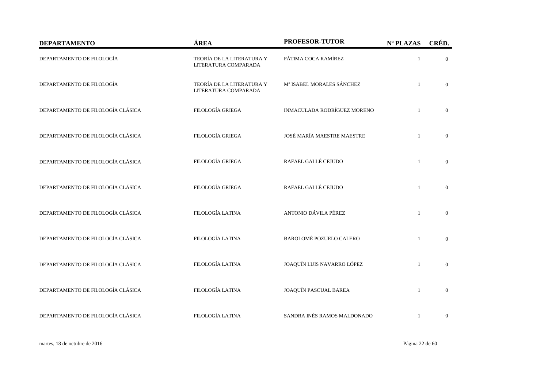| <b>DEPARTAMENTO</b>               | ÁREA                                              | PROFESOR-TUTOR              | Nº PLAZAS    | CRÉD.            |
|-----------------------------------|---------------------------------------------------|-----------------------------|--------------|------------------|
| DEPARTAMENTO DE FILOLOGÍA         | TEORÍA DE LA LITERATURA Y<br>LITERATURA COMPARADA | FÁTIMA COCA RAMÍREZ         | $\mathbf{1}$ | $\overline{0}$   |
| DEPARTAMENTO DE FILOLOGÍA         | TEORÍA DE LA LITERATURA Y<br>LITERATURA COMPARADA | Mª ISABEL MORALES SÁNCHEZ   | $\mathbf{1}$ | $\overline{0}$   |
| DEPARTAMENTO DE FILOLOGÍA CLÁSICA | FILOLOGÍA GRIEGA                                  | INMACULADA RODRÍGUEZ MORENO | $\mathbf{1}$ | $\mathbf{0}$     |
| DEPARTAMENTO DE FILOLOGÍA CLÁSICA | FILOLOGÍA GRIEGA                                  | JOSÉ MARÍA MAESTRE MAESTRE  | $\mathbf{1}$ | $\boldsymbol{0}$ |
| DEPARTAMENTO DE FILOLOGÍA CLÁSICA | FILOLOGÍA GRIEGA                                  | RAFAEL GALLÉ CEJUDO         | $\mathbf{1}$ | $\boldsymbol{0}$ |
| DEPARTAMENTO DE FILOLOGÍA CLÁSICA | FILOLOGÍA GRIEGA                                  | RAFAEL GALLÉ CEJUDO         | $\mathbf{1}$ | $\boldsymbol{0}$ |
| DEPARTAMENTO DE FILOLOGÍA CLÁSICA | FILOLOGÍA LATINA                                  | ANTONIO DÁVILA PÉREZ        | $\mathbf{1}$ | $\boldsymbol{0}$ |
| DEPARTAMENTO DE FILOLOGÍA CLÁSICA | FILOLOGÍA LATINA                                  | BAROLOMÉ POZUELO CALERO     | $\mathbf{1}$ | $\mathbf{0}$     |
| DEPARTAMENTO DE FILOLOGÍA CLÁSICA | <b>FILOLOGÍA LATINA</b>                           | JOAQUÍN LUIS NAVARRO LÓPEZ  | $\mathbf{1}$ | $\boldsymbol{0}$ |
| DEPARTAMENTO DE FILOLOGÍA CLÁSICA | FILOLOGÍA LATINA                                  | JOAQUÍN PASCUAL BAREA       | $\mathbf{1}$ | $\boldsymbol{0}$ |
| DEPARTAMENTO DE FILOLOGÍA CLÁSICA | FILOLOGÍA LATINA                                  | SANDRA INÉS RAMOS MALDONADO | 1            | $\boldsymbol{0}$ |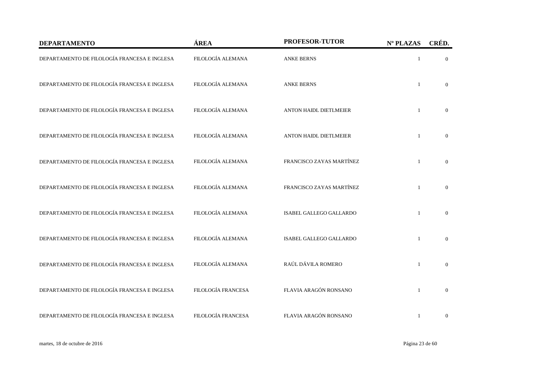| <b>DEPARTAMENTO</b>                          | ÁREA               | PROFESOR-TUTOR                | Nº PLAZAS    | CRÉD.          |
|----------------------------------------------|--------------------|-------------------------------|--------------|----------------|
| DEPARTAMENTO DE FILOLOGÍA FRANCESA E INGLESA | FILOLOGÍA ALEMANA  | <b>ANKE BERNS</b>             | $\mathbf{1}$ | $\mathbf{0}$   |
| DEPARTAMENTO DE FILOLOGÍA FRANCESA E INGLESA | FILOLOGÍA ALEMANA  | <b>ANKE BERNS</b>             | $\mathbf{1}$ | $\overline{0}$ |
| DEPARTAMENTO DE FILOLOGÍA FRANCESA E INGLESA | FILOLOGÍA ALEMANA  | <b>ANTON HAIDL DIETLMEIER</b> | $\mathbf{1}$ | $\overline{0}$ |
| DEPARTAMENTO DE FILOLOGÍA FRANCESA E INGLESA | FILOLOGÍA ALEMANA  | <b>ANTON HAIDL DIETLMEIER</b> | $\mathbf{1}$ | $\mathbf{0}$   |
| DEPARTAMENTO DE FILOLOGÍA FRANCESA E INGLESA | FILOLOGÍA ALEMANA  | FRANCISCO ZAYAS MARTÍNEZ      | $\mathbf{1}$ | $\overline{0}$ |
| DEPARTAMENTO DE FILOLOGÍA FRANCESA E INGLESA | FILOLOGÍA ALEMANA  | FRANCISCO ZAYAS MARTÍNEZ      | $\mathbf{1}$ | $\overline{0}$ |
| DEPARTAMENTO DE FILOLOGÍA FRANCESA E INGLESA | FILOLOGÍA ALEMANA  | ISABEL GALLEGO GALLARDO       |              | $\overline{0}$ |
| DEPARTAMENTO DE FILOLOGÍA FRANCESA E INGLESA | FILOLOGÍA ALEMANA  | ISABEL GALLEGO GALLARDO       |              | $\mathbf{0}$   |
| DEPARTAMENTO DE FILOLOGÍA FRANCESA E INGLESA | FILOLOGÍA ALEMANA  | RAÚL DÁVILA ROMERO            | $\mathbf{1}$ | $\mathbf{0}$   |
| DEPARTAMENTO DE FILOLOGÍA FRANCESA E INGLESA | FILOLOGÍA FRANCESA | FLAVIA ARAGÓN RONSANO         | $\mathbf{1}$ | $\overline{0}$ |
| DEPARTAMENTO DE FILOLOGÍA FRANCESA E INGLESA | FILOLOGÍA FRANCESA | FLAVIA ARAGÓN RONSANO         | 1            | $\mathbf{0}$   |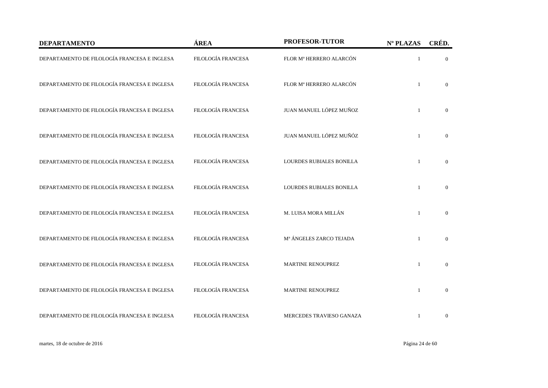| <b>DEPARTAMENTO</b>                          | ÁREA               | PROFESOR-TUTOR           | Nº PLAZAS    | CRÉD.            |
|----------------------------------------------|--------------------|--------------------------|--------------|------------------|
| DEPARTAMENTO DE FILOLOGÍA FRANCESA E INGLESA | FILOLOGÍA FRANCESA | FLOR Mª HERRERO ALARCÓN  |              | $\overline{0}$   |
| DEPARTAMENTO DE FILOLOGÍA FRANCESA E INGLESA | FILOLOGÍA FRANCESA | FLOR Mª HERRERO ALARCÓN  |              | $\overline{0}$   |
| DEPARTAMENTO DE FILOLOGÍA FRANCESA E INGLESA | FILOLOGÍA FRANCESA | JUAN MANUEL LÓPEZ MUÑOZ  |              | $\overline{0}$   |
| DEPARTAMENTO DE FILOLOGÍA FRANCESA E INGLESA | FILOLOGÍA FRANCESA | JUAN MANUEL LÓPEZ MUÑÓZ  |              | $\mathbf{0}$     |
| DEPARTAMENTO DE FILOLOGÍA FRANCESA E INGLESA | FILOLOGÍA FRANCESA | LOURDES RUBIALES BONILLA | $\mathbf{1}$ | $\mathbf{0}$     |
| DEPARTAMENTO DE FILOLOGÍA FRANCESA E INGLESA | FILOLOGÍA FRANCESA | LOURDES RUBIALES BONILLA |              | $\mathbf{0}$     |
| DEPARTAMENTO DE FILOLOGÍA FRANCESA E INGLESA | FILOLOGÍA FRANCESA | M. LUISA MORA MILLÁN     |              | $\overline{0}$   |
| DEPARTAMENTO DE FILOLOGÍA FRANCESA E INGLESA | FILOLOGÍA FRANCESA | Mª ÁNGELES ZARCO TEJADA  |              | $\overline{0}$   |
| DEPARTAMENTO DE FILOLOGÍA FRANCESA E INGLESA | FILOLOGÍA FRANCESA | <b>MARTINE RENOUPREZ</b> |              | $\boldsymbol{0}$ |
| DEPARTAMENTO DE FILOLOGÍA FRANCESA E INGLESA | FILOLOGÍA FRANCESA | MARTINE RENOUPREZ        |              | $\overline{0}$   |
| DEPARTAMENTO DE FILOLOGÍA FRANCESA E INGLESA | FILOLOGÍA FRANCESA | MERCEDES TRAVIESO GANAZA |              | $\mathbf{0}$     |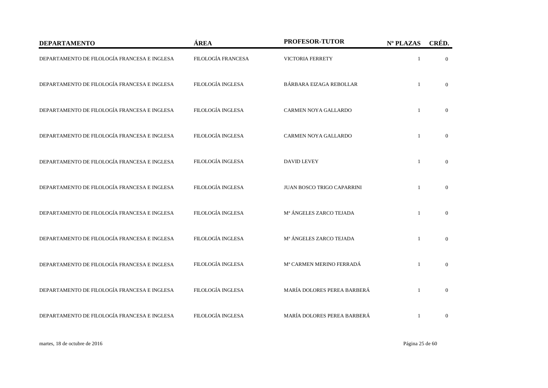| <b>DEPARTAMENTO</b>                          | ÁREA                     | PROFESOR-TUTOR                 | Nº PLAZAS    | CRÉD.          |
|----------------------------------------------|--------------------------|--------------------------------|--------------|----------------|
| DEPARTAMENTO DE FILOLOGÍA FRANCESA E INGLESA | FILOLOGÍA FRANCESA       | <b>VICTORIA FERRETY</b>        | $\mathbf{1}$ | $\mathbf{0}$   |
| DEPARTAMENTO DE FILOLOGÍA FRANCESA E INGLESA | FILOLOGÍA INGLESA        | <b>BÁRBARA EIZAGA REBOLLAR</b> | $\mathbf{1}$ | $\overline{0}$ |
| DEPARTAMENTO DE FILOLOGÍA FRANCESA E INGLESA | FILOLOGÍA INGLESA        | CARMEN NOYA GALLARDO           | $\mathbf{1}$ | $\overline{0}$ |
| DEPARTAMENTO DE FILOLOGÍA FRANCESA E INGLESA | <b>FILOLOGÍA INGLESA</b> | CARMEN NOYA GALLARDO           | $\mathbf{1}$ | $\mathbf{0}$   |
| DEPARTAMENTO DE FILOLOGÍA FRANCESA E INGLESA | FILOLOGÍA INGLESA        | <b>DAVID LEVEY</b>             | $\mathbf{1}$ | $\overline{0}$ |
| DEPARTAMENTO DE FILOLOGÍA FRANCESA E INGLESA | FILOLOGÍA INGLESA        | JUAN BOSCO TRIGO CAPARRINI     |              | $\overline{0}$ |
| DEPARTAMENTO DE FILOLOGÍA FRANCESA E INGLESA | FILOLOGÍA INGLESA        | Mª ÁNGELES ZARCO TEJADA        |              | $\overline{0}$ |
| DEPARTAMENTO DE FILOLOGÍA FRANCESA E INGLESA | FILOLOGÍA INGLESA        | Mª ÁNGELES ZARCO TEJADA        |              | $\mathbf{0}$   |
| DEPARTAMENTO DE FILOLOGÍA FRANCESA E INGLESA | FILOLOGÍA INGLESA        | Mª CARMEN MERINO FERRADÁ       | $\mathbf{1}$ | $\mathbf{0}$   |
| DEPARTAMENTO DE FILOLOGÍA FRANCESA E INGLESA | FILOLOGÍA INGLESA        | MARÍA DOLORES PEREA BARBERÁ    | $\mathbf{1}$ | $\overline{0}$ |
| DEPARTAMENTO DE FILOLOGÍA FRANCESA E INGLESA | FILOLOGÍA INGLESA        | MARÍA DOLORES PEREA BARBERÁ    | $\mathbf{1}$ | $\mathbf{0}$   |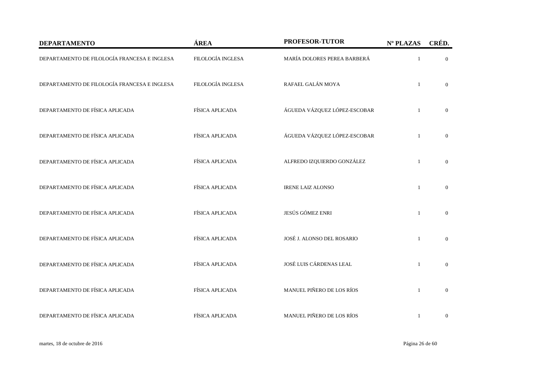| <b>DEPARTAMENTO</b>                          | ÁREA                   | PROFESOR-TUTOR               | Nº PLAZAS    | CRÉD.            |
|----------------------------------------------|------------------------|------------------------------|--------------|------------------|
| DEPARTAMENTO DE FILOLOGÍA FRANCESA E INGLESA | FILOLOGÍA INGLESA      | MARÍA DOLORES PEREA BARBERÁ  |              | $\overline{0}$   |
| DEPARTAMENTO DE FILOLOGÍA FRANCESA E INGLESA | FILOLOGÍA INGLESA      | RAFAEL GALÁN MOYA            |              | $\overline{0}$   |
| DEPARTAMENTO DE FÍSICA APLICADA              | <b>FÍSICA APLICADA</b> | ÁGUEDA VÁZQUEZ LÓPEZ-ESCOBAR |              | $\overline{0}$   |
| DEPARTAMENTO DE FÍSICA APLICADA              | FÍSICA APLICADA        | ÁGUEDA VÁZQUEZ LÓPEZ-ESCOBAR |              | $\overline{0}$   |
| DEPARTAMENTO DE FÍSICA APLICADA              | FÍSICA APLICADA        | ALFREDO IZQUIERDO GONZÁLEZ   | $\mathbf{1}$ | $\overline{0}$   |
| DEPARTAMENTO DE FÍSICA APLICADA              | FÍSICA APLICADA        | <b>IRENE LAIZ ALONSO</b>     |              | $\overline{0}$   |
| DEPARTAMENTO DE FÍSICA APLICADA              | FÍSICA APLICADA        | JESÚS GÓMEZ ENRI             | $\mathbf{1}$ | $\Omega$         |
| DEPARTAMENTO DE FÍSICA APLICADA              | FÍSICA APLICADA        | JOSÉ J. ALONSO DEL ROSARIO   | $\mathbf{1}$ | $\overline{0}$   |
| DEPARTAMENTO DE FÍSICA APLICADA              | FÍSICA APLICADA        | JOSÉ LUIS CÁRDENAS LEAL      | $\mathbf{1}$ | $\mathbf{0}$     |
| DEPARTAMENTO DE FÍSICA APLICADA              | FÍSICA APLICADA        | MANUEL PIÑERO DE LOS RÍOS    | $\mathbf{1}$ | $\mathbf{0}$     |
| DEPARTAMENTO DE FÍSICA APLICADA              | FÍSICA APLICADA        | MANUEL PIÑERO DE LOS RÍOS    | 1            | $\boldsymbol{0}$ |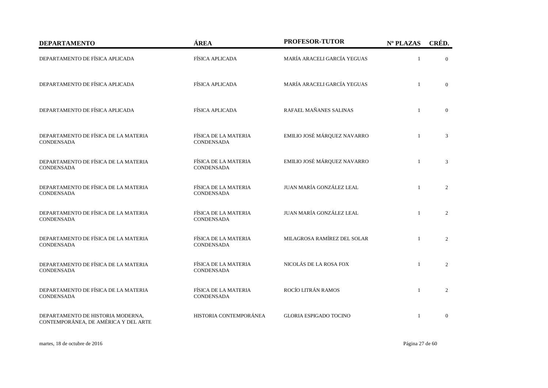| <b>DEPARTAMENTO</b>                                                       | ÁREA                                      | PROFESOR-TUTOR                | Nº PLAZAS    | CRÉD.          |
|---------------------------------------------------------------------------|-------------------------------------------|-------------------------------|--------------|----------------|
| DEPARTAMENTO DE FÍSICA APLICADA                                           | FÍSICA APLICADA                           | MARÍA ARACELI GARCÍA YEGUAS   |              | $\overline{0}$ |
| DEPARTAMENTO DE FÍSICA APLICADA                                           | FÍSICA APLICADA                           | MARÍA ARACELI GARCÍA YEGUAS   | $\mathbf{1}$ | $\overline{0}$ |
| DEPARTAMENTO DE FÍSICA APLICADA                                           | FÍSICA APLICADA                           | RAFAEL MAÑANES SALINAS        | $\mathbf{1}$ | $\overline{0}$ |
| DEPARTAMENTO DE FÍSICA DE LA MATERIA<br><b>CONDENSADA</b>                 | FÍSICA DE LA MATERIA<br><b>CONDENSADA</b> | EMILIO JOSÉ MÁRQUEZ NAVARRO   |              | 3              |
| DEPARTAMENTO DE FÍSICA DE LA MATERIA<br><b>CONDENSADA</b>                 | FÍSICA DE LA MATERIA<br><b>CONDENSADA</b> | EMILIO JOSÉ MÁRQUEZ NAVARRO   | $\mathbf{1}$ | 3              |
| DEPARTAMENTO DE FÍSICA DE LA MATERIA<br><b>CONDENSADA</b>                 | FÍSICA DE LA MATERIA<br><b>CONDENSADA</b> | JUAN MARÍA GONZÁLEZ LEAL      | $\mathbf{1}$ | 2              |
| DEPARTAMENTO DE FÍSICA DE LA MATERIA<br><b>CONDENSADA</b>                 | FÍSICA DE LA MATERIA<br><b>CONDENSADA</b> | JUAN MARÍA GONZÁLEZ LEAL      | $\mathbf{1}$ | $\overline{2}$ |
| DEPARTAMENTO DE FÍSICA DE LA MATERIA<br><b>CONDENSADA</b>                 | FÍSICA DE LA MATERIA<br><b>CONDENSADA</b> | MILAGROSA RAMÍREZ DEL SOLAR   | $\mathbf{1}$ | $\overline{2}$ |
| DEPARTAMENTO DE FÍSICA DE LA MATERIA<br><b>CONDENSADA</b>                 | FÍSICA DE LA MATERIA<br><b>CONDENSADA</b> | NICOLÁS DE LA ROSA FOX        | $\mathbf{1}$ | 2              |
| DEPARTAMENTO DE FÍSICA DE LA MATERIA<br><b>CONDENSADA</b>                 | FÍSICA DE LA MATERIA<br>CONDENSADA        | ROCÍO LITRÁN RAMOS            | $\mathbf{1}$ | 2              |
| DEPARTAMENTO DE HISTORIA MODERNA,<br>CONTEMPORÁNEA, DE AMÉRICA Y DEL ARTE | HISTORIA CONTEMPORÁNEA                    | <b>GLORIA ESPIGADO TOCINO</b> | $\mathbf{1}$ | $\mathbf{0}$   |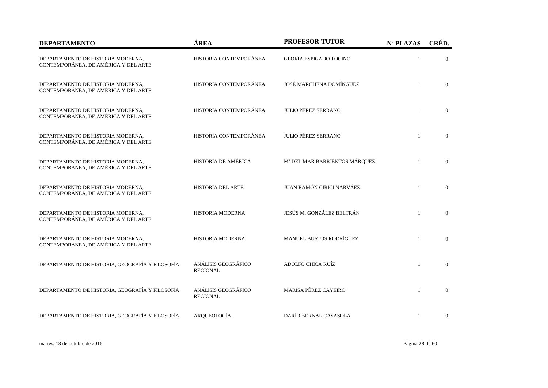| <b>DEPARTAMENTO</b>                                                       | ÁREA                                   | PROFESOR-TUTOR                            | Nº PLAZAS    | CRÉD.          |
|---------------------------------------------------------------------------|----------------------------------------|-------------------------------------------|--------------|----------------|
| DEPARTAMENTO DE HISTORIA MODERNA,<br>CONTEMPORÁNEA, DE AMÉRICA Y DEL ARTE | HISTORIA CONTEMPORÁNEA                 | <b>GLORIA ESPIGADO TOCINO</b>             | $\mathbf{1}$ | $\overline{0}$ |
| DEPARTAMENTO DE HISTORIA MODERNA,<br>CONTEMPORÁNEA, DE AMÉRICA Y DEL ARTE | HISTORIA CONTEMPORÁNEA                 | JOSÉ MARCHENA DOMÍNGUEZ                   | $\mathbf{1}$ | $\Omega$       |
| DEPARTAMENTO DE HISTORIA MODERNA,<br>CONTEMPORÁNEA, DE AMÉRICA Y DEL ARTE | HISTORIA CONTEMPORÁNEA                 | <b>JULIO PÉREZ SERRANO</b>                | $\mathbf{1}$ | $\overline{0}$ |
| DEPARTAMENTO DE HISTORIA MODERNA,<br>CONTEMPORÁNEA, DE AMÉRICA Y DEL ARTE | HISTORIA CONTEMPORÁNEA                 | <b>JULIO PÉREZ SERRANO</b>                | $\mathbf{1}$ | $\mathbf{0}$   |
| DEPARTAMENTO DE HISTORIA MODERNA,<br>CONTEMPORÁNEA, DE AMÉRICA Y DEL ARTE | HISTORIA DE AMÉRICA                    | M <sup>ª</sup> DEL MAR BARRIENTOS MÁRQUEZ | $\mathbf{1}$ | $\overline{0}$ |
| DEPARTAMENTO DE HISTORIA MODERNA,<br>CONTEMPORÁNEA, DE AMÉRICA Y DEL ARTE | <b>HISTORIA DEL ARTE</b>               | JUAN RAMÓN CIRICI NARVÁEZ                 |              | $\overline{0}$ |
| DEPARTAMENTO DE HISTORIA MODERNA,<br>CONTEMPORÁNEA, DE AMÉRICA Y DEL ARTE | <b>HISTORIA MODERNA</b>                | JESÚS M. GONZÁLEZ BELTRÁN                 | $\mathbf{1}$ | $\Omega$       |
| DEPARTAMENTO DE HISTORIA MODERNA,<br>CONTEMPORÁNEA, DE AMÉRICA Y DEL ARTE | HISTORIA MODERNA                       | MANUEL BUSTOS RODRÍGUEZ                   | $\mathbf{1}$ | $\overline{0}$ |
| DEPARTAMENTO DE HISTORIA, GEOGRAFÍA Y FILOSOFÍA                           | ANÁLISIS GEOGRÁFICO<br><b>REGIONAL</b> | ADOLFO CHICA RUÍZ                         | $\mathbf{1}$ | $\mathbf{0}$   |
| DEPARTAMENTO DE HISTORIA, GEOGRAFÍA Y FILOSOFÍA                           | ANÁLISIS GEOGRÁFICO<br><b>REGIONAL</b> | MARISA PÉREZ CAYEIRO                      | $\mathbf{1}$ | $\overline{0}$ |
| DEPARTAMENTO DE HISTORIA, GEOGRAFÍA Y FILOSOFÍA                           | ARQUEOLOGÍA                            | DARÍO BERNAL CASASOLA                     | 1            | $\overline{0}$ |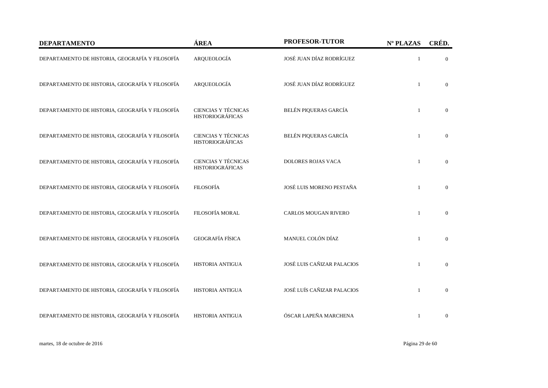| <b>DEPARTAMENTO</b>                             | ÁREA                                           | PROFESOR-TUTOR              | Nº PLAZAS    | CRÉD.          |
|-------------------------------------------------|------------------------------------------------|-----------------------------|--------------|----------------|
| DEPARTAMENTO DE HISTORIA, GEOGRAFÍA Y FILOSOFÍA | ARQUEOLOGÍA                                    | JOSÉ JUAN DÍAZ RODRÍGUEZ    | $\mathbf{1}$ | $\overline{0}$ |
| DEPARTAMENTO DE HISTORIA, GEOGRAFÍA Y FILOSOFÍA | ARQUEOLOGÍA                                    | JOSÉ JUAN DÍAZ RODRÍGUEZ    | $\mathbf{1}$ | $\overline{0}$ |
| DEPARTAMENTO DE HISTORIA, GEOGRAFÍA Y FILOSOFÍA | CIENCIAS Y TÉCNICAS<br><b>HISTORIOGRÁFICAS</b> | BELÉN PIQUERAS GARCÍA       | $\mathbf{1}$ | $\overline{0}$ |
| DEPARTAMENTO DE HISTORIA, GEOGRAFÍA Y FILOSOFÍA | CIENCIAS Y TÉCNICAS<br><b>HISTORIOGRÁFICAS</b> | BELÉN PIQUERAS GARCÍA       | $\mathbf{1}$ | $\overline{0}$ |
| DEPARTAMENTO DE HISTORIA, GEOGRAFÍA Y FILOSOFÍA | CIENCIAS Y TÉCNICAS<br><b>HISTORIOGRÁFICAS</b> | <b>DOLORES ROJAS VACA</b>   | $\mathbf{1}$ | $\overline{0}$ |
| DEPARTAMENTO DE HISTORIA, GEOGRAFÍA Y FILOSOFÍA | <b>FILOSOFÍA</b>                               | JOSÉ LUIS MORENO PESTAÑA    | $\mathbf{1}$ | $\overline{0}$ |
| DEPARTAMENTO DE HISTORIA, GEOGRAFÍA Y FILOSOFÍA | FILOSOFÍA MORAL                                | <b>CARLOS MOUGAN RIVERO</b> | $\mathbf{1}$ | $\overline{0}$ |
| DEPARTAMENTO DE HISTORIA, GEOGRAFÍA Y FILOSOFÍA | <b>GEOGRAFÍA FÍSICA</b>                        | MANUEL COLÓN DÍAZ           | $\mathbf{1}$ | $\overline{0}$ |
| DEPARTAMENTO DE HISTORIA, GEOGRAFÍA Y FILOSOFÍA | <b>HISTORIA ANTIGUA</b>                        | JOSÉ LUIS CAÑIZAR PALACIOS  | $\mathbf{1}$ | $\overline{0}$ |
| DEPARTAMENTO DE HISTORIA, GEOGRAFÍA Y FILOSOFÍA | <b>HISTORIA ANTIGUA</b>                        | JOSÉ LUÍS CAÑIZAR PALACIOS  | $\mathbf{1}$ | $\overline{0}$ |
| DEPARTAMENTO DE HISTORIA, GEOGRAFÍA Y FILOSOFÍA | <b>HISTORIA ANTIGUA</b>                        | ÓSCAR LAPEÑA MARCHENA       | $\mathbf{1}$ | $\mathbf{0}$   |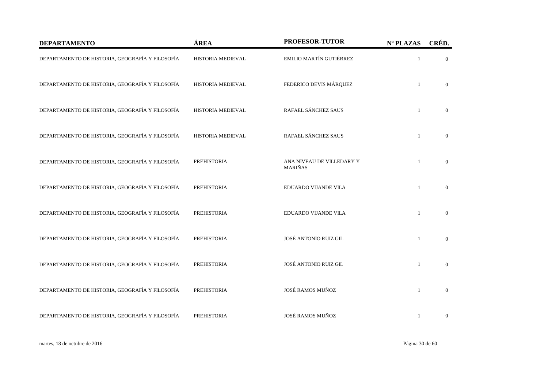| <b>DEPARTAMENTO</b>                             | ÁREA               | PROFESOR-TUTOR                              | Nº PLAZAS    | CRÉD.          |
|-------------------------------------------------|--------------------|---------------------------------------------|--------------|----------------|
| DEPARTAMENTO DE HISTORIA, GEOGRAFÍA Y FILOSOFÍA | HISTORIA MEDIEVAL  | EMILIO MARTÍN GUTIÉRREZ                     | $\mathbf{1}$ | $\overline{0}$ |
| DEPARTAMENTO DE HISTORIA, GEOGRAFÍA Y FILOSOFÍA | HISTORIA MEDIEVAL  | FEDERICO DEVIS MÁRQUEZ                      | $\mathbf{1}$ | $\overline{0}$ |
| DEPARTAMENTO DE HISTORIA, GEOGRAFÍA Y FILOSOFÍA | HISTORIA MEDIEVAL  | RAFAEL SÁNCHEZ SAUS                         | $\mathbf{1}$ | $\overline{0}$ |
| DEPARTAMENTO DE HISTORIA, GEOGRAFÍA Y FILOSOFÍA | HISTORIA MEDIEVAL  | RAFAEL SÁNCHEZ SAUS                         | $\mathbf{1}$ | $\overline{0}$ |
| DEPARTAMENTO DE HISTORIA, GEOGRAFÍA Y FILOSOFÍA | <b>PREHISTORIA</b> | ANA NIVEAU DE VILLEDARY Y<br><b>MARIÑAS</b> | $\mathbf{1}$ | $\overline{0}$ |
| DEPARTAMENTO DE HISTORIA, GEOGRAFÍA Y FILOSOFÍA | <b>PREHISTORIA</b> | EDUARDO VIJANDE VILA                        | $\mathbf{1}$ | $\overline{0}$ |
| DEPARTAMENTO DE HISTORIA, GEOGRAFÍA Y FILOSOFÍA | <b>PREHISTORIA</b> | EDUARDO VIJANDE VILA                        | $\mathbf{1}$ | $\overline{0}$ |
| DEPARTAMENTO DE HISTORIA, GEOGRAFÍA Y FILOSOFÍA | <b>PREHISTORIA</b> | JOSÉ ANTONIO RUIZ GIL                       | $\mathbf{1}$ | $\mathbf{0}$   |
| DEPARTAMENTO DE HISTORIA, GEOGRAFÍA Y FILOSOFÍA | <b>PREHISTORIA</b> | JOSÉ ANTONIO RUIZ GIL                       | $\mathbf{1}$ | $\mathbf{0}$   |
| DEPARTAMENTO DE HISTORIA, GEOGRAFÍA Y FILOSOFÍA | <b>PREHISTORIA</b> | JOSÉ RAMOS MUÑOZ                            | $\mathbf{1}$ | $\overline{0}$ |
| DEPARTAMENTO DE HISTORIA, GEOGRAFÍA Y FILOSOFÍA | <b>PREHISTORIA</b> | JOSÉ RAMOS MUÑOZ                            | $\mathbf{1}$ | $\mathbf{0}$   |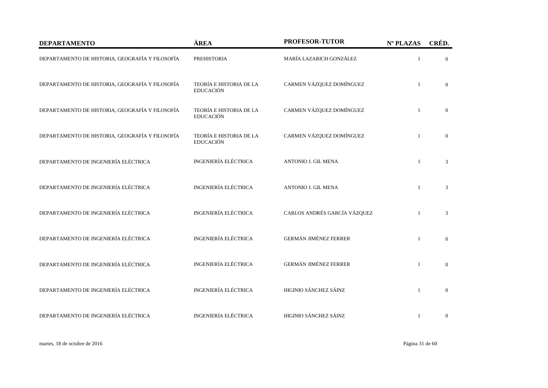| <b>DEPARTAMENTO</b>                             | ÁREA                                        | PROFESOR-TUTOR               | Nº PLAZAS    | CRÉD.          |
|-------------------------------------------------|---------------------------------------------|------------------------------|--------------|----------------|
| DEPARTAMENTO DE HISTORIA, GEOGRAFÍA Y FILOSOFÍA | <b>PREHISTORIA</b>                          | MARÍA LAZARICH GONZÁLEZ      | $\mathbf{1}$ | $\overline{0}$ |
| DEPARTAMENTO DE HISTORIA, GEOGRAFÍA Y FILOSOFÍA | TEORÍA E HISTORIA DE LA<br><b>EDUCACIÓN</b> | CARMEN VÁZQUEZ DOMÍNGUEZ     | $\mathbf{1}$ | $\overline{0}$ |
| DEPARTAMENTO DE HISTORIA, GEOGRAFÍA Y FILOSOFÍA | TEORÍA E HISTORIA DE LA<br><b>EDUCACIÓN</b> | CARMEN VÁZQUEZ DOMÍNGUEZ     | $\mathbf{1}$ | $\overline{0}$ |
| DEPARTAMENTO DE HISTORIA, GEOGRAFÍA Y FILOSOFÍA | TEORÍA E HISTORIA DE LA<br><b>EDUCACIÓN</b> | CARMEN VÁZQUEZ DOMÍNGUEZ     | $\mathbf{1}$ | $\mathbf{0}$   |
| DEPARTAMENTO DE INGENIERÍA ELÉCTRICA            | <b>INGENIERÍA ELÉCTRICA</b>                 | <b>ANTONIO J. GIL MENA</b>   | $\mathbf{1}$ | 3              |
| DEPARTAMENTO DE INGENIERÍA ELÉCTRICA            | <b>INGENIERÍA ELÉCTRICA</b>                 | <b>ANTONIO J. GIL MENA</b>   | 1            | 3              |
| DEPARTAMENTO DE INGENIERÍA ELÉCTRICA            | <b>INGENIERÍA ELÉCTRICA</b>                 | CARLOS ANDRÉS GARCÍA VÁZQUEZ | $\mathbf{1}$ | 3              |
| DEPARTAMENTO DE INGENIERÍA ELÉCTRICA            | <b>INGENIERÍA ELÉCTRICA</b>                 | <b>GERMÁN JIMÉNEZ FERRER</b> | $\mathbf{1}$ | $\overline{0}$ |
| DEPARTAMENTO DE INGENIERÍA ELÉCTRICA            | <b>INGENIERÍA ELÉCTRICA</b>                 | <b>GERMÁN JIMÉNEZ FERRER</b> | $\mathbf{1}$ | $\mathbf{0}$   |
| DEPARTAMENTO DE INGENIERÍA ELÉCTRICA            | <b>INGENIERÍA ELÉCTRICA</b>                 | HIGINIO SÁNCHEZ SÁINZ        | $\mathbf{1}$ | $\overline{0}$ |
| DEPARTAMENTO DE INGENIERÍA ELÉCTRICA            | <b>INGENIERÍA ELÉCTRICA</b>                 | HIGINIO SÁNCHEZ SÁINZ        | $\mathbf{1}$ | $\mathbf{0}$   |

martes, 18 de octubre de 2016 Página 31 de 60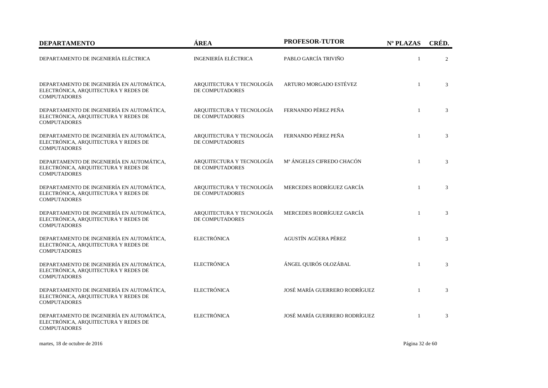| <b>DEPARTAMENTO</b>                                                                                      | ÁREA                                         | PROFESOR-TUTOR                | Nº PLAZAS    | CRÉD. |
|----------------------------------------------------------------------------------------------------------|----------------------------------------------|-------------------------------|--------------|-------|
| DEPARTAMENTO DE INGENIERÍA ELÉCTRICA                                                                     | INGENIERÍA ELÉCTRICA                         | PABLO GARCÍA TRIVIÑO          | $\mathbf{1}$ | 2     |
| DEPARTAMENTO DE INGENIERÍA EN AUTOMÁTICA,<br>ELECTRÓNICA, ARQUITECTURA Y REDES DE<br><b>COMPUTADORES</b> | ARQUITECTURA Y TECNOLOGÍA<br>DE COMPUTADORES | ARTURO MORGADO ESTÉVEZ        | $\mathbf{1}$ | 3     |
| DEPARTAMENTO DE INGENIERÍA EN AUTOMÁTICA,<br>ELECTRÓNICA, ARQUITECTURA Y REDES DE<br><b>COMPUTADORES</b> | ARQUITECTURA Y TECNOLOGÍA<br>DE COMPUTADORES | FERNANDO PÉREZ PEÑA           | $\mathbf{1}$ | 3     |
| DEPARTAMENTO DE INGENIERÍA EN AUTOMÁTICA,<br>ELECTRÓNICA, ARQUITECTURA Y REDES DE<br><b>COMPUTADORES</b> | ARQUITECTURA Y TECNOLOGÍA<br>DE COMPUTADORES | FERNANDO PÉREZ PEÑA           | $\mathbf{1}$ | 3     |
| DEPARTAMENTO DE INGENIERÍA EN AUTOMÁTICA,<br>ELECTRÓNICA, ARQUITECTURA Y REDES DE<br><b>COMPUTADORES</b> | ARQUITECTURA Y TECNOLOGÍA<br>DE COMPUTADORES | Mª ÁNGELES CIFREDO CHACÓN     | $\mathbf{1}$ | 3     |
| DEPARTAMENTO DE INGENIERÍA EN AUTOMÁTICA,<br>ELECTRÓNICA, ARQUITECTURA Y REDES DE<br><b>COMPUTADORES</b> | ARQUITECTURA Y TECNOLOGÍA<br>DE COMPUTADORES | MERCEDES RODRÍGUEZ GARCÍA     | $\mathbf{1}$ | 3     |
| DEPARTAMENTO DE INGENIERÍA EN AUTOMÁTICA,<br>ELECTRÓNICA, ARQUITECTURA Y REDES DE<br><b>COMPUTADORES</b> | ARQUITECTURA Y TECNOLOGÍA<br>DE COMPUTADORES | MERCEDES RODRÍGUEZ GARCÍA     | $\mathbf{1}$ | 3     |
| DEPARTAMENTO DE INGENIERÍA EN AUTOMÁTICA,<br>ELECTRÓNICA, ARQUITECTURA Y REDES DE<br><b>COMPUTADORES</b> | <b>ELECTRÓNICA</b>                           | AGUSTÍN AGÜERA PÉREZ          | $\mathbf{1}$ | 3     |
| DEPARTAMENTO DE INGENIERÍA EN AUTOMÁTICA,<br>ELECTRÓNICA, ARQUITECTURA Y REDES DE<br><b>COMPUTADORES</b> | <b>ELECTRÓNICA</b>                           | ÁNGEL QUIRÓS OLOZÁBAL         | $\mathbf{1}$ | 3     |
| DEPARTAMENTO DE INGENIERÍA EN AUTOMÁTICA,<br>ELECTRÓNICA, ARQUITECTURA Y REDES DE<br><b>COMPUTADORES</b> | ELECTRÓNICA                                  | JOSÉ MARÍA GUERRERO RODRÍGUEZ | $\mathbf{1}$ | 3     |
| DEPARTAMENTO DE INGENIERÍA EN AUTOMÁTICA,<br>ELECTRÓNICA, ARQUITECTURA Y REDES DE<br><b>COMPUTADORES</b> | ELECTRÓNICA                                  | JOSÉ MARÍA GUERRERO RODRÍGUEZ | $\mathbf{1}$ | 3     |

martes, 18 de octubre de 2016 Página 32 de 60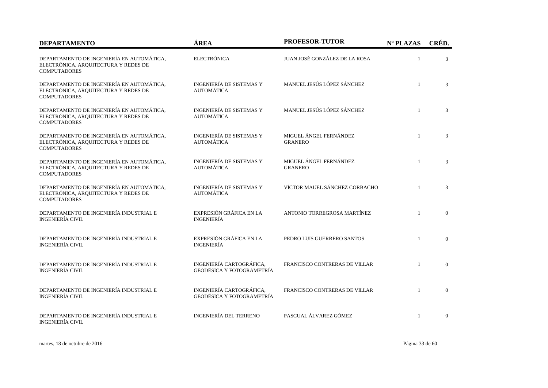| <b>DEPARTAMENTO</b>                                                                                      | ÁREA                                                  | <b>PROFESOR-TUTOR</b>                    | Nº PLAZAS    | CRÉD.          |
|----------------------------------------------------------------------------------------------------------|-------------------------------------------------------|------------------------------------------|--------------|----------------|
| DEPARTAMENTO DE INGENIERÍA EN AUTOMÁTICA,<br>ELECTRÓNICA, ARQUITECTURA Y REDES DE<br><b>COMPUTADORES</b> | <b>ELECTRÓNICA</b>                                    | JUAN JOSÉ GONZÁLEZ DE LA ROSA            | $\mathbf{1}$ | 3              |
| DEPARTAMENTO DE INGENIERÍA EN AUTOMÁTICA,<br>ELECTRÓNICA, ARQUITECTURA Y REDES DE<br><b>COMPUTADORES</b> | INGENIERÍA DE SISTEMAS Y<br><b>AUTOMÁTICA</b>         | MANUEL JESÚS LÓPEZ SÁNCHEZ               | $\mathbf{1}$ | 3              |
| DEPARTAMENTO DE INGENIERÍA EN AUTOMÁTICA,<br>ELECTRÓNICA, ARQUITECTURA Y REDES DE<br><b>COMPUTADORES</b> | INGENIERÍA DE SISTEMAS Y<br><b>AUTOMÁTICA</b>         | MANUEL JESÚS LÓPEZ SÁNCHEZ               | $\mathbf{1}$ | 3              |
| DEPARTAMENTO DE INGENIERÍA EN AUTOMÁTICA,<br>ELECTRÓNICA, ARQUITECTURA Y REDES DE<br><b>COMPUTADORES</b> | INGENIERÍA DE SISTEMAS Y<br><b>AUTOMÁTICA</b>         | MIGUEL ÁNGEL FERNÁNDEZ<br><b>GRANERO</b> | $\mathbf{1}$ | 3              |
| DEPARTAMENTO DE INGENIERÍA EN AUTOMÁTICA,<br>ELECTRÓNICA, ARQUITECTURA Y REDES DE<br><b>COMPUTADORES</b> | INGENIERÍA DE SISTEMAS Y<br><b>AUTOMÁTICA</b>         | MIGUEL ÁNGEL FERNÁNDEZ<br><b>GRANERO</b> | $\mathbf{1}$ | 3              |
| DEPARTAMENTO DE INGENIERÍA EN AUTOMÁTICA,<br>ELECTRÓNICA, ARQUITECTURA Y REDES DE<br><b>COMPUTADORES</b> | <b>INGENIERÍA DE SISTEMAS Y</b><br><b>AUTOMÁTICA</b>  | VÍCTOR MAUEL SÁNCHEZ CORBACHO            | $\mathbf{1}$ | 3              |
| DEPARTAMENTO DE INGENIERÍA INDUSTRIAL E<br><b>INGENIERÍA CIVIL</b>                                       | EXPRESIÓN GRÁFICA EN LA<br><b>INGENIERÍA</b>          | ANTONIO TORREGROSA MARTÍNEZ              | $\mathbf{1}$ | $\mathbf{0}$   |
| DEPARTAMENTO DE INGENIERÍA INDUSTRIAL E<br><b>INGENIERÍA CIVIL</b>                                       | EXPRESIÓN GRÁFICA EN LA<br><b>INGENIERÍA</b>          | PEDRO LUIS GUERRERO SANTOS               | $\mathbf{1}$ | $\Omega$       |
| DEPARTAMENTO DE INGENIERÍA INDUSTRIAL E<br><b>INGENIERÍA CIVIL</b>                                       | INGENIERÍA CARTOGRÁFICA,<br>GEODÉSICA Y FOTOGRAMETRÍA | FRANCISCO CONTRERAS DE VILLAR            |              | $\overline{0}$ |
| DEPARTAMENTO DE INGENIERÍA INDUSTRIAL E<br><b>INGENIERÍA CIVIL</b>                                       | INGENIERÍA CARTOGRÁFICA,<br>GEODÉSICA Y FOTOGRAMETRÍA | FRANCISCO CONTRERAS DE VILLAR            | $\mathbf{1}$ | $\mathbf{0}$   |
| DEPARTAMENTO DE INGENIERÍA INDUSTRIAL E<br><b>INGENIERÍA CIVIL</b>                                       | <b>INGENIERÍA DEL TERRENO</b>                         | PASCUAL ÁLVAREZ GÓMEZ                    | $\mathbf{1}$ | $\overline{0}$ |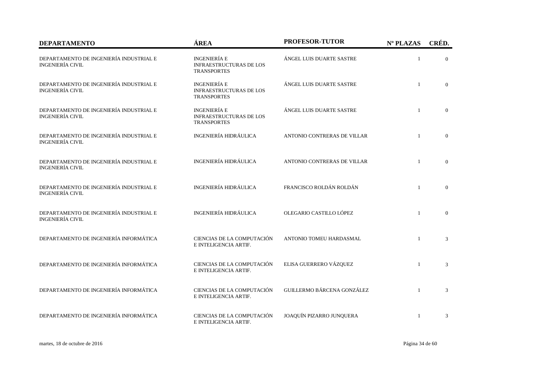| <b>DEPARTAMENTO</b>                                                | ÁREA                                                                        | <b>PROFESOR-TUTOR</b>       | Nº PLAZAS    | CRÉD.          |
|--------------------------------------------------------------------|-----------------------------------------------------------------------------|-----------------------------|--------------|----------------|
| DEPARTAMENTO DE INGENIERÍA INDUSTRIAL E<br><b>INGENIERÍA CIVIL</b> | <b>INGENIERÍA E</b><br><b>INFRAESTRUCTURAS DE LOS</b><br><b>TRANSPORTES</b> | ÁNGEL LUIS DUARTE SASTRE    | $\mathbf{1}$ | $\overline{0}$ |
| DEPARTAMENTO DE INGENIERÍA INDUSTRIAL E<br><b>INGENIERÍA CIVIL</b> | <b>INGENIERÍA E</b><br><b>INFRAESTRUCTURAS DE LOS</b><br><b>TRANSPORTES</b> | ÁNGEL LUIS DUARTE SASTRE    | $\mathbf{1}$ | $\overline{0}$ |
| DEPARTAMENTO DE INGENIERÍA INDUSTRIAL E<br><b>INGENIERÍA CIVIL</b> | <b>INGENIERÍA E</b><br><b>INFRAESTRUCTURAS DE LOS</b><br><b>TRANSPORTES</b> | ÁNGEL LUIS DUARTE SASTRE    | $\mathbf{1}$ | $\overline{0}$ |
| DEPARTAMENTO DE INGENIERÍA INDUSTRIAL E<br><b>INGENIERÍA CIVIL</b> | INGENIERÍA HIDRÁULICA                                                       | ANTONIO CONTRERAS DE VILLAR |              | $\overline{0}$ |
| DEPARTAMENTO DE INGENIERÍA INDUSTRIAL E<br><b>INGENIERÍA CIVIL</b> | INGENIERÍA HIDRÁULICA                                                       | ANTONIO CONTRERAS DE VILLAR | $\mathbf{1}$ | $\Omega$       |
| DEPARTAMENTO DE INGENIERÍA INDUSTRIAL E<br><b>INGENIERÍA CIVIL</b> | INGENIERÍA HIDRÁULICA                                                       | FRANCISCO ROLDÁN ROLDÁN     | $\mathbf{1}$ | $\overline{0}$ |
| DEPARTAMENTO DE INGENIERÍA INDUSTRIAL E<br><b>INGENIERÍA CIVIL</b> | INGENIERÍA HIDRÁULICA                                                       | OLEGARIO CASTILLO LÓPEZ     | $\mathbf{1}$ | $\mathbf{0}$   |
| DEPARTAMENTO DE INGENIERÍA INFORMÁTICA                             | CIENCIAS DE LA COMPUTACIÓN<br>E INTELIGENCIA ARTIF.                         | ANTONIO TOMEU HARDASMAL     | $\mathbf{1}$ | 3              |
| DEPARTAMENTO DE INGENIERÍA INFORMÁTICA                             | CIENCIAS DE LA COMPUTACIÓN<br>E INTELIGENCIA ARTIF.                         | ELISA GUERRERO VÁZQUEZ      | $\mathbf{1}$ | 3              |
| DEPARTAMENTO DE INGENIERÍA INFORMÁTICA                             | CIENCIAS DE LA COMPUTACIÓN<br>E INTELIGENCIA ARTIF.                         | GUILLERMO BÁRCENA GONZÁLEZ  | $\mathbf{1}$ | 3              |
| DEPARTAMENTO DE INGENIERÍA INFORMÁTICA                             | CIENCIAS DE LA COMPUTACIÓN<br>E INTELIGENCIA ARTIF.                         | JOAQUÍN PIZARRO JUNQUERA    | $\mathbf{1}$ | 3              |

martes, 18 de octubre de 2016 Página 34 de 60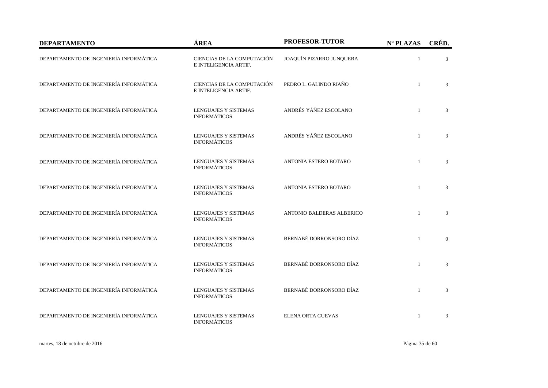| <b>DEPARTAMENTO</b>                    | ÁREA                                                | <b>PROFESOR-TUTOR</b>     | Nº PLAZAS    | CRÉD.        |
|----------------------------------------|-----------------------------------------------------|---------------------------|--------------|--------------|
| DEPARTAMENTO DE INGENIERÍA INFORMÁTICA | CIENCIAS DE LA COMPUTACIÓN<br>E INTELIGENCIA ARTIF. | JOAQUÍN PIZARRO JUNQUERA  | 1            | 3            |
| DEPARTAMENTO DE INGENIERÍA INFORMÁTICA | CIENCIAS DE LA COMPUTACIÓN<br>E INTELIGENCIA ARTIF. | PEDRO L. GALINDO RIAÑO    | $\mathbf{1}$ | 3            |
| DEPARTAMENTO DE INGENIERÍA INFORMÁTICA | <b>LENGUAJES Y SISTEMAS</b><br><b>INFORMÁTICOS</b>  | ANDRÉS YÁÑEZ ESCOLANO     | $\mathbf{1}$ | 3            |
| DEPARTAMENTO DE INGENIERÍA INFORMÁTICA | <b>LENGUAJES Y SISTEMAS</b><br><b>INFORMÁTICOS</b>  | ANDRÉS YÁÑEZ ESCOLANO     | $\mathbf{1}$ | 3            |
| DEPARTAMENTO DE INGENIERÍA INFORMÁTICA | LENGUAJES Y SISTEMAS<br><b>INFORMÁTICOS</b>         | ANTONIA ESTERO BOTARO     | $\mathbf{1}$ | 3            |
| DEPARTAMENTO DE INGENIERÍA INFORMÁTICA | LENGUAJES Y SISTEMAS<br><b>INFORMÁTICOS</b>         | ANTONIA ESTERO BOTARO     | $\mathbf{1}$ | 3            |
| DEPARTAMENTO DE INGENIERÍA INFORMÁTICA | <b>LENGUAJES Y SISTEMAS</b><br><b>INFORMÁTICOS</b>  | ANTONIO BALDERAS ALBERICO | $\mathbf{1}$ | 3            |
| DEPARTAMENTO DE INGENIERÍA INFORMÁTICA | <b>LENGUAJES Y SISTEMAS</b><br><b>INFORMÁTICOS</b>  | BERNABÉ DORRONSORO DÍAZ   | $\mathbf{1}$ | $\mathbf{0}$ |
| DEPARTAMENTO DE INGENIERÍA INFORMÁTICA | <b>LENGUAJES Y SISTEMAS</b><br><b>INFORMÁTICOS</b>  | BERNABÉ DORRONSORO DÍAZ   | $\mathbf{1}$ | 3            |
| DEPARTAMENTO DE INGENIERÍA INFORMÁTICA | <b>LENGUAJES Y SISTEMAS</b><br><b>INFORMÁTICOS</b>  | BERNABÉ DORRONSORO DÍAZ   | $\mathbf{1}$ | 3            |
| DEPARTAMENTO DE INGENIERÍA INFORMÁTICA | <b>LENGUAJES Y SISTEMAS</b><br><b>INFORMÁTICOS</b>  | ELENA ORTA CUEVAS         | $\mathbf{1}$ | 3            |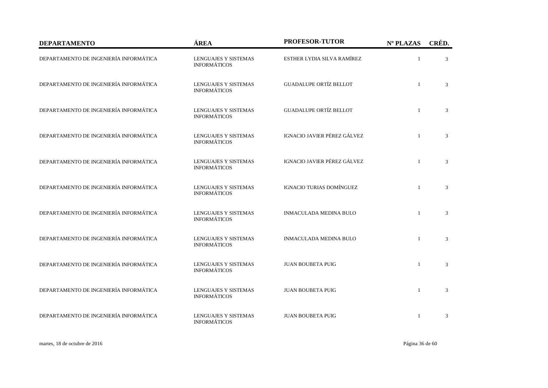| <b>DEPARTAMENTO</b>                    | ÁREA                                               | PROFESOR-TUTOR                | Nº PLAZAS    | CRÉD. |
|----------------------------------------|----------------------------------------------------|-------------------------------|--------------|-------|
| DEPARTAMENTO DE INGENIERÍA INFORMÁTICA | LENGUAJES Y SISTEMAS<br><b>INFORMÁTICOS</b>        | ESTHER LYDIA SILVA RAMÍREZ    | $\mathbf{1}$ | 3     |
| DEPARTAMENTO DE INGENIERÍA INFORMÁTICA | <b>LENGUAJES Y SISTEMAS</b><br><b>INFORMÁTICOS</b> | <b>GUADALUPE ORTÍZ BELLOT</b> | $\mathbf{1}$ | 3     |
| DEPARTAMENTO DE INGENIERÍA INFORMÁTICA | LENGUAJES Y SISTEMAS<br><b>INFORMÁTICOS</b>        | <b>GUADALUPE ORTÍZ BELLOT</b> | $\mathbf{1}$ | 3     |
| DEPARTAMENTO DE INGENIERÍA INFORMÁTICA | <b>LENGUAJES Y SISTEMAS</b><br><b>INFORMÁTICOS</b> | IGNACIO JAVIER PÉREZ GÁLVEZ   | $\mathbf{1}$ | 3     |
| DEPARTAMENTO DE INGENIERÍA INFORMÁTICA | <b>LENGUAJES Y SISTEMAS</b><br><b>INFORMÁTICOS</b> | IGNACIO JAVIER PÉREZ GÁLVEZ   | $\mathbf{1}$ | 3     |
| DEPARTAMENTO DE INGENIERÍA INFORMÁTICA | <b>LENGUAJES Y SISTEMAS</b><br><b>INFORMÁTICOS</b> | IGNACIO TURIAS DOMÍNGUEZ      | $\mathbf{1}$ | 3     |
| DEPARTAMENTO DE INGENIERÍA INFORMÁTICA | <b>LENGUAJES Y SISTEMAS</b><br><b>INFORMÁTICOS</b> | <b>INMACULADA MEDINA BULO</b> | $\mathbf{1}$ | 3     |
| DEPARTAMENTO DE INGENIERÍA INFORMÁTICA | LENGUAJES Y SISTEMAS<br><b>INFORMÁTICOS</b>        | <b>INMACULADA MEDINA BULO</b> | $\mathbf{1}$ | 3     |
| DEPARTAMENTO DE INGENIERÍA INFORMÁTICA | <b>LENGUAJES Y SISTEMAS</b><br><b>INFORMÁTICOS</b> | <b>JUAN BOUBETA PUIG</b>      | $\mathbf{1}$ | 3     |
| DEPARTAMENTO DE INGENIERÍA INFORMÁTICA | <b>LENGUAJES Y SISTEMAS</b><br><b>INFORMÁTICOS</b> | <b>JUAN BOUBETA PUIG</b>      | $\mathbf{1}$ | 3     |
| DEPARTAMENTO DE INGENIERÍA INFORMÁTICA | <b>LENGUAJES Y SISTEMAS</b><br><b>INFORMÁTICOS</b> | <b>JUAN BOUBETA PUIG</b>      | $\mathbf{1}$ | 3     |

martes, 18 de octubre de 2016 Página 36 de 60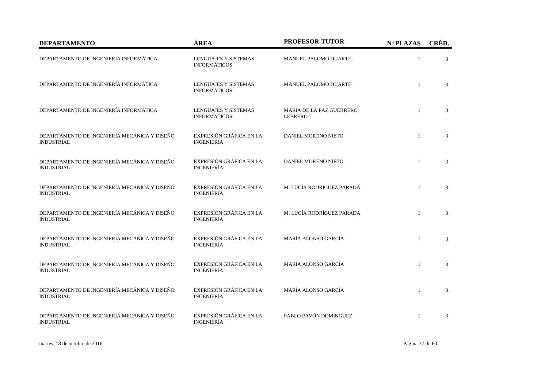| <b>DEPARTAMENTO</b>                                               | ÁREA                                               | PROFESOR-TUTOR                             | Nº PLAZAS    | CRÉD. |
|-------------------------------------------------------------------|----------------------------------------------------|--------------------------------------------|--------------|-------|
| DEPARTAMENTO DE INGENIERÍA INFORMÁTICA                            | LENGUAJES Y SISTEMAS<br><b>INFORMÁTICOS</b>        | MANUEL PALOMO DUARTE                       | $\mathbf{1}$ | 3     |
| DEPARTAMENTO DE INGENIERÍA INFORMÁTICA                            | <b>LENGUAJES Y SISTEMAS</b><br><b>INFORMÁTICOS</b> | MANUEL PALOMO DUARTE                       | $\mathbf{1}$ | 3     |
| DEPARTAMENTO DE INGENIERÍA INFORMÁTICA                            | <b>LENGUAJES Y SISTEMAS</b><br><b>INFORMÁTICOS</b> | MARÍA DE LA PAZ GUERRERO<br><b>LEBRERO</b> | $\mathbf{1}$ | 3     |
| DEPARTAMENTO DE INGENIERÍA MECÁNICA Y DISEÑO<br><b>INDUSTRIAL</b> | EXPRESIÓN GRÁFICA EN LA<br><b>INGENIERÍA</b>       | DANIEL MORENO NIETO                        | $\mathbf{1}$ | 3     |
| DEPARTAMENTO DE INGENIERÍA MECÁNICA Y DISEÑO<br><b>INDUSTRIAL</b> | EXPRESIÓN GRÁFICA EN LA<br><b>INGENIERÍA</b>       | DANIEL MORENO NIETO                        | $\mathbf{1}$ | 3     |
| DEPARTAMENTO DE INGENIERÍA MECÁNICA Y DISEÑO<br><b>INDUSTRIAL</b> | EXPRESIÓN GRÁFICA EN LA<br><b>INGENIERÍA</b>       | M. LUCÍA RODRÍGUEZ PARADA                  | $\mathbf{1}$ | 3     |
| DEPARTAMENTO DE INGENIERÍA MECÁNICA Y DISEÑO<br><b>INDUSTRIAL</b> | EXPRESIÓN GRÁFICA EN LA<br><b>INGENIERÍA</b>       | M. LUCÍA RODRÍGUEZ PARADA                  | $\mathbf{1}$ | 3     |
| DEPARTAMENTO DE INGENIERÍA MECÁNICA Y DISEÑO<br><b>INDUSTRIAL</b> | EXPRESIÓN GRÁFICA EN LA<br><b>INGENIERÍA</b>       | MARÍA ALONSO GARCÍA                        | $\mathbf{1}$ | 3     |
| DEPARTAMENTO DE INGENIERÍA MECÁNICA Y DISEÑO<br><b>INDUSTRIAL</b> | EXPRESIÓN GRÁFICA EN LA<br><b>INGENIERÍA</b>       | MARÍA ALONSO GARCÍA                        | $\mathbf{1}$ | 3     |
| DEPARTAMENTO DE INGENIERÍA MECÁNICA Y DISEÑO<br><b>INDUSTRIAL</b> | EXPRESIÓN GRÁFICA EN LA<br><b>INGENIERÍA</b>       | MARÍA ALONSO GARCÍA                        | $\mathbf{1}$ | 3     |
| DEPARTAMENTO DE INGENIERÍA MECÁNICA Y DISEÑO<br><b>INDUSTRIAL</b> | EXPRESIÓN GRÁFICA EN LA<br><b>INGENIERÍA</b>       | PABLO PAVÓN DOMÍNGUEZ                      | $\mathbf{1}$ | 3     |

martes, 18 de octubre de 2016 Página 37 de 60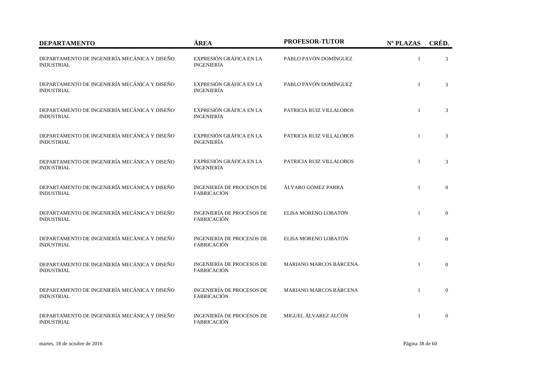| <b>DEPARTAMENTO</b>                                               | ÁREA                                                   | <b>PROFESOR-TUTOR</b>         | Nº PLAZAS    | CRÉD.          |
|-------------------------------------------------------------------|--------------------------------------------------------|-------------------------------|--------------|----------------|
| DEPARTAMENTO DE INGENIERÍA MECÁNICA Y DISEÑO<br><b>INDUSTRIAL</b> | EXPRESIÓN GRÁFICA EN LA<br><b>INGENIERÍA</b>           | PABLO PAVÓN DOMÍNGUEZ         | $\mathbf{1}$ | 3              |
| DEPARTAMENTO DE INGENIERÍA MECÁNICA Y DISEÑO<br><b>INDUSTRIAL</b> | EXPRESIÓN GRÁFICA EN LA<br><b>INGENIERÍA</b>           | PABLO PAVÓN DOMÍNGUEZ         | $\mathbf{1}$ | 3              |
| DEPARTAMENTO DE INGENIERÍA MECÁNICA Y DISEÑO<br><b>INDUSTRIAL</b> | EXPRESIÓN GRÁFICA EN LA<br><b>INGENIERÍA</b>           | PATRICIA RUIZ VILLALOBOS      | $\mathbf{1}$ | 3              |
| DEPARTAMENTO DE INGENIERÍA MECÁNICA Y DISEÑO<br><b>INDUSTRIAL</b> | EXPRESIÓN GRÁFICA EN LA<br><b>INGENIERÍA</b>           | PATRICIA RUIZ VILLALOBOS      | $\mathbf{1}$ | 3              |
| DEPARTAMENTO DE INGENIERÍA MECÁNICA Y DISEÑO<br><b>INDUSTRIAL</b> | EXPRESIÓN GRÁFICA EN LA<br><b>INGENIERÍA</b>           | PATRICIA RUIZ VILLALOBOS      | $\mathbf{1}$ | 3              |
| DEPARTAMENTO DE INGENIERÍA MECÁNICA Y DISEÑO<br><b>INDUSTRIAL</b> | <b>INGENIERÍA DE PROCESOS DE</b><br><b>FABRICACIÓN</b> | ÁLVARO GÓMEZ PARRA            | $\mathbf{1}$ | $\overline{0}$ |
| DEPARTAMENTO DE INGENIERÍA MECÁNICA Y DISEÑO<br><b>INDUSTRIAL</b> | <b>INGENIERÍA DE PROCESOS DE</b><br>FABRICACIÓN        | ELISA MORENO LOBATÓN          | $\mathbf{1}$ | $\mathbf{0}$   |
| DEPARTAMENTO DE INGENIERÍA MECÁNICA Y DISEÑO<br><b>INDUSTRIAL</b> | <b>INGENIERÍA DE PROCESOS DE</b><br><b>FABRICACIÓN</b> | ELISA MORENO LOBATÓN          | $\mathbf{1}$ | $\theta$       |
| DEPARTAMENTO DE INGENIERÍA MECÁNICA Y DISEÑO<br><b>INDUSTRIAL</b> | <b>INGENIERÍA DE PROCESOS DE</b><br><b>FABRICACIÓN</b> | <b>MARIANO MARCOS BÁRCENA</b> | $\mathbf{1}$ | $\overline{0}$ |
| DEPARTAMENTO DE INGENIERÍA MECÁNICA Y DISEÑO<br><b>INDUSTRIAL</b> | <b>INGENIERÍA DE PROCESOS DE</b><br><b>FABRICACIÓN</b> | MARIANO MARCOS BÁRCENA        | $\mathbf{1}$ | $\mathbf{0}$   |
| DEPARTAMENTO DE INGENIERÍA MECÁNICA Y DISEÑO<br><b>INDUSTRIAL</b> | INGENIERÍA DE PROCESOS DE<br>FABRICACIÓN               | MIGUEL ÁLVAREZ ALCÓN          | $\mathbf{1}$ | $\overline{0}$ |

martes, 18 de octubre de 2016 Página 38 de 60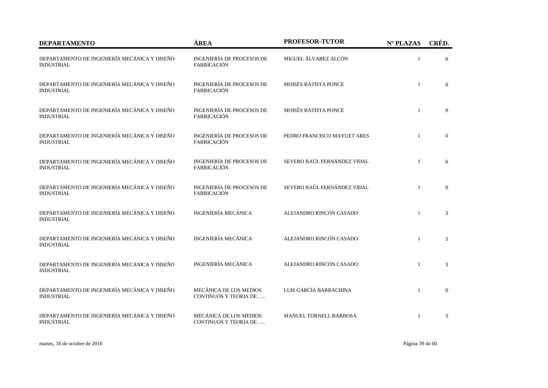| <b>DEPARTAMENTO</b>                                               | ÁREA                                                   | <b>PROFESOR-TUTOR</b>         | Nº PLAZAS    | CRÉD.          |
|-------------------------------------------------------------------|--------------------------------------------------------|-------------------------------|--------------|----------------|
| DEPARTAMENTO DE INGENIERÍA MECÁNICA Y DISEÑO<br><b>INDUSTRIAL</b> | <b>INGENIERÍA DE PROCESOS DE</b><br><b>FABRICACIÓN</b> | MIGUEL ÁLVAREZ ALCÓN          | 1            | $\overline{0}$ |
| DEPARTAMENTO DE INGENIERÍA MECÁNICA Y DISEÑO<br><b>INDUSTRIAL</b> | INGENIERÍA DE PROCESOS DE<br>FABRICACIÓN               | MOISÉS BATISTA PONCE          | $\mathbf{1}$ | $\overline{0}$ |
| DEPARTAMENTO DE INGENIERÍA MECÁNICA Y DISEÑO<br><b>INDUSTRIAL</b> | <b>INGENIERÍA DE PROCESOS DE</b><br>FABRICACIÓN        | MOISÉS BATISTA PONCE          | $\mathbf{1}$ | $\overline{0}$ |
| DEPARTAMENTO DE INGENIERÍA MECÁNICA Y DISEÑO<br><b>INDUSTRIAL</b> | <b>INGENIERÍA DE PROCESOS DE</b><br>FABRICACIÓN        | PEDRO FRANCISCO MAYUET ARES   | $\mathbf{1}$ | $\mathbf{0}$   |
| DEPARTAMENTO DE INGENIERÍA MECÁNICA Y DISEÑO<br><b>INDUSTRIAL</b> | <b>INGENIERÍA DE PROCESOS DE</b><br><b>FABRICACIÓN</b> | SEVERO RAÚL FERNÁNDEZ VIDAL   | $\mathbf{1}$ | $\mathbf{0}$   |
| DEPARTAMENTO DE INGENIERÍA MECÁNICA Y DISEÑO<br><b>INDUSTRIAL</b> | <b>INGENIERÍA DE PROCESOS DE</b><br><b>FABRICACIÓN</b> | SEVERO RAÚL FERNÁNDEZ VIDAL   | $\mathbf{1}$ | $\overline{0}$ |
| DEPARTAMENTO DE INGENIERÍA MECÁNICA Y DISEÑO<br><b>INDUSTRIAL</b> | <b>INGENIERÍA MECÁNICA</b>                             | ALEJANDRO RINCÓN CASADO       | $\mathbf{1}$ | 3              |
| DEPARTAMENTO DE INGENIERÍA MECÁNICA Y DISEÑO<br><b>INDUSTRIAL</b> | <b>INGENIERÍA MECÁNICA</b>                             | ALEJANDRO RINCÓN CASADO       | $\mathbf{1}$ | 3              |
| DEPARTAMENTO DE INGENIERÍA MECÁNICA Y DISEÑO<br><b>INDUSTRIAL</b> | <b>INGENIERÍA MECÁNICA</b>                             | ALEJANDRO RINCÓN CASADO       | $\mathbf{1}$ | 3              |
| DEPARTAMENTO DE INGENIERÍA MECÁNICA Y DISEÑO<br><b>INDUSTRIAL</b> | MECÁNICA DE LOS MEDIOS<br><b>CONTINUOS Y TEORIA DE</b> | LUIS GARCÍA BARRACHINA        | $\mathbf{1}$ | $\overline{0}$ |
| DEPARTAMENTO DE INGENIERÍA MECÁNICA Y DISEÑO<br><b>INDUSTRIAL</b> | MECÁNICA DE LOS MEDIOS<br>CONTINUOS Y TEORIA DE        | <b>MANUEL TORNELL BARBOSA</b> | 1            | 3              |

martes, 18 de octubre de 2016 Página 39 de 60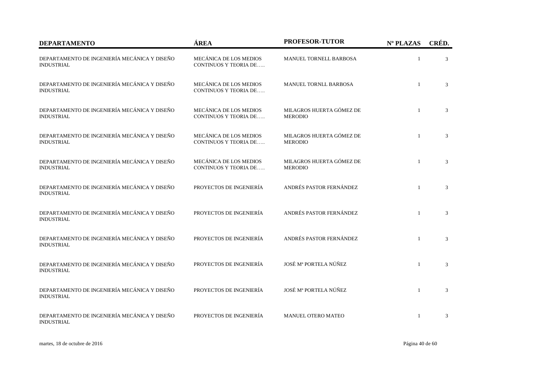| <b>DEPARTAMENTO</b>                                               | ÁREA                                                   | <b>PROFESOR-TUTOR</b>                      | Nº PLAZAS    | CRÉD.          |
|-------------------------------------------------------------------|--------------------------------------------------------|--------------------------------------------|--------------|----------------|
| DEPARTAMENTO DE INGENIERÍA MECÁNICA Y DISEÑO<br><b>INDUSTRIAL</b> | MECÁNICA DE LOS MEDIOS<br><b>CONTINUOS Y TEORIA DE</b> | MANUEL TORNELL BARBOSA                     | $\mathbf{1}$ | 3              |
| DEPARTAMENTO DE INGENIERÍA MECÁNICA Y DISEÑO<br><b>INDUSTRIAL</b> | MECÁNICA DE LOS MEDIOS<br><b>CONTINUOS Y TEORIA DE</b> | MANUEL TORNLL BARBOSA                      | $\mathbf{1}$ | 3              |
| DEPARTAMENTO DE INGENIERÍA MECÁNICA Y DISEÑO<br><b>INDUSTRIAL</b> | MECÁNICA DE LOS MEDIOS<br><b>CONTINUOS Y TEORIA DE</b> | MILAGROS HUERTA GÓMEZ DE<br><b>MERODIO</b> | $\mathbf{1}$ | $\mathfrak{Z}$ |
| DEPARTAMENTO DE INGENIERÍA MECÁNICA Y DISEÑO<br><b>INDUSTRIAL</b> | MECÁNICA DE LOS MEDIOS<br><b>CONTINUOS Y TEORIA DE</b> | MILAGROS HUERTA GÓMEZ DE<br><b>MERODIO</b> | $\mathbf{1}$ | 3              |
| DEPARTAMENTO DE INGENIERÍA MECÁNICA Y DISEÑO<br><b>INDUSTRIAL</b> | MECÁNICA DE LOS MEDIOS<br><b>CONTINUOS Y TEORIA DE</b> | MILAGROS HUERTA GÓMEZ DE<br><b>MERODIO</b> | $\mathbf{1}$ | 3              |
| DEPARTAMENTO DE INGENIERÍA MECÁNICA Y DISEÑO<br><b>INDUSTRIAL</b> | PROYECTOS DE INGENIERÍA                                | ANDRÉS PASTOR FERNÁNDEZ                    | $\mathbf{1}$ | 3              |
| DEPARTAMENTO DE INGENIERÍA MECÁNICA Y DISEÑO<br><b>INDUSTRIAL</b> | PROYECTOS DE INGENIERÍA                                | ANDRÉS PASTOR FERNÁNDEZ                    | $\mathbf{1}$ | 3              |
| DEPARTAMENTO DE INGENIERÍA MECÁNICA Y DISEÑO<br><b>INDUSTRIAL</b> | PROYECTOS DE INGENIERÍA                                | ANDRÉS PASTOR FERNÁNDEZ                    | $\mathbf{1}$ | 3              |
| DEPARTAMENTO DE INGENIERÍA MECÁNICA Y DISEÑO<br><b>INDUSTRIAL</b> | PROYECTOS DE INGENIERÍA                                | JOSÉ Mª PORTELA NÚÑEZ                      | $\mathbf{1}$ | 3              |
| DEPARTAMENTO DE INGENIERÍA MECÁNICA Y DISEÑO<br><b>INDUSTRIAL</b> | PROYECTOS DE INGENIERÍA                                | JOSÉ Mª PORTELA NÚÑEZ                      | $\mathbf{1}$ | 3              |
| DEPARTAMENTO DE INGENIERÍA MECÁNICA Y DISEÑO<br><b>INDUSTRIAL</b> | PROYECTOS DE INGENIERÍA                                | MANUEL OTERO MATEO                         |              | 3              |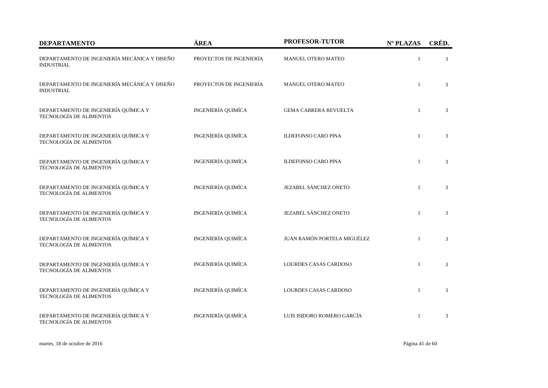| <b>DEPARTAMENTO</b>                                                    | ÁREA                      | PROFESOR-TUTOR               | Nº PLAZAS    | CRÉD. |
|------------------------------------------------------------------------|---------------------------|------------------------------|--------------|-------|
| DEPARTAMENTO DE INGENIERÍA MECÁNICA Y DISEÑO<br><b>INDUSTRIAL</b>      | PROYECTOS DE INGENIERÍA   | MANUEL OTERO MATEO           | 1            | 3     |
| DEPARTAMENTO DE INGENIERÍA MECÁNICA Y DISEÑO<br><b>INDUSTRIAL</b>      | PROYECTOS DE INGENIERÍA   | MANUEL OTERO MATEO           | $\mathbf{1}$ | 3     |
| DEPARTAMENTO DE INGENIERÍA QUÍMICA Y<br>TECNOLOGÍA DE ALIMENTOS        | <b>INGENIERÍA QUIMÍCA</b> | <b>GEMA CABRERA REVUELTA</b> | $\mathbf{1}$ | 3     |
| DEPARTAMENTO DE INGENIERÍA QUÍMICA Y<br>TECNOLOGÍA DE ALIMENTOS        | <b>INGENIERÍA QUIMÍCA</b> | <b>ILDEFONSO CARO PINA</b>   | $\mathbf{1}$ | 3     |
| DEPARTAMENTO DE INGENIERÍA QUÍMICA Y<br>TECNOLOGÍA DE ALIMENTOS        | INGENIERÍA QUIMÍCA        | <b>ILDEFONSO CARO PINA</b>   | $\mathbf{1}$ | 3     |
| DEPARTAMENTO DE INGENIERÍA QUÍMICA Y<br><b>TECNOLOGÍA DE ALIMENTOS</b> | INGENIERÍA QUIMÍCA        | JEZABEL SÁNCHEZ ONETO        | $\mathbf{1}$ | 3     |
| DEPARTAMENTO DE INGENIERÍA QUÍMICA Y<br>TECNOLOGÍA DE ALIMENTOS        | <b>INGENIERÍA QUIMÍCA</b> | JEZABEL SÁNCHEZ ONETO        | $\mathbf{1}$ | 3     |
| DEPARTAMENTO DE INGENIERÍA QUÍMICA Y<br>TECNOLOGÍA DE ALIMENTOS        | INGENIERÍA QUIMÍCA        | JUAN RAMÓN PORTELA MIGUÉLEZ  | $\mathbf{1}$ | 3     |
| DEPARTAMENTO DE INGENIERÍA QUÍMICA Y<br>TECNOLOGÍA DE ALIMENTOS        | INGENIERÍA QUIMÍCA        | <b>LOURDES CASAS CARDOSO</b> | $\mathbf{1}$ | 3     |
| DEPARTAMENTO DE INGENIERÍA QUÍMICA Y<br>TECNOLOGÍA DE ALIMENTOS        | <b>INGENIERÍA QUIMÍCA</b> | <b>LOURDES CASAS CARDOSO</b> | $\mathbf{1}$ | 3     |
| DEPARTAMENTO DE INGENIERÍA QUÍMICA Y<br>TECNOLOGÍA DE ALIMENTOS        | <b>INGENIERÍA QUIMÍCA</b> | LUIS ISIDORO ROMERO GARCÍA   | $\mathbf{1}$ | 3     |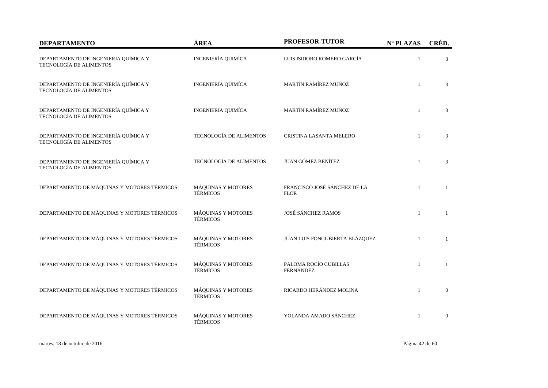| <b>DEPARTAMENTO</b>                                             | ÁREA                                  | PROFESOR-TUTOR                              | Nº PLAZAS    | CRÉD.        |
|-----------------------------------------------------------------|---------------------------------------|---------------------------------------------|--------------|--------------|
| DEPARTAMENTO DE INGENIERÍA QUÍMICA Y<br>TECNOLOGÍA DE ALIMENTOS | <b>INGENIERÍA QUIMÍCA</b>             | LUIS ISIDORO ROMERO GARCÍA                  | $\mathbf{1}$ | 3            |
| DEPARTAMENTO DE INGENIERÍA QUÍMICA Y<br>TECNOLOGÍA DE ALIMENTOS | <b>INGENIERÍA QUIMÍCA</b>             | MARTÍN RAMÍREZ MUÑOZ                        | 1            | 3            |
| DEPARTAMENTO DE INGENIERÍA QUÍMICA Y<br>TECNOLOGÍA DE ALIMENTOS | <b>INGENIERÍA QUIMÍCA</b>             | MARTÍN RAMÍREZ MUÑOZ                        | $\mathbf{1}$ | 3            |
| DEPARTAMENTO DE INGENIERÍA QUÍMICA Y<br>TECNOLOGÍA DE ALIMENTOS | TECNOLOGÍA DE ALIMENTOS               | CRISTINA LASANTA MELERO                     | $\mathbf{1}$ | 3            |
| DEPARTAMENTO DE INGENIERÍA QUÍMICA Y<br>TECNOLOGÍA DE ALIMENTOS | TECNOLOGÍA DE ALIMENTOS               | JUAN GÓMEZ BENÍTEZ                          | $\mathbf{1}$ | 3            |
| DEPARTAMENTO DE MÁQUINAS Y MOTORES TÉRMICOS                     | MÁQUINAS Y MOTORES<br><b>TÉRMICOS</b> | FRANCISCO JOSÉ SÁNCHEZ DE LA<br><b>FLOR</b> | $\mathbf{1}$ | $\mathbf{1}$ |
| DEPARTAMENTO DE MÁQUINAS Y MOTORES TÉRMICOS                     | MÁQUINAS Y MOTORES<br><b>TÉRMICOS</b> | <b>JOSÉ SÁNCHEZ RAMOS</b>                   | $\mathbf{1}$ | 1            |
| DEPARTAMENTO DE MÁQUINAS Y MOTORES TÉRMICOS                     | MÁQUINAS Y MOTORES<br><b>TÉRMICOS</b> | JUAN LUIS FONCUBIERTA BLÁZQUEZ              | $\mathbf{1}$ | 1            |
| DEPARTAMENTO DE MÁQUINAS Y MOTORES TÉRMICOS                     | MÁQUINAS Y MOTORES<br><b>TÉRMICOS</b> | PALOMA ROCÍO CUBILLAS<br><b>FERNÁNDEZ</b>   | $\mathbf{1}$ | $\mathbf{1}$ |
| DEPARTAMENTO DE MÁQUINAS Y MOTORES TÉRMICOS                     | MÁQUINAS Y MOTORES<br><b>TÉRMICOS</b> | RICARDO HERÁNDEZ MOLINA                     | $\mathbf{1}$ | $\mathbf{0}$ |
| DEPARTAMENTO DE MÁQUINAS Y MOTORES TÉRMICOS                     | MÁQUINAS Y MOTORES<br><b>TÉRMICOS</b> | YOLANDA AMADO SÁNCHEZ                       | $\mathbf{1}$ | $\mathbf{0}$ |

martes, 18 de octubre de 2016 Página 42 de 60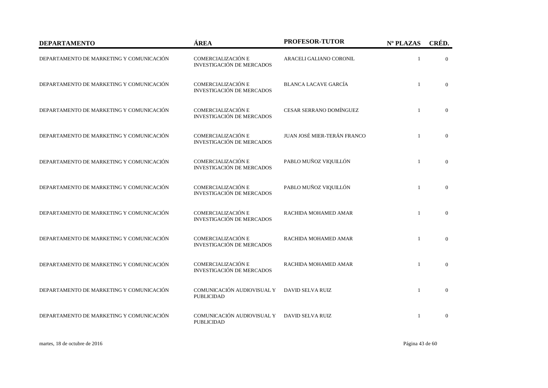| <b>DEPARTAMENTO</b>                      | ÁREA                                                   | PROFESOR-TUTOR              | Nº PLAZAS    | CRÉD.          |
|------------------------------------------|--------------------------------------------------------|-----------------------------|--------------|----------------|
| DEPARTAMENTO DE MARKETING Y COMUNICACIÓN | COMERCIALIZACIÓN E<br><b>INVESTIGACIÓN DE MERCADOS</b> | ARACELI GALIANO CORONIL     | $\mathbf{1}$ | $\Omega$       |
| DEPARTAMENTO DE MARKETING Y COMUNICACIÓN | COMERCIALIZACIÓN E<br><b>INVESTIGACIÓN DE MERCADOS</b> | <b>BLANCA LACAVE GARCÍA</b> | $\mathbf{1}$ | $\overline{0}$ |
| DEPARTAMENTO DE MARKETING Y COMUNICACIÓN | COMERCIALIZACIÓN E<br><b>INVESTIGACIÓN DE MERCADOS</b> | CESAR SERRANO DOMÍNGUEZ     | $\mathbf{1}$ | $\overline{0}$ |
| DEPARTAMENTO DE MARKETING Y COMUNICACIÓN | COMERCIALIZACIÓN E<br><b>INVESTIGACIÓN DE MERCADOS</b> | JUAN JOSÉ MIER-TERÁN FRANCO | $\mathbf{1}$ | $\overline{0}$ |
| DEPARTAMENTO DE MARKETING Y COMUNICACIÓN | COMERCIALIZACIÓN E<br><b>INVESTIGACIÓN DE MERCADOS</b> | PABLO MUÑOZ VIQUILLÓN       | $\mathbf{1}$ | $\theta$       |
| DEPARTAMENTO DE MARKETING Y COMUNICACIÓN | COMERCIALIZACIÓN E<br><b>INVESTIGACIÓN DE MERCADOS</b> | PABLO MUÑOZ VIQUILLÓN       | $\mathbf{1}$ | $\overline{0}$ |
| DEPARTAMENTO DE MARKETING Y COMUNICACIÓN | COMERCIALIZACIÓN E<br><b>INVESTIGACIÓN DE MERCADOS</b> | RACHIDA MOHAMED AMAR        | $\mathbf{1}$ | $\overline{0}$ |
| DEPARTAMENTO DE MARKETING Y COMUNICACIÓN | COMERCIALIZACIÓN E<br><b>INVESTIGACIÓN DE MERCADOS</b> | RACHIDA MOHAMED AMAR        | $\mathbf{1}$ | $\theta$       |
| DEPARTAMENTO DE MARKETING Y COMUNICACIÓN | COMERCIALIZACIÓN E<br><b>INVESTIGACIÓN DE MERCADOS</b> | RACHIDA MOHAMED AMAR        | $\mathbf{1}$ | $\overline{0}$ |
| DEPARTAMENTO DE MARKETING Y COMUNICACIÓN | COMUNICACIÓN AUDIOVISUAL Y<br><b>PUBLICIDAD</b>        | <b>DAVID SELVA RUIZ</b>     | $\mathbf{1}$ | $\overline{0}$ |
| DEPARTAMENTO DE MARKETING Y COMUNICACIÓN | COMUNICACIÓN AUDIOVISUAL Y<br><b>PUBLICIDAD</b>        | <b>DAVID SELVA RUIZ</b>     | $\mathbf{1}$ | $\theta$       |

martes, 18 de octubre de 2016 Página 43 de 60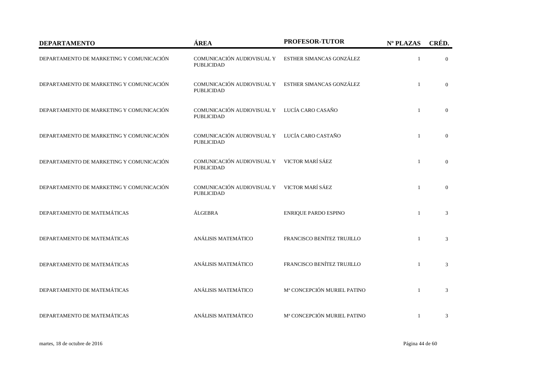| <b>DEPARTAMENTO</b>                      | ÁREA                                                             | <b>PROFESOR-TUTOR</b>       | Nº PLAZAS    | CRÉD.          |
|------------------------------------------|------------------------------------------------------------------|-----------------------------|--------------|----------------|
| DEPARTAMENTO DE MARKETING Y COMUNICACIÓN | COMUNICACIÓN AUDIOVISUAL Y<br><b>PUBLICIDAD</b>                  | ESTHER SIMANCAS GONZÁLEZ    | $\mathbf{1}$ | $\Omega$       |
| DEPARTAMENTO DE MARKETING Y COMUNICACIÓN | COMUNICACIÓN AUDIOVISUAL Y<br><b>PUBLICIDAD</b>                  | ESTHER SIMANCAS GONZÁLEZ    | $\mathbf{1}$ | $\overline{0}$ |
| DEPARTAMENTO DE MARKETING Y COMUNICACIÓN | COMUNICACIÓN AUDIOVISUAL Y<br><b>PUBLICIDAD</b>                  | LUCÍA CARO CASAÑO           | $\mathbf{1}$ | $\mathbf{0}$   |
| DEPARTAMENTO DE MARKETING Y COMUNICACIÓN | COMUNICACIÓN AUDIOVISUAL Y<br><b>PUBLICIDAD</b>                  | LUCÍA CARO CASTAÑO          | $\mathbf{1}$ | $\mathbf{0}$   |
| DEPARTAMENTO DE MARKETING Y COMUNICACIÓN | COMUNICACIÓN AUDIOVISUAL Y<br><b>PUBLICIDAD</b>                  | VICTOR MARÍ SÁEZ            | $\mathbf{1}$ | $\overline{0}$ |
| DEPARTAMENTO DE MARKETING Y COMUNICACIÓN | COMUNICACIÓN AUDIOVISUAL Y VICTOR MARÍ SÁEZ<br><b>PUBLICIDAD</b> |                             | $\mathbf{1}$ | $\overline{0}$ |
| DEPARTAMENTO DE MATEMÁTICAS              | ÁLGEBRA                                                          | ENRIQUE PARDO ESPINO        | $\mathbf{1}$ | 3              |
| DEPARTAMENTO DE MATEMÁTICAS              | ANÁLISIS MATEMÁTICO                                              | FRANCISCO BENÍTEZ TRUJILLO  | $\mathbf{1}$ | 3              |
| DEPARTAMENTO DE MATEMÁTICAS              | ANÁLISIS MATEMÁTICO                                              | FRANCISCO BENÍTEZ TRUJILLO  | $\mathbf{1}$ | 3              |
| DEPARTAMENTO DE MATEMÁTICAS              | ANÁLISIS MATEMÁTICO                                              | Mª CONCEPCIÓN MURIEL PATINO | $\mathbf{1}$ | 3              |
| DEPARTAMENTO DE MATEMÁTICAS              | ANÁLISIS MATEMÁTICO                                              | Mª CONCEPCIÓN MURIEL PATINO | $\mathbf{1}$ | 3              |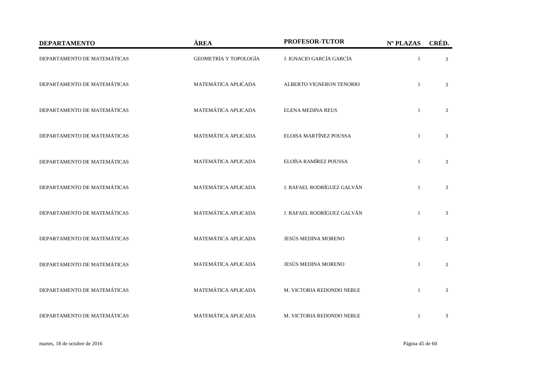| <b>DEPARTAMENTO</b>         | ÁREA                  | PROFESOR-TUTOR             | Nº PLAZAS    | CRÉD.          |
|-----------------------------|-----------------------|----------------------------|--------------|----------------|
| DEPARTAMENTO DE MATEMÁTICAS | GEOMETRÍA Y TOPOLOGÍA | J. IGNACIO GARCÍA GARCÍA   | $\mathbf{1}$ | 3              |
| DEPARTAMENTO DE MATEMÁTICAS | MATEMÁTICA APLICADA   | ALBERTO VIGNERON TENORIO   | $\mathbf{1}$ | $\mathfrak{Z}$ |
| DEPARTAMENTO DE MATEMÁTICAS | MATEMÁTICA APLICADA   | ELENA MEDINA REUS          | $\mathbf{1}$ | 3              |
| DEPARTAMENTO DE MATEMÁTICAS | MATEMÁTICA APLICADA   | ELOISA MARTÍNEZ POUSSA     | $\mathbf{1}$ | 3              |
| DEPARTAMENTO DE MATEMÁTICAS | MATEMÁTICA APLICADA   | ELOÍSA RAMÍREZ POUSSA      | $\mathbf{1}$ | 3              |
| DEPARTAMENTO DE MATEMÁTICAS | MATEMÁTICA APLICADA   | J. RAFAEL RODRÍGUEZ GALVÁN | $\mathbf{1}$ | 3              |
| DEPARTAMENTO DE MATEMÁTICAS | MATEMÁTICA APLICADA   | J. RAFAEL RODRÍGUEZ GALVÁN | $\mathbf{1}$ | 3              |
| DEPARTAMENTO DE MATEMÁTICAS | MATEMÁTICA APLICADA   | JESÚS MEDINA MORENO        | $\mathbf{1}$ | 3              |
| DEPARTAMENTO DE MATEMÁTICAS | MATEMÁTICA APLICADA   | JESÚS MEDINA MORENO        | $\mathbf{1}$ | 3              |
| DEPARTAMENTO DE MATEMÁTICAS | MATEMÁTICA APLICADA   | M. VICTORIA REDONDO NEBLE  | $\mathbf{1}$ | 3              |
| DEPARTAMENTO DE MATEMÁTICAS | MATEMÁTICA APLICADA   | M. VICTORIA REDONDO NEBLE  | $\mathbf{1}$ | $\mathfrak{Z}$ |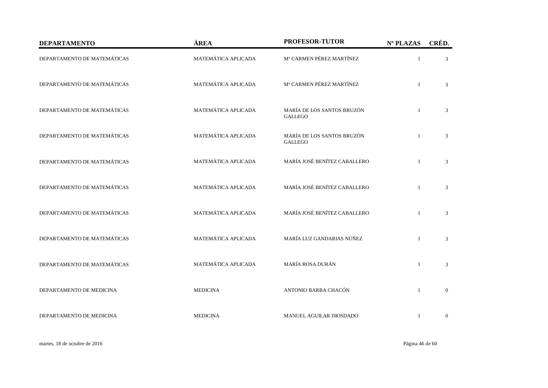| <b>DEPARTAMENTO</b>         | ÁREA                | PROFESOR-TUTOR                               | Nº PLAZAS    | CRÉD.          |
|-----------------------------|---------------------|----------------------------------------------|--------------|----------------|
| DEPARTAMENTO DE MATEMÁTICAS | MATEMÁTICA APLICADA | Mª CARMEN PÉREZ MARTÍNEZ                     | $\mathbf{1}$ | 3              |
| DEPARTAMENTO DE MATEMÁTICAS | MATEMÁTICA APLICADA | Mª CARMEN PÉREZ MARTÍNEZ                     | $\mathbf{1}$ | 3              |
| DEPARTAMENTO DE MATEMÁTICAS | MATEMÁTICA APLICADA | MARÍA DE LOS SANTOS BRUZÓN<br><b>GALLEGO</b> | $\mathbf{1}$ | 3              |
| DEPARTAMENTO DE MATEMÁTICAS | MATEMÁTICA APLICADA | MARÍA DE LOS SANTOS BRUZÓN<br><b>GALLEGO</b> | $\mathbf{1}$ | 3              |
| DEPARTAMENTO DE MATEMÁTICAS | MATEMÁTICA APLICADA | MARÍA JOSÉ BENÍTEZ CABALLERO                 | $\mathbf{1}$ | $\mathfrak{Z}$ |
| DEPARTAMENTO DE MATEMÁTICAS | MATEMÁTICA APLICADA | MARÍA JOSÉ BENÍTEZ CABALLERO                 | $\mathbf{1}$ | 3              |
| DEPARTAMENTO DE MATEMÁTICAS | MATEMÁTICA APLICADA | MARÍA JOSÉ BENÍTEZ CABALLERO                 | $\mathbf{1}$ | 3              |
| DEPARTAMENTO DE MATEMÁTICAS | MATEMÁTICA APLICADA | MARÍA LUZ GANDARIAS NÚÑEZ                    | $\mathbf{1}$ | 3              |
| DEPARTAMENTO DE MATEMÁTICAS | MATEMÁTICA APLICADA | MARÍA ROSA DURÁN                             | $\mathbf{1}$ | 3              |
| DEPARTAMENTO DE MEDICINA    | <b>MEDICINA</b>     | ANTONIO BARBA CHACÓN                         | $\mathbf{1}$ | $\mathbf{0}$   |
| DEPARTAMENTO DE MEDICINA    | <b>MEDICINA</b>     | MANUEL AGUILAR DIOSDADO                      | $\mathbf{1}$ | $\mathbf{0}$   |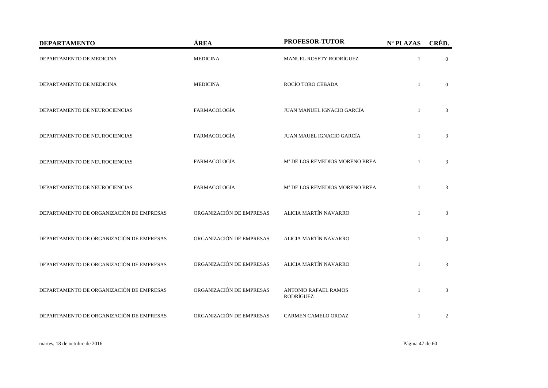| <b>DEPARTAMENTO</b>                      | ÁREA                     | PROFESOR-TUTOR                             | Nº PLAZAS      | CRÉD.          |
|------------------------------------------|--------------------------|--------------------------------------------|----------------|----------------|
| DEPARTAMENTO DE MEDICINA                 | <b>MEDICINA</b>          | MANUEL ROSETY RODRÍGUEZ                    | $\mathbf{1}$   | $\mathbf{0}$   |
| DEPARTAMENTO DE MEDICINA                 | <b>MEDICINA</b>          | ROCÍO TORO CEBADA                          | $\mathbf{1}$   | $\Omega$       |
| DEPARTAMENTO DE NEUROCIENCIAS            | FARMACOLOGÍA             | JUAN MANUEL IGNACIO GARCÍA                 |                | 3              |
| DEPARTAMENTO DE NEUROCIENCIAS            | FARMACOLOGÍA             | JUAN MAUEL IGNACIO GARCÍA                  |                | 3              |
| DEPARTAMENTO DE NEUROCIENCIAS            | FARMACOLOGÍA             | M <sup>ª</sup> DE LOS REMEDIOS MORENO BREA |                | 3              |
| DEPARTAMENTO DE NEUROCIENCIAS            | FARMACOLOGÍA             | M <sup>ª</sup> DE LOS REMEDIOS MORENO BREA |                | 3              |
| DEPARTAMENTO DE ORGANIZACIÓN DE EMPRESAS | ORGANIZACIÓN DE EMPRESAS | ALICIA MARTÍN NAVARRO                      | $\overline{1}$ | 3              |
| DEPARTAMENTO DE ORGANIZACIÓN DE EMPRESAS | ORGANIZACIÓN DE EMPRESAS | ALICIA MARTÍN NAVARRO                      | $\mathbf{1}$   | 3              |
| DEPARTAMENTO DE ORGANIZACIÓN DE EMPRESAS | ORGANIZACIÓN DE EMPRESAS | ALICIA MARTÍN NAVARRO                      | $\mathbf{1}$   | 3              |
| DEPARTAMENTO DE ORGANIZACIÓN DE EMPRESAS | ORGANIZACIÓN DE EMPRESAS | <b>ANTONIO RAFAEL RAMOS</b><br>RODRÍGUEZ   | $\overline{1}$ | 3              |
| DEPARTAMENTO DE ORGANIZACIÓN DE EMPRESAS | ORGANIZACIÓN DE EMPRESAS | CARMEN CAMELO ORDAZ                        | $\mathbf{1}$   | $\overline{2}$ |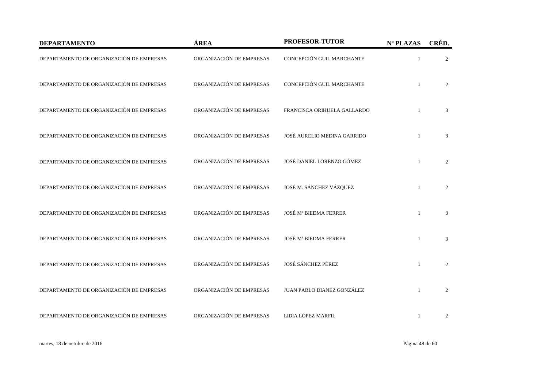| <b>DEPARTAMENTO</b>                      | ÁREA                     | PROFESOR-TUTOR               | Nº PLAZAS    | CRÉD.          |
|------------------------------------------|--------------------------|------------------------------|--------------|----------------|
| DEPARTAMENTO DE ORGANIZACIÓN DE EMPRESAS | ORGANIZACIÓN DE EMPRESAS | CONCEPCIÓN GUIL MARCHANTE    | $\mathbf{1}$ | 2              |
| DEPARTAMENTO DE ORGANIZACIÓN DE EMPRESAS | ORGANIZACIÓN DE EMPRESAS | CONCEPCIÓN GUIL MARCHANTE    |              | 2              |
| DEPARTAMENTO DE ORGANIZACIÓN DE EMPRESAS | ORGANIZACIÓN DE EMPRESAS | FRANCISCA ORIHUELA GALLARDO  |              | 3              |
| DEPARTAMENTO DE ORGANIZACIÓN DE EMPRESAS | ORGANIZACIÓN DE EMPRESAS | JOSÉ AURELIO MEDINA GARRIDO  |              | 3              |
| DEPARTAMENTO DE ORGANIZACIÓN DE EMPRESAS | ORGANIZACIÓN DE EMPRESAS | JOSÉ DANIEL LORENZO GÓMEZ    | $\mathbf{1}$ | 2              |
| DEPARTAMENTO DE ORGANIZACIÓN DE EMPRESAS | ORGANIZACIÓN DE EMPRESAS | JOSÉ M. SÁNCHEZ VÁZQUEZ      |              | 2              |
| DEPARTAMENTO DE ORGANIZACIÓN DE EMPRESAS | ORGANIZACIÓN DE EMPRESAS | <b>JOSÉ Mª BIEDMA FERRER</b> | $\mathbf{1}$ | 3              |
| DEPARTAMENTO DE ORGANIZACIÓN DE EMPRESAS | ORGANIZACIÓN DE EMPRESAS | <b>JOSÉ Mª BIEDMA FERRER</b> | $\mathbf{1}$ | 3              |
| DEPARTAMENTO DE ORGANIZACIÓN DE EMPRESAS | ORGANIZACIÓN DE EMPRESAS | JOSÉ SÁNCHEZ PÉREZ           | $\mathbf{1}$ | 2              |
| DEPARTAMENTO DE ORGANIZACIÓN DE EMPRESAS | ORGANIZACIÓN DE EMPRESAS | JUAN PABLO DIANEZ GONZÁLEZ   | $\mathbf{1}$ | $\overline{2}$ |
| DEPARTAMENTO DE ORGANIZACIÓN DE EMPRESAS | ORGANIZACIÓN DE EMPRESAS | LIDIA LÓPEZ MARFIL           |              | 2              |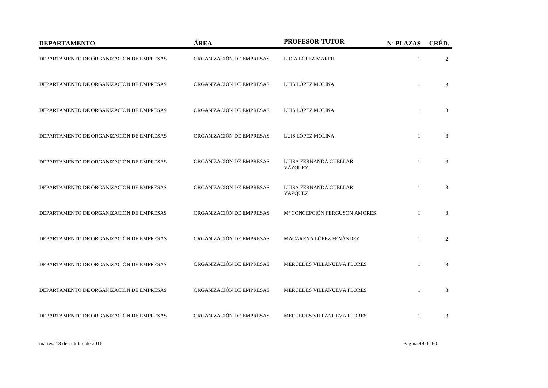| <b>DEPARTAMENTO</b>                      | ÁREA                     | PROFESOR-TUTOR                    | Nº PLAZAS    | CRÉD.          |
|------------------------------------------|--------------------------|-----------------------------------|--------------|----------------|
| DEPARTAMENTO DE ORGANIZACIÓN DE EMPRESAS | ORGANIZACIÓN DE EMPRESAS | LIDIA LÓPEZ MARFIL                | $\mathbf{1}$ | 2              |
| DEPARTAMENTO DE ORGANIZACIÓN DE EMPRESAS | ORGANIZACIÓN DE EMPRESAS | LUIS LÓPEZ MOLINA                 | $\mathbf{1}$ | 3              |
| DEPARTAMENTO DE ORGANIZACIÓN DE EMPRESAS | ORGANIZACIÓN DE EMPRESAS | LUIS LÓPEZ MOLINA                 | $\mathbf{1}$ | 3              |
| DEPARTAMENTO DE ORGANIZACIÓN DE EMPRESAS | ORGANIZACIÓN DE EMPRESAS | LUIS LÓPEZ MOLINA                 | $\mathbf{1}$ | 3              |
| DEPARTAMENTO DE ORGANIZACIÓN DE EMPRESAS | ORGANIZACIÓN DE EMPRESAS | LUISA FERNANDA CUELLAR<br>VÁZQUEZ | $\mathbf{1}$ | 3              |
| DEPARTAMENTO DE ORGANIZACIÓN DE EMPRESAS | ORGANIZACIÓN DE EMPRESAS | LUISA FERNANDA CUELLAR<br>VÁZQUEZ |              | 3              |
| DEPARTAMENTO DE ORGANIZACIÓN DE EMPRESAS | ORGANIZACIÓN DE EMPRESAS | Mª CONCEPCIÓN FERGUSON AMORES     | 1            | 3              |
| DEPARTAMENTO DE ORGANIZACIÓN DE EMPRESAS | ORGANIZACIÓN DE EMPRESAS | MACARENA LÓPEZ FENÁNDEZ           | $\mathbf{1}$ | $\overline{2}$ |
| DEPARTAMENTO DE ORGANIZACIÓN DE EMPRESAS | ORGANIZACIÓN DE EMPRESAS | MERCEDES VILLANUEVA FLORES        | $\mathbf{1}$ | 3              |
| DEPARTAMENTO DE ORGANIZACIÓN DE EMPRESAS | ORGANIZACIÓN DE EMPRESAS | MERCEDES VILLANUEVA FLORES        | $\mathbf{1}$ | 3              |
| DEPARTAMENTO DE ORGANIZACIÓN DE EMPRESAS | ORGANIZACIÓN DE EMPRESAS | MERCEDES VILLANUEVA FLORES        | 1            | 3              |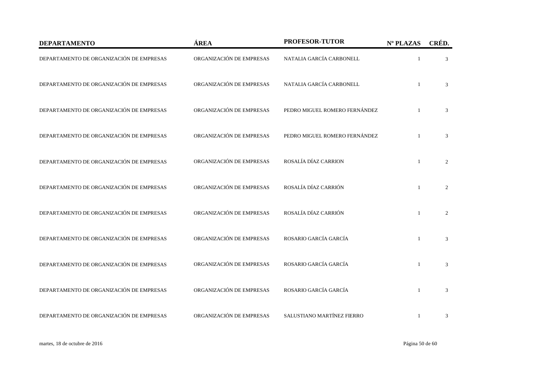| <b>DEPARTAMENTO</b>                      | ÁREA                     | PROFESOR-TUTOR                | Nº PLAZAS    | CRÉD.          |
|------------------------------------------|--------------------------|-------------------------------|--------------|----------------|
| DEPARTAMENTO DE ORGANIZACIÓN DE EMPRESAS | ORGANIZACIÓN DE EMPRESAS | NATALIA GARCÍA CARBONELL      | 1            | 3              |
| DEPARTAMENTO DE ORGANIZACIÓN DE EMPRESAS | ORGANIZACIÓN DE EMPRESAS | NATALIA GARCÍA CARBONELL      |              | 3              |
| DEPARTAMENTO DE ORGANIZACIÓN DE EMPRESAS | ORGANIZACIÓN DE EMPRESAS | PEDRO MIGUEL ROMERO FERNÁNDEZ |              | 3              |
| DEPARTAMENTO DE ORGANIZACIÓN DE EMPRESAS | ORGANIZACIÓN DE EMPRESAS | PEDRO MIGUEL ROMERO FERNÁNDEZ | 1            | 3              |
| DEPARTAMENTO DE ORGANIZACIÓN DE EMPRESAS | ORGANIZACIÓN DE EMPRESAS | ROSALÍA DÍAZ CARRION          | $\mathbf{1}$ | $\overline{2}$ |
| DEPARTAMENTO DE ORGANIZACIÓN DE EMPRESAS | ORGANIZACIÓN DE EMPRESAS | ROSALÍA DÍAZ CARRIÓN          |              | $\overline{2}$ |
| DEPARTAMENTO DE ORGANIZACIÓN DE EMPRESAS | ORGANIZACIÓN DE EMPRESAS | ROSALÍA DÍAZ CARRIÓN          | $\mathbf{1}$ | 2              |
| DEPARTAMENTO DE ORGANIZACIÓN DE EMPRESAS | ORGANIZACIÓN DE EMPRESAS | ROSARIO GARCÍA GARCÍA         | $\mathbf{1}$ | 3              |
| DEPARTAMENTO DE ORGANIZACIÓN DE EMPRESAS | ORGANIZACIÓN DE EMPRESAS | ROSARIO GARCÍA GARCÍA         | $\mathbf{1}$ | 3              |
| DEPARTAMENTO DE ORGANIZACIÓN DE EMPRESAS | ORGANIZACIÓN DE EMPRESAS | ROSARIO GARCÍA GARCÍA         | $\mathbf{1}$ | 3              |
| DEPARTAMENTO DE ORGANIZACIÓN DE EMPRESAS | ORGANIZACIÓN DE EMPRESAS | SALUSTIANO MARTÍNEZ FIERRO    | $\mathbf{1}$ | 3              |

martes, 18 de octubre de 2016 Página 50 de 60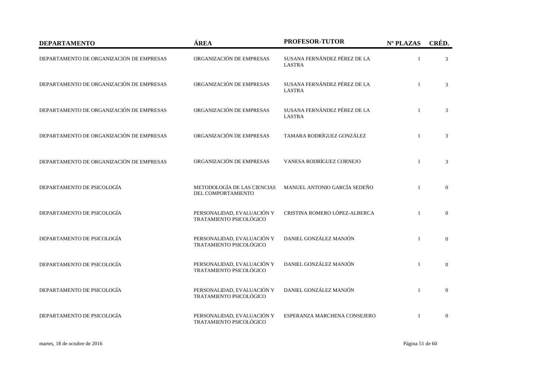| <b>DEPARTAMENTO</b>                      | ÁREA                                                  | PROFESOR-TUTOR                                | Nº PLAZAS      | CRÉD.          |
|------------------------------------------|-------------------------------------------------------|-----------------------------------------------|----------------|----------------|
| DEPARTAMENTO DE ORGANIZACIÓN DE EMPRESAS | ORGANIZACIÓN DE EMPRESAS                              | SUSANA FERNÁNDEZ PÉREZ DE LA<br><b>LASTRA</b> |                | 3              |
| DEPARTAMENTO DE ORGANIZACIÓN DE EMPRESAS | ORGANIZACIÓN DE EMPRESAS                              | SUSANA FERNÁNDEZ PÉREZ DE LA<br><b>LASTRA</b> | $\mathbf{1}$   | 3              |
| DEPARTAMENTO DE ORGANIZACIÓN DE EMPRESAS | ORGANIZACIÓN DE EMPRESAS                              | SUSANA FERNÁNDEZ PÉREZ DE LA<br><b>LASTRA</b> | $\mathbf{1}$   | 3              |
| DEPARTAMENTO DE ORGANIZACIÓN DE EMPRESAS | ORGANIZACIÓN DE EMPRESAS                              | TAMARA RODRÍGUEZ GONZÁLEZ                     |                | 3              |
| DEPARTAMENTO DE ORGANIZACIÓN DE EMPRESAS | ORGANIZACIÓN DE EMPRESAS                              | VANESA RODRÍGUEZ CORNEJO                      | $\mathbf{1}$   | 3              |
| DEPARTAMENTO DE PSICOLOGÍA               | METODOLOGÍA DE LAS CIENCIAS<br>DEL COMPORTAMIENTO     | MANUEL ANTONIO GARCÍA SEDEÑO                  | $\mathbf{1}$   | $\overline{0}$ |
| DEPARTAMENTO DE PSICOLOGÍA               | PERSONALIDAD, EVALUACIÓN Y<br>TRATAMIENTO PSICOLÓGICO | CRISTINA ROMERO LÓPEZ-ALBERCA                 |                | $\mathbf{0}$   |
| DEPARTAMENTO DE PSICOLOGÍA               | PERSONALIDAD, EVALUACIÓN Y<br>TRATAMIENTO PSICOLÓGICO | DANIEL GONZÁLEZ MANJÓN                        | $\overline{1}$ | $\overline{0}$ |
| DEPARTAMENTO DE PSICOLOGÍA               | PERSONALIDAD, EVALUACIÓN Y<br>TRATAMIENTO PSICOLÓGICO | DANIEL GONZÁLEZ MANJÓN                        | $\mathbf{1}$   | $\Omega$       |
| DEPARTAMENTO DE PSICOLOGÍA               | PERSONALIDAD, EVALUACIÓN Y<br>TRATAMIENTO PSICOLÓGICO | DANIEL GONZÁLEZ MANJÓN                        | $\mathbf{1}$   | $\overline{0}$ |
| DEPARTAMENTO DE PSICOLOGÍA               | PERSONALIDAD, EVALUACIÓN Y<br>TRATAMIENTO PSICOLÓGICO | ESPERANZA MARCHENA CONSEJERO                  |                | $\overline{0}$ |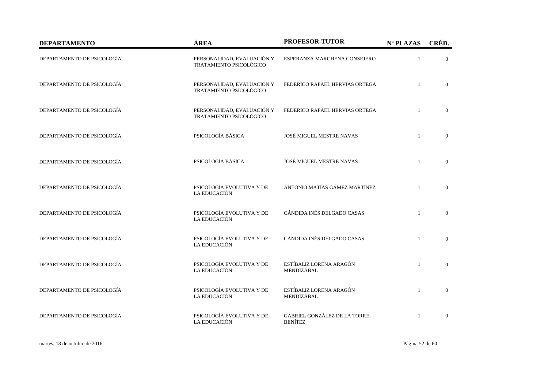| <b>DEPARTAMENTO</b>        | ÁREA                                                  | PROFESOR-TUTOR                                 | Nº PLAZAS    | CRÉD.          |
|----------------------------|-------------------------------------------------------|------------------------------------------------|--------------|----------------|
| DEPARTAMENTO DE PSICOLOGÍA | PERSONALIDAD, EVALUACIÓN Y<br>TRATAMIENTO PSICOLÓGICO | ESPERANZA MARCHENA CONSEJERO                   | $\mathbf{1}$ | $\overline{0}$ |
| DEPARTAMENTO DE PSICOLOGÍA | PERSONALIDAD, EVALUACIÓN Y<br>TRATAMIENTO PSICOLÓGICO | FEDERICO RAFAEL HERVÍAS ORTEGA                 | $\mathbf{1}$ | $\overline{0}$ |
| DEPARTAMENTO DE PSICOLOGÍA | PERSONALIDAD, EVALUACIÓN Y<br>TRATAMIENTO PSICOLÓGICO | FEDERICO RAFAEL HERVÍAS ORTEGA                 | $\mathbf{1}$ | $\overline{0}$ |
| DEPARTAMENTO DE PSICOLOGÍA | PSICOLOGÍA BÁSICA                                     | JOSÉ MIGUEL MESTRE NAVAS                       | $\mathbf{1}$ | $\overline{0}$ |
| DEPARTAMENTO DE PSICOLOGÍA | PSICOLOGÍA BÁSICA                                     | <b>JOSÉ MIGUEL MESTRE NAVAS</b>                | $\mathbf{1}$ | $\overline{0}$ |
| DEPARTAMENTO DE PSICOLOGÍA | PSICOLOGÍA EVOLUTIVA Y DE<br>LA EDUCACIÓN             | ANTONIO MATÍAS GÁMEZ MARTÍNEZ                  | $\mathbf{1}$ | $\Omega$       |
| DEPARTAMENTO DE PSICOLOGÍA | PSICOLOGÍA EVOLUTIVA Y DE<br>LA EDUCACIÓN             | CÁNDIDA INÉS DELGADO CASAS                     | $\mathbf{1}$ | $\mathbf{0}$   |
| DEPARTAMENTO DE PSICOLOGÍA | PSICOLOGÍA EVOLUTIVA Y DE<br>LA EDUCACIÓN             | CÁNDIDA INÉS DELGADO CASAS                     | $\mathbf{1}$ | $\overline{0}$ |
| DEPARTAMENTO DE PSICOLOGÍA | PSICOLOGÍA EVOLUTIVA Y DE<br>LA EDUCACIÓN             | ESTÍBALIZ LORENA ARAGÓN<br>MENDIZÁBAL          | $\mathbf{1}$ | $\mathbf{0}$   |
| DEPARTAMENTO DE PSICOLOGÍA | PSICOLOGÍA EVOLUTIVA Y DE<br>LA EDUCACIÓN             | ESTÍBALIZ LORENA ARAGÓN<br>MENDIZÁBAL          | $\mathbf{1}$ | $\mathbf{0}$   |
| DEPARTAMENTO DE PSICOLOGÍA | PSICOLOGÍA EVOLUTIVA Y DE<br>LA EDUCACIÓN             | GABRIEL GONZÁLEZ DE LA TORRE<br><b>BENÍTEZ</b> | $\mathbf{1}$ | $\overline{0}$ |

martes, 18 de octubre de 2016 Página 52 de 60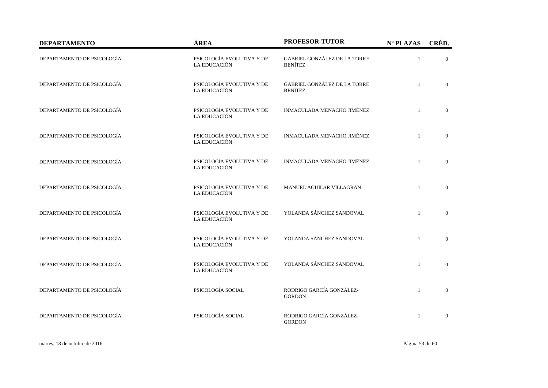| <b>DEPARTAMENTO</b>        | ÁREA                                      | PROFESOR-TUTOR                                 | Nº PLAZAS    | CRÉD.          |
|----------------------------|-------------------------------------------|------------------------------------------------|--------------|----------------|
| DEPARTAMENTO DE PSICOLOGÍA | PSICOLOGÍA EVOLUTIVA Y DE<br>LA EDUCACIÓN | GABRIEL GONZÁLEZ DE LA TORRE<br><b>BENÍTEZ</b> | $\mathbf{1}$ | $\overline{0}$ |
| DEPARTAMENTO DE PSICOLOGÍA | PSICOLOGÍA EVOLUTIVA Y DE<br>LA EDUCACIÓN | GABRIEL GONZÁLEZ DE LA TORRE<br><b>BENÍTEZ</b> | $\mathbf{1}$ | $\overline{0}$ |
| DEPARTAMENTO DE PSICOLOGÍA | PSICOLOGÍA EVOLUTIVA Y DE<br>LA EDUCACIÓN | INMACULADA MENACHO JIMÉNEZ                     | $\mathbf{1}$ | $\mathbf{0}$   |
| DEPARTAMENTO DE PSICOLOGÍA | PSICOLOGÍA EVOLUTIVA Y DE<br>LA EDUCACIÓN | INMACULADA MENACHO JIMÉNEZ                     | $\mathbf{1}$ | $\overline{0}$ |
| DEPARTAMENTO DE PSICOLOGÍA | PSICOLOGÍA EVOLUTIVA Y DE<br>LA EDUCACIÓN | INMACULADA MENACHO JIMÉNEZ                     | $\mathbf{1}$ | $\Omega$       |
| DEPARTAMENTO DE PSICOLOGÍA | PSICOLOGÍA EVOLUTIVA Y DE<br>LA EDUCACIÓN | MANUEL AGUILAR VILLAGRÁN                       | $\mathbf{1}$ | $\overline{0}$ |
| DEPARTAMENTO DE PSICOLOGÍA | PSICOLOGÍA EVOLUTIVA Y DE<br>LA EDUCACIÓN | YOLANDA SÁNCHEZ SANDOVAL                       | $\mathbf{1}$ | $\mathbf{0}$   |
| DEPARTAMENTO DE PSICOLOGÍA | PSICOLOGÍA EVOLUTIVA Y DE<br>LA EDUCACIÓN | YOLANDA SÁNCHEZ SANDOVAL                       | $\mathbf{1}$ | $\overline{0}$ |
| DEPARTAMENTO DE PSICOLOGÍA | PSICOLOGÍA EVOLUTIVA Y DE<br>LA EDUCACIÓN | YOLANDA SÁNCHEZ SANDOVAL                       | $\mathbf{1}$ | $\overline{0}$ |
| DEPARTAMENTO DE PSICOLOGÍA | PSICOLOGÍA SOCIAL                         | RODRIGO GARCÍA GONZÁLEZ-<br><b>GORDON</b>      | $\mathbf{1}$ | $\mathbf{0}$   |
| DEPARTAMENTO DE PSICOLOGÍA | PSICOLOGÍA SOCIAL                         | RODRIGO GARCÍA GONZÁLEZ-<br><b>GORDON</b>      | $\mathbf{1}$ | $\mathbf{0}$   |

martes, 18 de octubre de 2016 Página 53 de 60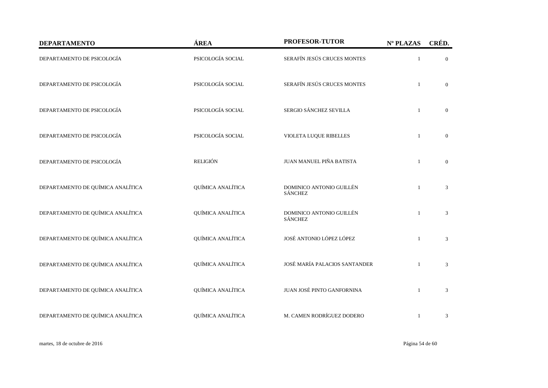| <b>DEPARTAMENTO</b>               | ÁREA              | PROFESOR-TUTOR                             | Nº PLAZAS    | CRÉD.          |
|-----------------------------------|-------------------|--------------------------------------------|--------------|----------------|
| DEPARTAMENTO DE PSICOLOGÍA        | PSICOLOGÍA SOCIAL | SERAFÍN JESÚS CRUCES MONTES                | $\mathbf{1}$ | $\overline{0}$ |
| DEPARTAMENTO DE PSICOLOGÍA        | PSICOLOGÍA SOCIAL | SERAFÍN JESÚS CRUCES MONTES                | $\mathbf{1}$ | $\overline{0}$ |
| DEPARTAMENTO DE PSICOLOGÍA        | PSICOLOGÍA SOCIAL | SERGIO SÁNCHEZ SEVILLA                     | $\mathbf{1}$ | $\overline{0}$ |
| DEPARTAMENTO DE PSICOLOGÍA        | PSICOLOGÍA SOCIAL | VIOLETA LUQUE RIBELLES                     | $\mathbf{1}$ | $\overline{0}$ |
| DEPARTAMENTO DE PSICOLOGÍA        | <b>RELIGIÓN</b>   | JUAN MANUEL PIÑA BATISTA                   | $\mathbf{1}$ | $\overline{0}$ |
| DEPARTAMENTO DE QUÍMICA ANALÍTICA | QUÍMICA ANALÍTICA | DOMINICO ANTONIO GUILLÉN<br><b>SÁNCHEZ</b> | $\mathbf{1}$ | 3              |
| DEPARTAMENTO DE QUÍMICA ANALÍTICA | QUÍMICA ANALÍTICA | DOMINICO ANTONIO GUILLÉN<br><b>SÁNCHEZ</b> | $\mathbf{1}$ | 3              |
| DEPARTAMENTO DE QUÍMICA ANALÍTICA | QUÍMICA ANALÍTICA | JOSÉ ANTONIO LÓPEZ LÓPEZ                   | $\mathbf{1}$ | 3              |
| DEPARTAMENTO DE QUÍMICA ANALÍTICA | QUÍMICA ANALÍTICA | JOSÉ MARÍA PALACIOS SANTANDER              | $\mathbf{1}$ | 3              |
| DEPARTAMENTO DE QUÍMICA ANALÍTICA | QUÍMICA ANALÍTICA | JUAN JOSÉ PINTO GANFORNINA                 | $\mathbf{1}$ | 3              |
| DEPARTAMENTO DE QUÍMICA ANALÍTICA | QUÍMICA ANALÍTICA | M. CAMEN RODRÍGUEZ DODERO                  | $\mathbf{1}$ | 3              |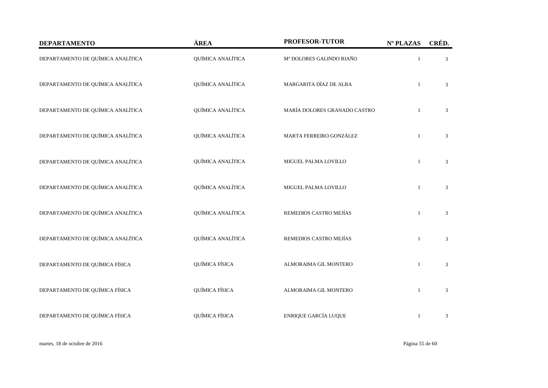| <b>DEPARTAMENTO</b>               | ÁREA              | PROFESOR-TUTOR               | Nº PLAZAS    | CRÉD.          |
|-----------------------------------|-------------------|------------------------------|--------------|----------------|
| DEPARTAMENTO DE QUÍMICA ANALÍTICA | QUÍMICA ANALÍTICA | Mª DOLORES GALINDO RIAÑO     | $\mathbf{1}$ | 3              |
| DEPARTAMENTO DE QUÍMICA ANALÍTICA | QUÍMICA ANALÍTICA | MARGARITA DÍAZ DE ALBA       | $\mathbf{1}$ | 3              |
| DEPARTAMENTO DE QUÍMICA ANALÍTICA | QUÍMICA ANALÍTICA | MARÍA DOLORES GRANADO CASTRO |              | 3              |
| DEPARTAMENTO DE QUÍMICA ANALÍTICA | QUÍMICA ANALÍTICA | MARTA FERREIRO GONZÁLEZ      |              | 3              |
| DEPARTAMENTO DE QUÍMICA ANALÍTICA | QUÍMICA ANALÍTICA | MIGUEL PALMA LOVILLO         | $\mathbf{1}$ | 3              |
| DEPARTAMENTO DE QUÍMICA ANALÍTICA | QUÍMICA ANALÍTICA | MIGUEL PALMA LOVILLO         |              | 3              |
| DEPARTAMENTO DE QUÍMICA ANALÍTICA | QUÍMICA ANALÍTICA | REMEDIOS CASTRO MEJÍAS       | $\mathbf{1}$ | 3              |
| DEPARTAMENTO DE QUÍMICA ANALÍTICA | QUÍMICA ANALÍTICA | REMEDIOS CASTRO MEJÍAS       | $\mathbf{1}$ | 3              |
| DEPARTAMENTO DE QUÍMICA FÍSICA    | QUÍMICA FÍSICA    | ALMORAIMA GIL MONTERO        | $\mathbf{1}$ | 3              |
| DEPARTAMENTO DE QUÍMICA FÍSICA    | QUÍMICA FÍSICA    | ALMORAIMA GIL MONTERO        | 1            | 3              |
| DEPARTAMENTO DE QUÍMICA FÍSICA    | QUÍMICA FÍSICA    | ENRIQUE GARCÍA LUQUE         | $\mathbf{1}$ | $\mathfrak{Z}$ |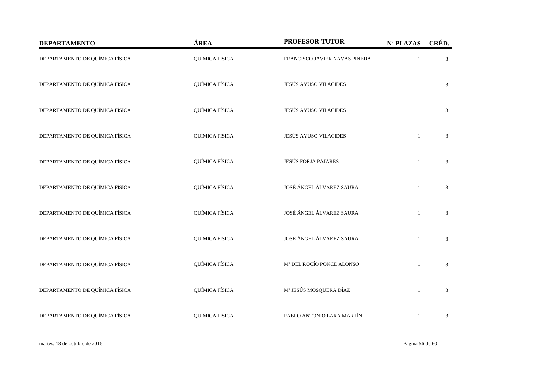| <b>DEPARTAMENTO</b>            | ÁREA           | PROFESOR-TUTOR                | Nº PLAZAS    | CRÉD.          |
|--------------------------------|----------------|-------------------------------|--------------|----------------|
| DEPARTAMENTO DE QUÍMICA FÍSICA | QUÍMICA FÍSICA | FRANCISCO JAVIER NAVAS PINEDA | $\mathbf{1}$ | 3              |
| DEPARTAMENTO DE QUÍMICA FÍSICA | QUÍMICA FÍSICA | <b>JESÚS AYUSO VILACIDES</b>  | $\mathbf{1}$ | 3              |
| DEPARTAMENTO DE QUÍMICA FÍSICA | QUÍMICA FÍSICA | <b>JESÚS AYUSO VILACIDES</b>  | $\mathbf{1}$ | 3              |
| DEPARTAMENTO DE QUÍMICA FÍSICA | QUÍMICA FÍSICA | <b>JESÚS AYUSO VILACIDES</b>  | $\mathbf{1}$ | 3              |
| DEPARTAMENTO DE QUÍMICA FÍSICA | QUÍMICA FÍSICA | <b>JESÚS FORJA PAJARES</b>    | $\mathbf{1}$ | 3              |
| DEPARTAMENTO DE QUÍMICA FÍSICA | QUÍMICA FÍSICA | JOSÉ ÁNGEL ÁLVAREZ SAURA      | $\mathbf{1}$ | 3              |
| DEPARTAMENTO DE QUÍMICA FÍSICA | QUÍMICA FÍSICA | JOSÉ ÁNGEL ÁLVAREZ SAURA      | $\mathbf{1}$ | 3              |
| DEPARTAMENTO DE QUÍMICA FÍSICA | QUÍMICA FÍSICA | JOSÉ ÁNGEL ÁLVAREZ SAURA      | $\mathbf{1}$ | 3              |
| DEPARTAMENTO DE QUÍMICA FÍSICA | QUÍMICA FÍSICA | Mª DEL ROCÍO PONCE ALONSO     | $\mathbf{1}$ | 3              |
| DEPARTAMENTO DE QUÍMICA FÍSICA | QUÍMICA FÍSICA | Mª JESÚS MOSQUERA DÍAZ        | $\mathbf{1}$ | 3              |
| DEPARTAMENTO DE QUÍMICA FÍSICA | QUÍMICA FÍSICA | PABLO ANTONIO LARA MARTÍN     | $\mathbf{1}$ | $\mathfrak{Z}$ |

martes, 18 de octubre de 2016 Página 56 de 60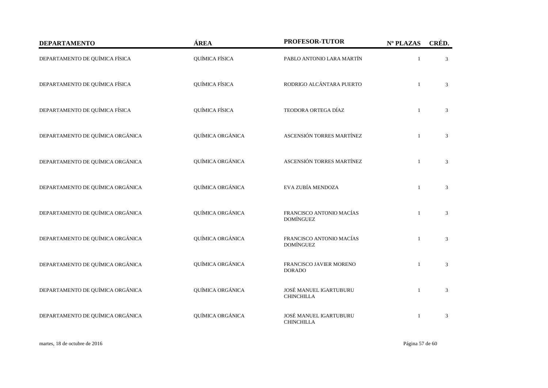| <b>DEPARTAMENTO</b>              | ÁREA             | PROFESOR-TUTOR                               | Nº PLAZAS    | CRÉD.          |
|----------------------------------|------------------|----------------------------------------------|--------------|----------------|
| DEPARTAMENTO DE QUÍMICA FÍSICA   | QUÍMICA FÍSICA   | PABLO ANTONIO LARA MARTÍN                    | $\mathbf{1}$ | $\mathfrak{Z}$ |
| DEPARTAMENTO DE QUÍMICA FÍSICA   | QUÍMICA FÍSICA   | RODRIGO ALCÁNTARA PUERTO                     | $\mathbf{1}$ | $\mathfrak{Z}$ |
| DEPARTAMENTO DE QUÍMICA FÍSICA   | QUÍMICA FÍSICA   | TEODORA ORTEGA DÍAZ                          | $\mathbf{1}$ | 3              |
| DEPARTAMENTO DE QUÍMICA ORGÁNICA | QUÍMICA ORGÁNICA | ASCENSIÓN TORRES MARTÍNEZ                    | $\mathbf{1}$ | 3              |
| DEPARTAMENTO DE QUÍMICA ORGÁNICA | QUÍMICA ORGÁNICA | ASCENSIÓN TORRES MARTÍNEZ                    | $\mathbf{1}$ | 3              |
| DEPARTAMENTO DE QUÍMICA ORGÁNICA | QUÍMICA ORGÁNICA | EVA ZUBÍA MENDOZA                            | $\mathbf{1}$ | 3              |
| DEPARTAMENTO DE QUÍMICA ORGÁNICA | QUÍMICA ORGÁNICA | FRANCISCO ANTONIO MACÍAS<br><b>DOMÍNGUEZ</b> | $\mathbf{1}$ | 3              |
| DEPARTAMENTO DE QUÍMICA ORGÁNICA | QUÍMICA ORGÁNICA | FRANCISCO ANTONIO MACÍAS<br><b>DOMÍNGUEZ</b> | $\mathbf{1}$ | 3              |
| DEPARTAMENTO DE QUÍMICA ORGÁNICA | QUÍMICA ORGÁNICA | FRANCISCO JAVIER MORENO<br><b>DORADO</b>     | $\mathbf{1}$ | 3              |
| DEPARTAMENTO DE QUÍMICA ORGÁNICA | QUÍMICA ORGÁNICA | JOSÉ MANUEL IGARTUBURU<br><b>CHINCHILLA</b>  | $\mathbf{1}$ | 3              |
| DEPARTAMENTO DE QUÍMICA ORGÁNICA | QUÍMICA ORGÁNICA | JOSÉ MANUEL IGARTUBURU<br><b>CHINCHILLA</b>  | $\mathbf{1}$ | 3              |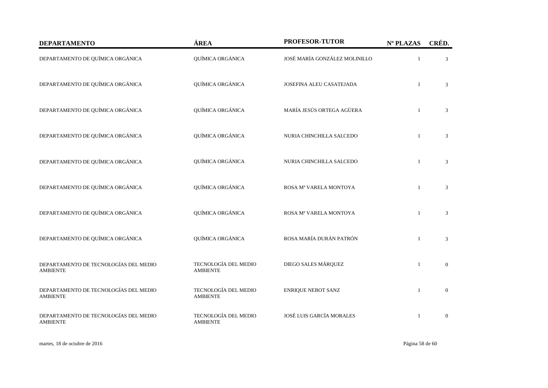| <b>DEPARTAMENTO</b>                                      | ÁREA                                    | PROFESOR-TUTOR                | Nº PLAZAS    | CRÉD.          |
|----------------------------------------------------------|-----------------------------------------|-------------------------------|--------------|----------------|
| DEPARTAMENTO DE QUÍMICA ORGÁNICA                         | QUÍMICA ORGÁNICA                        | JOSÉ MARÍA GONZÁLEZ MOLINILLO | $\mathbf{1}$ | $\mathfrak{Z}$ |
| DEPARTAMENTO DE QUÍMICA ORGÁNICA                         | QUÍMICA ORGÁNICA                        | JOSEFINA ALEU CASATEJADA      | $\mathbf{1}$ | 3              |
| DEPARTAMENTO DE QUÍMICA ORGÁNICA                         | QUÍMICA ORGÁNICA                        | MARÍA JESÚS ORTEGA AGÜERA     | $\mathbf{1}$ | 3              |
| DEPARTAMENTO DE QUÍMICA ORGÁNICA                         | QUÍMICA ORGÁNICA                        | NURIA CHINCHILLA SALCEDO      | $\mathbf{1}$ | 3              |
| DEPARTAMENTO DE QUÍMICA ORGÁNICA                         | QUÍMICA ORGÁNICA                        | NURIA CHINCHILLA SALCEDO      | $\mathbf{1}$ | $\mathfrak{Z}$ |
| DEPARTAMENTO DE QUÍMICA ORGÁNICA                         | QUÍMICA ORGÁNICA                        | ROSA Mª VARELA MONTOYA        | $\mathbf{1}$ | 3              |
| DEPARTAMENTO DE QUÍMICA ORGÁNICA                         | QUÍMICA ORGÁNICA                        | ROSA Mª VARELA MONTOYA        | $\mathbf{1}$ | 3              |
| DEPARTAMENTO DE QUÍMICA ORGÁNICA                         | QUÍMICA ORGÁNICA                        | ROSA MARÍA DURÁN PATRÓN       | $\mathbf{1}$ | 3              |
| DEPARTAMENTO DE TECNOLOGÍAS DEL MEDIO<br><b>AMBIENTE</b> | TECNOLOGÍA DEL MEDIO<br><b>AMBIENTE</b> | DIEGO SALES MÁRQUEZ           | $\mathbf{1}$ | $\mathbf{0}$   |
| DEPARTAMENTO DE TECNOLOGÍAS DEL MEDIO<br><b>AMBIENTE</b> | TECNOLOGÍA DEL MEDIO<br><b>AMBIENTE</b> | <b>ENRIQUE NEBOT SANZ</b>     | $\mathbf{1}$ | $\overline{0}$ |
| DEPARTAMENTO DE TECNOLOGÍAS DEL MEDIO<br><b>AMBIENTE</b> | TECNOLOGÍA DEL MEDIO<br><b>AMBIENTE</b> | JOSÉ LUIS GARCÍA MORALES      | $\mathbf{1}$ | $\overline{0}$ |

martes, 18 de octubre de 2016 Página 58 de 60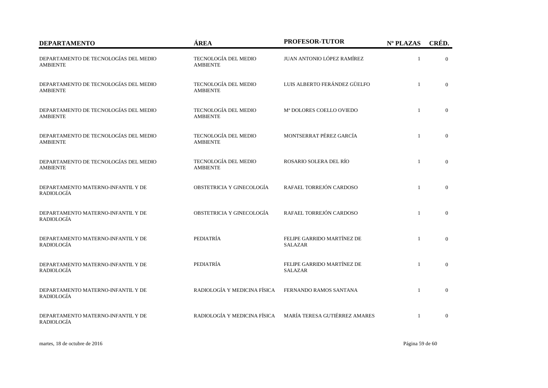| <b>DEPARTAMENTO</b>                                      | ÁREA                                    | <b>PROFESOR-TUTOR</b>                        | Nº PLAZAS    | CRÉD.          |
|----------------------------------------------------------|-----------------------------------------|----------------------------------------------|--------------|----------------|
| DEPARTAMENTO DE TECNOLOGÍAS DEL MEDIO<br><b>AMBIENTE</b> | TECNOLOGÍA DEL MEDIO<br><b>AMBIENTE</b> | JUAN ANTONIO LÓPEZ RAMÍREZ                   | $\mathbf{1}$ | $\overline{0}$ |
| DEPARTAMENTO DE TECNOLOGÍAS DEL MEDIO<br><b>AMBIENTE</b> | TECNOLOGÍA DEL MEDIO<br><b>AMBIENTE</b> | LUIS ALBERTO FERÁNDEZ GÜELFO                 | $\mathbf{1}$ | $\overline{0}$ |
| DEPARTAMENTO DE TECNOLOGÍAS DEL MEDIO<br><b>AMBIENTE</b> | TECNOLOGÍA DEL MEDIO<br><b>AMBIENTE</b> | M <sup>ª</sup> DOLORES COELLO OVIEDO         | $\mathbf{1}$ | $\mathbf{0}$   |
| DEPARTAMENTO DE TECNOLOGÍAS DEL MEDIO<br><b>AMBIENTE</b> | TECNOLOGÍA DEL MEDIO<br><b>AMBIENTE</b> | MONTSERRAT PÉREZ GARCÍA                      | $\mathbf{1}$ | $\mathbf{0}$   |
| DEPARTAMENTO DE TECNOLOGÍAS DEL MEDIO<br><b>AMBIENTE</b> | TECNOLOGÍA DEL MEDIO<br><b>AMBIENTE</b> | ROSARIO SOLERA DEL RÍO                       | $\mathbf{1}$ | $\Omega$       |
| DEPARTAMENTO MATERNO-INFANTIL Y DE<br>RADIOLOGÍA         | OBSTETRICIA Y GINECOLOGÍA               | RAFAEL TORREJÓN CARDOSO                      | $\mathbf{1}$ | $\overline{0}$ |
| DEPARTAMENTO MATERNO-INFANTIL Y DE<br><b>RADIOLOGÍA</b>  | OBSTETRICIA Y GINECOLOGÍA               | RAFAEL TORREJÓN CARDOSO                      | $\mathbf{1}$ | $\overline{0}$ |
| DEPARTAMENTO MATERNO-INFANTIL Y DE<br><b>RADIOLOGÍA</b>  | PEDIATRÍA                               | FELIPE GARRIDO MARTÍNEZ DE<br><b>SALAZAR</b> | $\mathbf{1}$ | $\overline{0}$ |
| DEPARTAMENTO MATERNO-INFANTIL Y DE<br><b>RADIOLOGÍA</b>  | PEDIATRÍA                               | FELIPE GARRIDO MARTÍNEZ DE<br><b>SALAZAR</b> | $\mathbf{1}$ | $\overline{0}$ |
| DEPARTAMENTO MATERNO-INFANTIL Y DE<br><b>RADIOLOGÍA</b>  | RADIOLOGÍA Y MEDICINA FÍSICA            | FERNANDO RAMOS SANTANA                       | $\mathbf{1}$ | $\mathbf{0}$   |
| DEPARTAMENTO MATERNO-INFANTIL Y DE<br>RADIOLOGÍA         | RADIOLOGÍA Y MEDICINA FÍSICA            | MARÍA TERESA GUTIÉRREZ AMARES                | $\mathbf{1}$ | $\mathbf{0}$   |

martes, 18 de octubre de 2016 Página 59 de 60